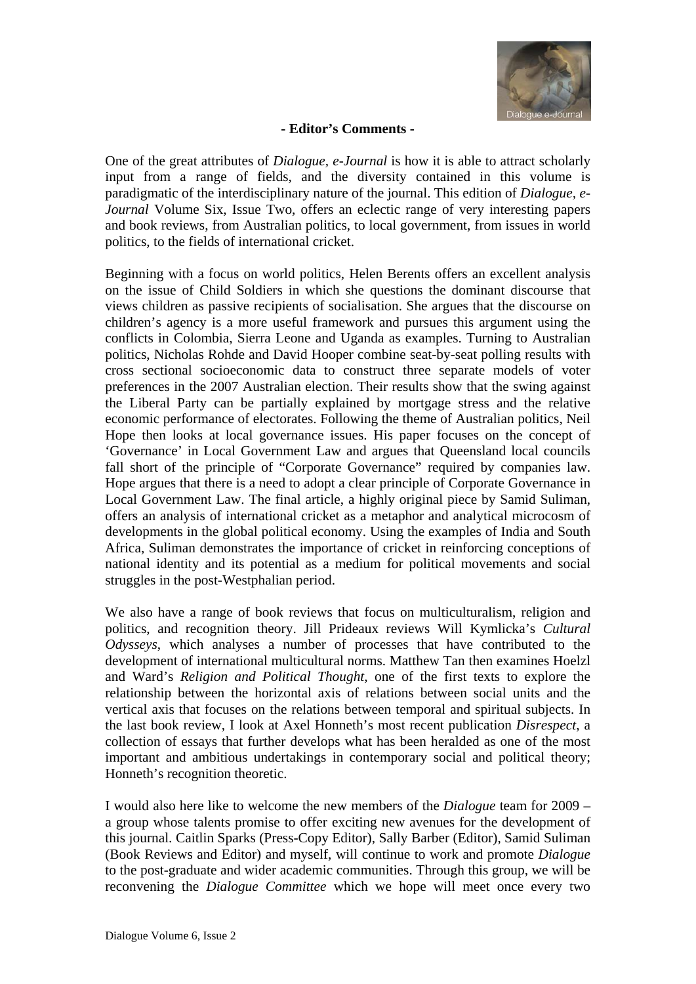

#### **- Editor's Comments -**

One of the great attributes of *Dialogue, e-Journal* is how it is able to attract scholarly input from a range of fields, and the diversity contained in this volume is paradigmatic of the interdisciplinary nature of the journal. This edition of *Dialogue, e-Journal* Volume Six, Issue Two, offers an eclectic range of very interesting papers and book reviews, from Australian politics, to local government, from issues in world politics, to the fields of international cricket.

Beginning with a focus on world politics, Helen Berents offers an excellent analysis on the issue of Child Soldiers in which she questions the dominant discourse that views children as passive recipients of socialisation. She argues that the discourse on children's agency is a more useful framework and pursues this argument using the conflicts in Colombia, Sierra Leone and Uganda as examples. Turning to Australian politics, Nicholas Rohde and David Hooper combine seat-by-seat polling results with cross sectional socioeconomic data to construct three separate models of voter preferences in the 2007 Australian election. Their results show that the swing against the Liberal Party can be partially explained by mortgage stress and the relative economic performance of electorates. Following the theme of Australian politics, Neil Hope then looks at local governance issues. His paper focuses on the concept of 'Governance' in Local Government Law and argues that Queensland local councils fall short of the principle of "Corporate Governance" required by companies law. Hope argues that there is a need to adopt a clear principle of Corporate Governance in Local Government Law. The final article, a highly original piece by Samid Suliman, offers an analysis of international cricket as a metaphor and analytical microcosm of developments in the global political economy. Using the examples of India and South Africa, Suliman demonstrates the importance of cricket in reinforcing conceptions of national identity and its potential as a medium for political movements and social struggles in the post-Westphalian period.

We also have a range of book reviews that focus on multiculturalism, religion and politics, and recognition theory. Jill Prideaux reviews Will Kymlicka's *Cultural Odysseys*, which analyses a number of processes that have contributed to the development of international multicultural norms. Matthew Tan then examines Hoelzl and Ward's *Religion and Political Thought*, one of the first texts to explore the relationship between the horizontal axis of relations between social units and the vertical axis that focuses on the relations between temporal and spiritual subjects. In the last book review, I look at Axel Honneth's most recent publication *Disrespect*, a collection of essays that further develops what has been heralded as one of the most important and ambitious undertakings in contemporary social and political theory; Honneth's recognition theoretic.

I would also here like to welcome the new members of the *Dialogue* team for 2009 – a group whose talents promise to offer exciting new avenues for the development of this journal. Caitlin Sparks (Press-Copy Editor), Sally Barber (Editor), Samid Suliman (Book Reviews and Editor) and myself, will continue to work and promote *Dialogue* to the post-graduate and wider academic communities. Through this group, we will be reconvening the *Dialogue Committee* which we hope will meet once every two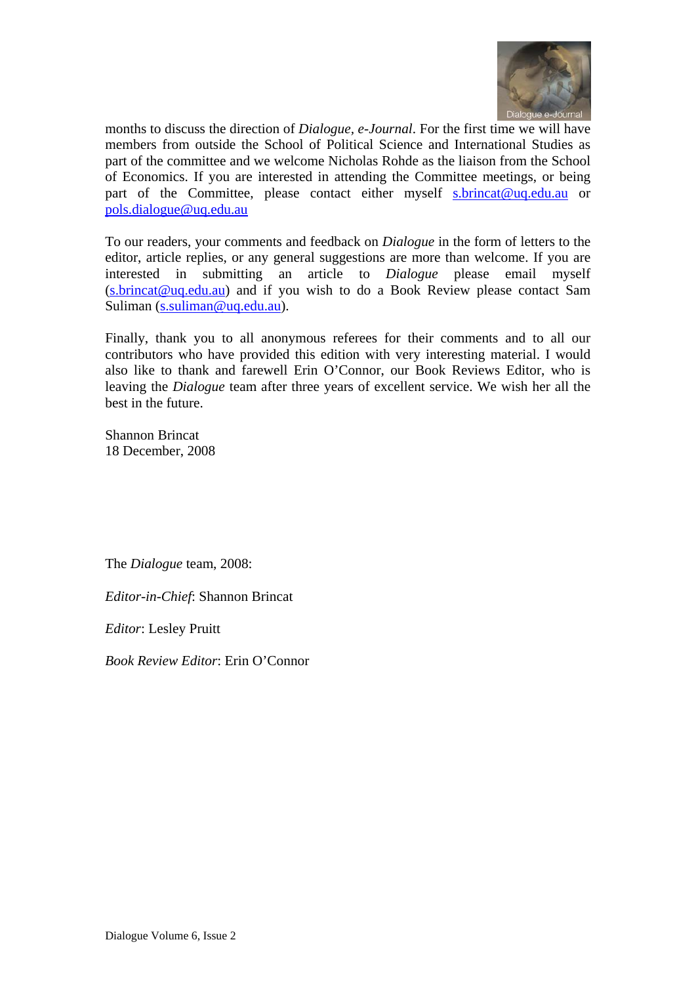

months to discuss the direction of *Dialogue, e-Journal*. For the first time we will have members from outside the School of Political Science and International Studies as part of the committee and we welcome Nicholas Rohde as the liaison from the School of Economics. If you are interested in attending the Committee meetings, or being part of the Committee, please contact either myself s.brincat@uq.edu.au or pols.dialogue@uq.edu.au

To our readers, your comments and feedback on *Dialogue* in the form of letters to the editor, article replies, or any general suggestions are more than welcome. If you are interested in submitting an article to *Dialogue* please email myself (s.brincat@uq.edu.au) and if you wish to do a Book Review please contact Sam Suliman (s.suliman@uq.edu.au).

Finally, thank you to all anonymous referees for their comments and to all our contributors who have provided this edition with very interesting material. I would also like to thank and farewell Erin O'Connor, our Book Reviews Editor, who is leaving the *Dialogue* team after three years of excellent service. We wish her all the best in the future.

Shannon Brincat 18 December, 2008

The *Dialogue* team, 2008:

*Editor-in-Chief*: Shannon Brincat

*Editor*: Lesley Pruitt

*Book Review Editor*: Erin O'Connor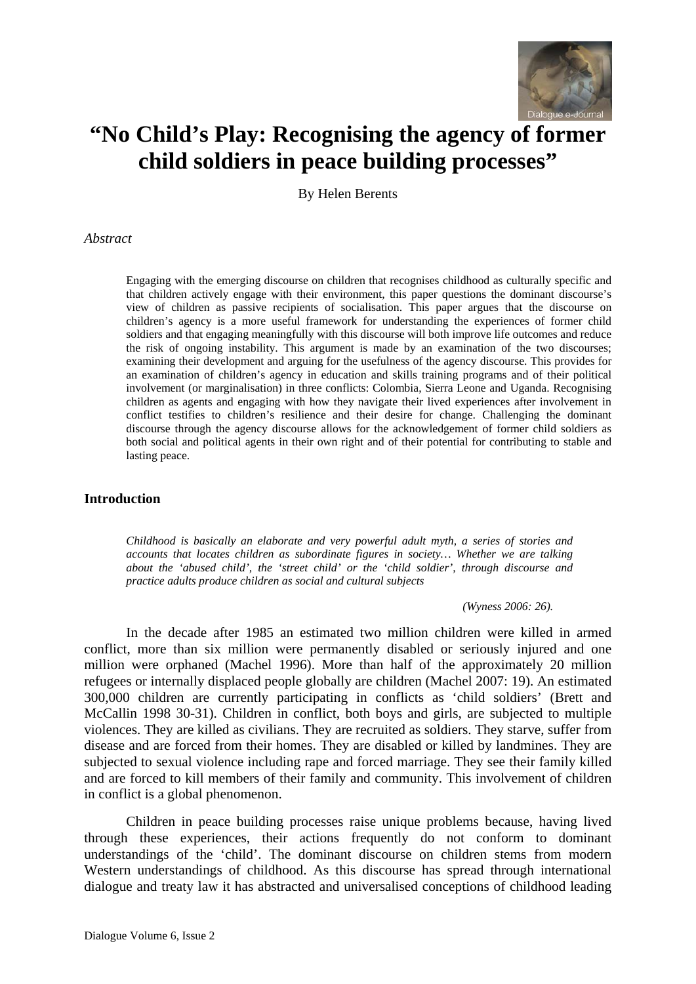

# **"No Child's Play: Recognising the agency of former child soldiers in peace building processes"**

By Helen Berents

#### *Abstract*

Engaging with the emerging discourse on children that recognises childhood as culturally specific and that children actively engage with their environment, this paper questions the dominant discourse's view of children as passive recipients of socialisation. This paper argues that the discourse on children's agency is a more useful framework for understanding the experiences of former child soldiers and that engaging meaningfully with this discourse will both improve life outcomes and reduce the risk of ongoing instability. This argument is made by an examination of the two discourses; examining their development and arguing for the usefulness of the agency discourse. This provides for an examination of children's agency in education and skills training programs and of their political involvement (or marginalisation) in three conflicts: Colombia, Sierra Leone and Uganda. Recognising children as agents and engaging with how they navigate their lived experiences after involvement in conflict testifies to children's resilience and their desire for change. Challenging the dominant discourse through the agency discourse allows for the acknowledgement of former child soldiers as both social and political agents in their own right and of their potential for contributing to stable and lasting peace.

#### **Introduction**

*Childhood is basically an elaborate and very powerful adult myth, a series of stories and accounts that locates children as subordinate figures in society… Whether we are talking about the 'abused child', the 'street child' or the 'child soldier', through discourse and practice adults produce children as social and cultural subjects* 

*(Wyness 2006: 26).* 

In the decade after 1985 an estimated two million children were killed in armed conflict, more than six million were permanently disabled or seriously injured and one million were orphaned (Machel 1996). More than half of the approximately 20 million refugees or internally displaced people globally are children (Machel 2007: 19). An estimated 300,000 children are currently participating in conflicts as 'child soldiers' (Brett and McCallin 1998 30-31). Children in conflict, both boys and girls, are subjected to multiple violences. They are killed as civilians. They are recruited as soldiers. They starve, suffer from disease and are forced from their homes. They are disabled or killed by landmines. They are subjected to sexual violence including rape and forced marriage. They see their family killed and are forced to kill members of their family and community. This involvement of children in conflict is a global phenomenon.

Children in peace building processes raise unique problems because, having lived through these experiences, their actions frequently do not conform to dominant understandings of the 'child'. The dominant discourse on children stems from modern Western understandings of childhood. As this discourse has spread through international dialogue and treaty law it has abstracted and universalised conceptions of childhood leading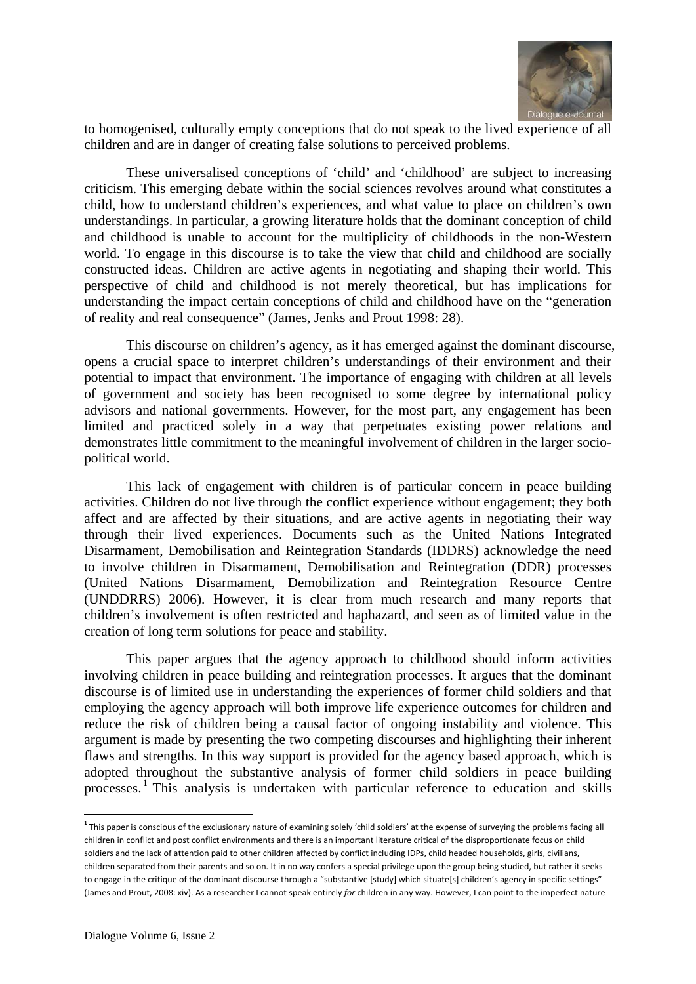

to homogenised, culturally empty conceptions that do not speak to the lived experience of all children and are in danger of creating false solutions to perceived problems.

These universalised conceptions of 'child' and 'childhood' are subject to increasing criticism. This emerging debate within the social sciences revolves around what constitutes a child, how to understand children's experiences, and what value to place on children's own understandings. In particular, a growing literature holds that the dominant conception of child and childhood is unable to account for the multiplicity of childhoods in the non-Western world. To engage in this discourse is to take the view that child and childhood are socially constructed ideas. Children are active agents in negotiating and shaping their world. This perspective of child and childhood is not merely theoretical, but has implications for understanding the impact certain conceptions of child and childhood have on the "generation of reality and real consequence" (James, Jenks and Prout 1998: 28).

This discourse on children's agency, as it has emerged against the dominant discourse, opens a crucial space to interpret children's understandings of their environment and their potential to impact that environment. The importance of engaging with children at all levels of government and society has been recognised to some degree by international policy advisors and national governments. However, for the most part, any engagement has been limited and practiced solely in a way that perpetuates existing power relations and demonstrates little commitment to the meaningful involvement of children in the larger sociopolitical world.

This lack of engagement with children is of particular concern in peace building activities. Children do not live through the conflict experience without engagement; they both affect and are affected by their situations, and are active agents in negotiating their way through their lived experiences. Documents such as the United Nations Integrated Disarmament, Demobilisation and Reintegration Standards (IDDRS) acknowledge the need to involve children in Disarmament, Demobilisation and Reintegration (DDR) processes (United Nations Disarmament, Demobilization and Reintegration Resource Centre (UNDDRRS) 2006). However, it is clear from much research and many reports that children's involvement is often restricted and haphazard, and seen as of limited value in the creation of long term solutions for peace and stability.

This paper argues that the agency approach to childhood should inform activities involving children in peace building and reintegration processes. It argues that the dominant discourse is of limited use in understanding the experiences of former child soldiers and that employing the agency approach will both improve life experience outcomes for children and reduce the risk of children being a causal factor of ongoing instability and violence. This argument is made by presenting the two competing discourses and highlighting their inherent flaws and strengths. In this way support is provided for the agency based approach, which is adopted throughout the substantive analysis of former child soldiers in peace building processes.<sup>1</sup> This analysis is undertaken with particular reference to education and skills

**<sup>1</sup>** This paper is conscious of the exclusionary nature of examining solely 'child soldiers' at the expense of surveying the problems facing all children in conflict and post conflict environments and there is an important literature critical of the disproportionate focus on child soldiers and the lack of attention paid to other children affected by conflict including IDPs, child headed households, girls, civilians, children separated from their parents and so on. It in no way confers a special privilege upon the group being studied, but rather it seeks to engage in the critique of the dominant discourse through a "substantive [study] which situate[s] children's agency in specific settings" (James and Prout, 2008: xiv). As a researcher I cannot speak entirely *for* children in any way. However, I can point to the imperfect nature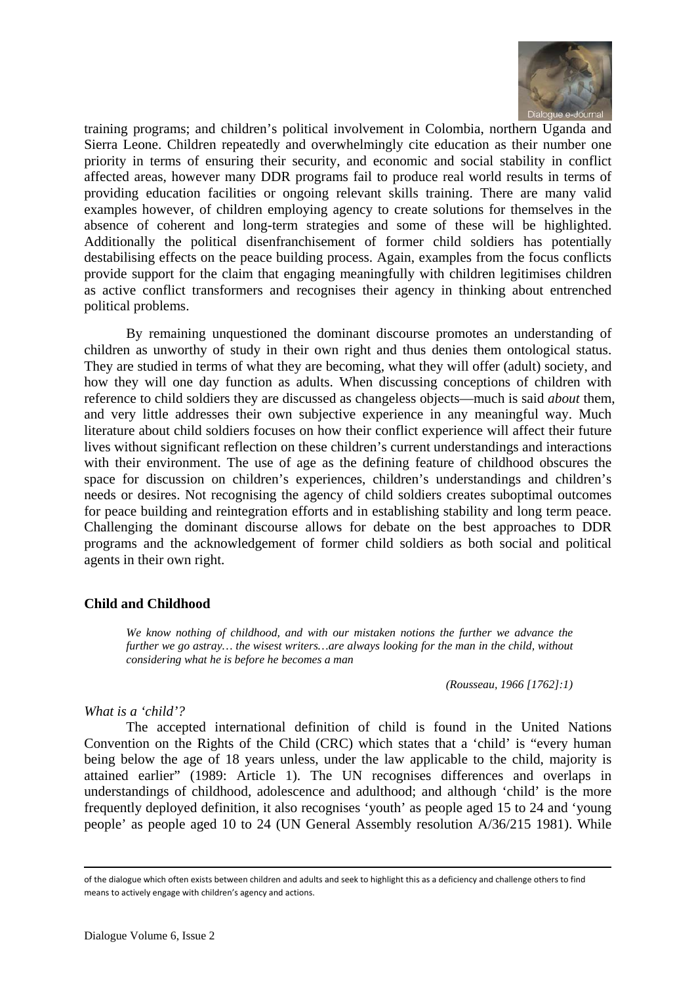

training programs; and children's political involvement in Colombia, northern Uganda and Sierra Leone. Children repeatedly and overwhelmingly cite education as their number one priority in terms of ensuring their security, and economic and social stability in conflict affected areas, however many DDR programs fail to produce real world results in terms of providing education facilities or ongoing relevant skills training. There are many valid examples however, of children employing agency to create solutions for themselves in the absence of coherent and long-term strategies and some of these will be highlighted. Additionally the political disenfranchisement of former child soldiers has potentially destabilising effects on the peace building process. Again, examples from the focus conflicts provide support for the claim that engaging meaningfully with children legitimises children as active conflict transformers and recognises their agency in thinking about entrenched political problems.

By remaining unquestioned the dominant discourse promotes an understanding of children as unworthy of study in their own right and thus denies them ontological status. They are studied in terms of what they are becoming, what they will offer (adult) society, and how they will one day function as adults. When discussing conceptions of children with reference to child soldiers they are discussed as changeless objects—much is said *about* them, and very little addresses their own subjective experience in any meaningful way. Much literature about child soldiers focuses on how their conflict experience will affect their future lives without significant reflection on these children's current understandings and interactions with their environment. The use of age as the defining feature of childhood obscures the space for discussion on children's experiences, children's understandings and children's needs or desires. Not recognising the agency of child soldiers creates suboptimal outcomes for peace building and reintegration efforts and in establishing stability and long term peace. Challenging the dominant discourse allows for debate on the best approaches to DDR programs and the acknowledgement of former child soldiers as both social and political agents in their own right.

# **Child and Childhood**

*We know nothing of childhood, and with our mistaken notions the further we advance the further we go astray… the wisest writers…are always looking for the man in the child, without considering what he is before he becomes a man* 

*(Rousseau, 1966 [1762]:1)* 

#### *What is a 'child'?*

The accepted international definition of child is found in the United Nations Convention on the Rights of the Child (CRC) which states that a 'child' is "every human being below the age of 18 years unless, under the law applicable to the child, majority is attained earlier" (1989: Article 1). The UN recognises differences and overlaps in understandings of childhood, adolescence and adulthood; and although 'child' is the more frequently deployed definition, it also recognises 'youth' as people aged 15 to 24 and 'young people' as people aged 10 to 24 (UN General Assembly resolution A/36/215 1981). While

<u> Andrewski politika (za obrazu za obrazu za obrazu za obrazu za obrazu za obrazu za obrazu za obrazu za obrazu</u>

of the dialogue which often exists between children and adults and seek to highlight this as a deficiency and challenge others to find means to actively engage with children's agency and actions.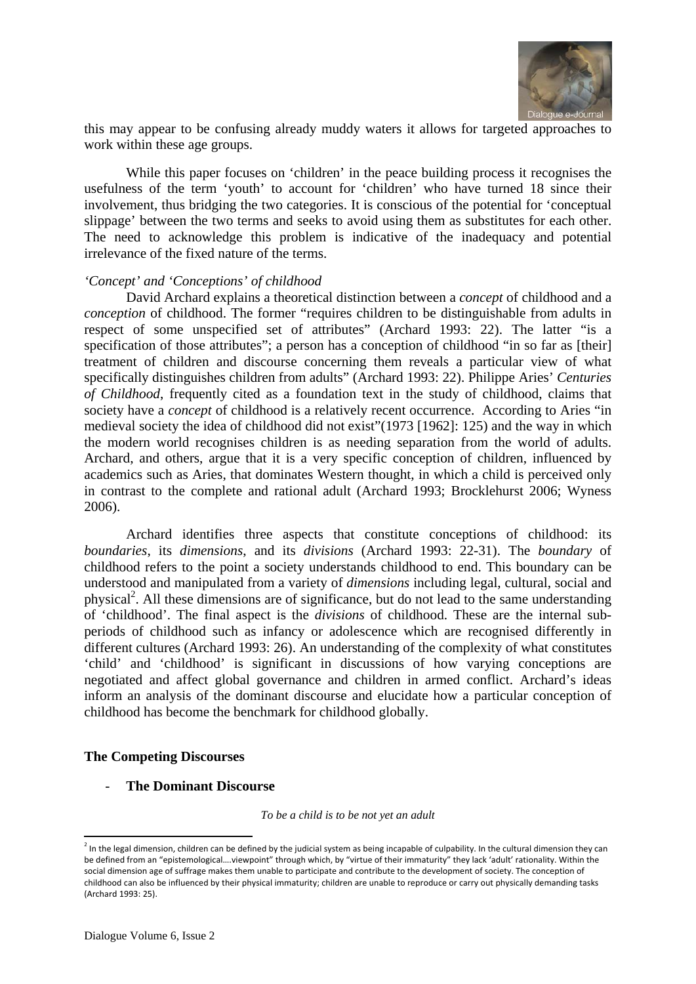

this may appear to be confusing already muddy waters it allows for targeted approaches to work within these age groups.

While this paper focuses on 'children' in the peace building process it recognises the usefulness of the term 'youth' to account for 'children' who have turned 18 since their involvement, thus bridging the two categories. It is conscious of the potential for 'conceptual slippage' between the two terms and seeks to avoid using them as substitutes for each other. The need to acknowledge this problem is indicative of the inadequacy and potential irrelevance of the fixed nature of the terms.

#### *'Concept' and 'Conceptions' of childhood*

David Archard explains a theoretical distinction between a *concept* of childhood and a *conception* of childhood. The former "requires children to be distinguishable from adults in respect of some unspecified set of attributes" (Archard 1993: 22). The latter "is a specification of those attributes"; a person has a conception of childhood "in so far as [their] treatment of children and discourse concerning them reveals a particular view of what specifically distinguishes children from adults" (Archard 1993: 22). Philippe Aries' *Centuries of Childhood*, frequently cited as a foundation text in the study of childhood, claims that society have a *concept* of childhood is a relatively recent occurrence. According to Aries "in medieval society the idea of childhood did not exist"(1973 [1962]: 125) and the way in which the modern world recognises children is as needing separation from the world of adults. Archard, and others, argue that it is a very specific conception of children, influenced by academics such as Aries, that dominates Western thought, in which a child is perceived only in contrast to the complete and rational adult (Archard 1993; Brocklehurst 2006; Wyness 2006).

Archard identifies three aspects that constitute conceptions of childhood: its *boundaries*, its *dimensions*, and its *divisions* (Archard 1993: 22-31). The *boundary* of childhood refers to the point a society understands childhood to end. This boundary can be understood and manipulated from a variety of *dimensions* including legal, cultural, social and physical<sup>2</sup>. All these dimensions are of significance, but do not lead to the same understanding of 'childhood'. The final aspect is the *divisions* of childhood. These are the internal subperiods of childhood such as infancy or adolescence which are recognised differently in different cultures (Archard 1993: 26). An understanding of the complexity of what constitutes 'child' and 'childhood' is significant in discussions of how varying conceptions are negotiated and affect global governance and children in armed conflict. Archard's ideas inform an analysis of the dominant discourse and elucidate how a particular conception of childhood has become the benchmark for childhood globally.

# **The Competing Discourses**

#### - **The Dominant Discourse**

*To be a child is to be not yet an adult* 

 $^2$  In the legal dimension, children can be defined by the judicial system as being incapable of culpability. In the cultural dimension they can be defined from an "epistemological….viewpoint" through which, by "virtue of their immaturity" they lack 'adult' rationality. Within the social dimension age of suffrage makes them unable to participate and contribute to the development of society. The conception of childhood can also be influenced by their physical immaturity; children are unable to reproduce or carry out physically demanding tasks (Archard 1993: 25).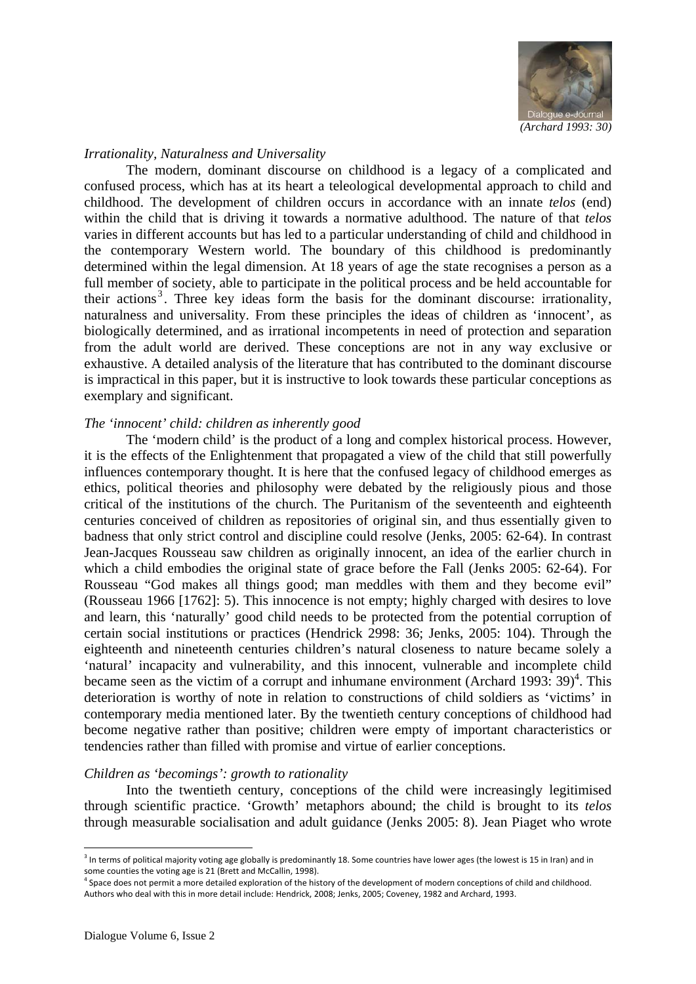

#### *Irrationality, Naturalness and Universality*

The modern, dominant discourse on childhood is a legacy of a complicated and confused process, which has at its heart a teleological developmental approach to child and childhood. The development of children occurs in accordance with an innate *telos* (end) within the child that is driving it towards a normative adulthood. The nature of that *telos* varies in different accounts but has led to a particular understanding of child and childhood in the contemporary Western world. The boundary of this childhood is predominantly determined within the legal dimension. At 18 years of age the state recognises a person as a full member of society, able to participate in the political process and be held accountable for their actions<sup>3</sup>. Three key ideas form the basis for the dominant discourse: irrationality, naturalness and universality. From these principles the ideas of children as 'innocent', as biologically determined, and as irrational incompetents in need of protection and separation from the adult world are derived. These conceptions are not in any way exclusive or exhaustive. A detailed analysis of the literature that has contributed to the dominant discourse is impractical in this paper, but it is instructive to look towards these particular conceptions as exemplary and significant.

#### *The 'innocent' child: children as inherently good*

The 'modern child' is the product of a long and complex historical process. However, it is the effects of the Enlightenment that propagated a view of the child that still powerfully influences contemporary thought. It is here that the confused legacy of childhood emerges as ethics, political theories and philosophy were debated by the religiously pious and those critical of the institutions of the church. The Puritanism of the seventeenth and eighteenth centuries conceived of children as repositories of original sin, and thus essentially given to badness that only strict control and discipline could resolve (Jenks, 2005: 62-64). In contrast Jean-Jacques Rousseau saw children as originally innocent, an idea of the earlier church in which a child embodies the original state of grace before the Fall (Jenks 2005: 62-64). For Rousseau "God makes all things good; man meddles with them and they become evil" (Rousseau 1966 [1762]: 5). This innocence is not empty; highly charged with desires to love and learn, this 'naturally' good child needs to be protected from the potential corruption of certain social institutions or practices (Hendrick 2998: 36; Jenks, 2005: 104). Through the eighteenth and nineteenth centuries children's natural closeness to nature became solely a 'natural' incapacity and vulnerability, and this innocent, vulnerable and incomplete child became seen as the victim of a corrupt and inhumane environment (Archard 1993:  $39)^4$ . This deterioration is worthy of note in relation to constructions of child soldiers as 'victims' in contemporary media mentioned later. By the twentieth century conceptions of childhood had become negative rather than positive; children were empty of important characteristics or tendencies rather than filled with promise and virtue of earlier conceptions.

#### *Children as 'becomings': growth to rationality*

Into the twentieth century, conceptions of the child were increasingly legitimised through scientific practice. 'Growth' metaphors abound; the child is brought to its *telos* through measurable socialisation and adult guidance (Jenks 2005: 8). Jean Piaget who wrote

 $3$  In terms of political majority voting age globally is predominantly 18. Some countries have lower ages (the lowest is 15 in Iran) and in some counties the voting age is 21 (Brett and McCallin, 1998).

<sup>&</sup>lt;sup>4</sup> Space does not permit a more detailed exploration of the history of the development of modern conceptions of child and childhood. Authors who deal with this in more detail include: Hendrick, 2008; Jenks, 2005; Coveney, 1982 and Archard, 1993.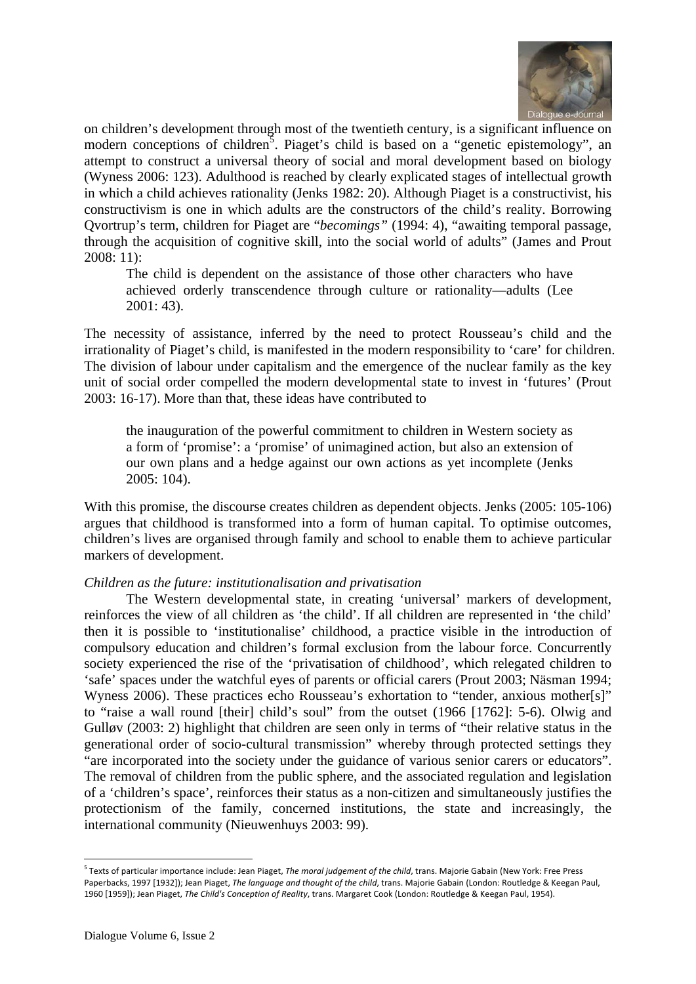

on children's development through most of the twentieth century, is a significant influence on modern conceptions of children<sup>5</sup>. Piaget's child is based on a "genetic epistemology", an attempt to construct a universal theory of social and moral development based on biology (Wyness 2006: 123). Adulthood is reached by clearly explicated stages of intellectual growth in which a child achieves rationality (Jenks 1982: 20). Although Piaget is a constructivist, his constructivism is one in which adults are the constructors of the child's reality. Borrowing Qvortrup's term, children for Piaget are "*becomings"* (1994: 4), "awaiting temporal passage, through the acquisition of cognitive skill, into the social world of adults" (James and Prout 2008: 11):

The child is dependent on the assistance of those other characters who have achieved orderly transcendence through culture or rationality—adults (Lee 2001: 43).

The necessity of assistance, inferred by the need to protect Rousseau's child and the irrationality of Piaget's child, is manifested in the modern responsibility to 'care' for children. The division of labour under capitalism and the emergence of the nuclear family as the key unit of social order compelled the modern developmental state to invest in 'futures' (Prout 2003: 16-17). More than that, these ideas have contributed to

the inauguration of the powerful commitment to children in Western society as a form of 'promise': a 'promise' of unimagined action, but also an extension of our own plans and a hedge against our own actions as yet incomplete (Jenks 2005: 104).

With this promise, the discourse creates children as dependent objects. Jenks (2005: 105-106) argues that childhood is transformed into a form of human capital. To optimise outcomes, children's lives are organised through family and school to enable them to achieve particular markers of development.

# *Children as the future: institutionalisation and privatisation*

The Western developmental state, in creating 'universal' markers of development, reinforces the view of all children as 'the child'. If all children are represented in 'the child' then it is possible to 'institutionalise' childhood, a practice visible in the introduction of compulsory education and children's formal exclusion from the labour force. Concurrently society experienced the rise of the 'privatisation of childhood', which relegated children to 'safe' spaces under the watchful eyes of parents or official carers (Prout 2003; Näsman 1994; Wyness 2006). These practices echo Rousseau's exhortation to "tender, anxious mother[s]" to "raise a wall round [their] child's soul" from the outset (1966 [1762]: 5-6). Olwig and Gulløv (2003: 2) highlight that children are seen only in terms of "their relative status in the generational order of socio-cultural transmission" whereby through protected settings they "are incorporated into the society under the guidance of various senior carers or educators". The removal of children from the public sphere, and the associated regulation and legislation of a 'children's space', reinforces their status as a non-citizen and simultaneously justifies the protectionism of the family, concerned institutions, the state and increasingly, the international community (Nieuwenhuys 2003: 99).

<sup>5</sup> Texts of particular importance include: Jean Piaget, *The moral judgement of the child*, trans. Majorie Gabain (New York: Free Press Paperbacks, 1997 [1932]); Jean Piaget, *The language and thought of the child*, trans. Majorie Gabain (London: Routledge & Keegan Paul, 1960 [1959]); Jean Piaget, *The Child's Conception of Reality*, trans. Margaret Cook (London: Routledge & Keegan Paul, 1954).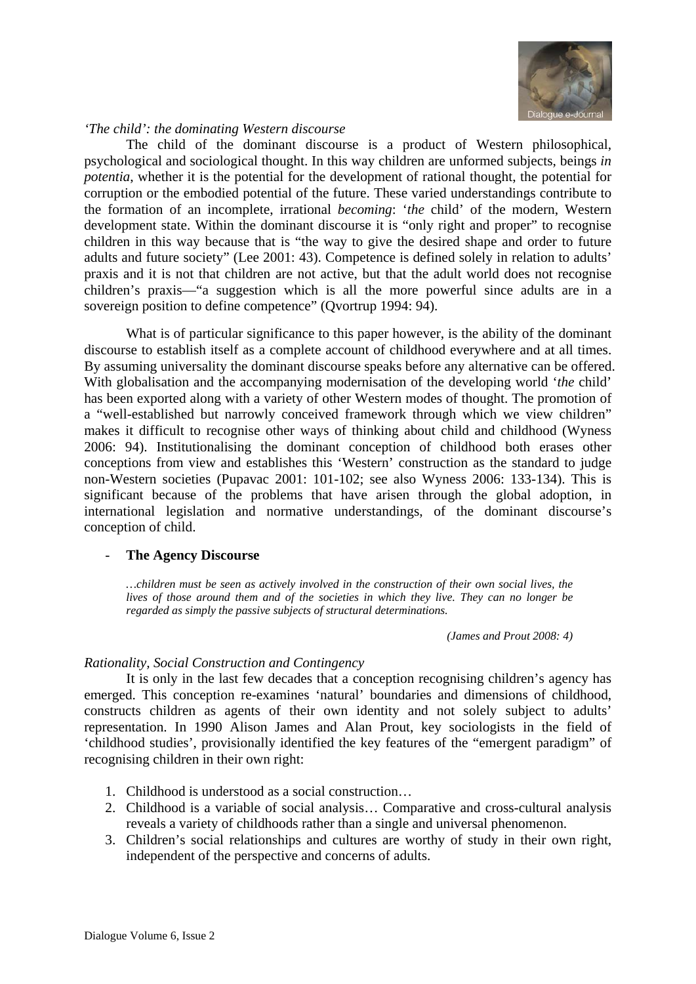

# *'The child': the dominating Western discourse*

The child of the dominant discourse is a product of Western philosophical, psychological and sociological thought. In this way children are unformed subjects, beings *in potentia*, whether it is the potential for the development of rational thought, the potential for corruption or the embodied potential of the future. These varied understandings contribute to the formation of an incomplete, irrational *becoming*: '*the* child' of the modern, Western development state. Within the dominant discourse it is "only right and proper" to recognise children in this way because that is "the way to give the desired shape and order to future adults and future society" (Lee 2001: 43). Competence is defined solely in relation to adults' praxis and it is not that children are not active, but that the adult world does not recognise children's praxis—"a suggestion which is all the more powerful since adults are in a sovereign position to define competence" (Qvortrup 1994: 94).

What is of particular significance to this paper however, is the ability of the dominant discourse to establish itself as a complete account of childhood everywhere and at all times. By assuming universality the dominant discourse speaks before any alternative can be offered. With globalisation and the accompanying modernisation of the developing world '*the* child' has been exported along with a variety of other Western modes of thought. The promotion of a "well-established but narrowly conceived framework through which we view children" makes it difficult to recognise other ways of thinking about child and childhood (Wyness 2006: 94). Institutionalising the dominant conception of childhood both erases other conceptions from view and establishes this 'Western' construction as the standard to judge non-Western societies (Pupavac 2001: 101-102; see also Wyness 2006: 133-134). This is significant because of the problems that have arisen through the global adoption, in international legislation and normative understandings, of the dominant discourse's conception of child.

#### **The Agency Discourse**

*…children must be seen as actively involved in the construction of their own social lives, the lives of those around them and of the societies in which they live. They can no longer be regarded as simply the passive subjects of structural determinations.* 

*(James and Prout 2008: 4)* 

# *Rationality, Social Construction and Contingency*

It is only in the last few decades that a conception recognising children's agency has emerged. This conception re-examines 'natural' boundaries and dimensions of childhood, constructs children as agents of their own identity and not solely subject to adults' representation. In 1990 Alison James and Alan Prout, key sociologists in the field of 'childhood studies', provisionally identified the key features of the "emergent paradigm" of recognising children in their own right:

- 1. Childhood is understood as a social construction…
- 2. Childhood is a variable of social analysis… Comparative and cross-cultural analysis reveals a variety of childhoods rather than a single and universal phenomenon.
- 3. Children's social relationships and cultures are worthy of study in their own right, independent of the perspective and concerns of adults.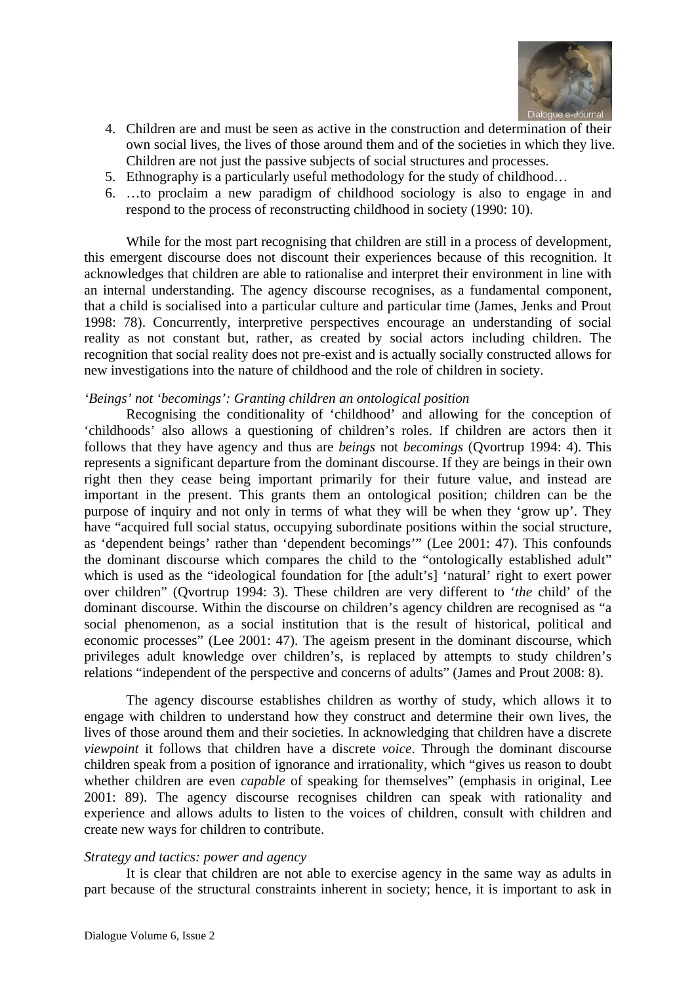

- 4. Children are and must be seen as active in the construction and determination of their own social lives, the lives of those around them and of the societies in which they live. Children are not just the passive subjects of social structures and processes.
- 5. Ethnography is a particularly useful methodology for the study of childhood…
- 6. …to proclaim a new paradigm of childhood sociology is also to engage in and respond to the process of reconstructing childhood in society (1990: 10).

While for the most part recognising that children are still in a process of development, this emergent discourse does not discount their experiences because of this recognition. It acknowledges that children are able to rationalise and interpret their environment in line with an internal understanding. The agency discourse recognises, as a fundamental component, that a child is socialised into a particular culture and particular time (James, Jenks and Prout 1998: 78). Concurrently, interpretive perspectives encourage an understanding of social reality as not constant but, rather, as created by social actors including children. The recognition that social reality does not pre-exist and is actually socially constructed allows for new investigations into the nature of childhood and the role of children in society.

#### *'Beings' not 'becomings': Granting children an ontological position*

Recognising the conditionality of 'childhood' and allowing for the conception of 'childhoods' also allows a questioning of children's roles. If children are actors then it follows that they have agency and thus are *beings* not *becomings* (Qvortrup 1994: 4). This represents a significant departure from the dominant discourse. If they are beings in their own right then they cease being important primarily for their future value, and instead are important in the present. This grants them an ontological position; children can be the purpose of inquiry and not only in terms of what they will be when they 'grow up'. They have "acquired full social status, occupying subordinate positions within the social structure, as 'dependent beings' rather than 'dependent becomings'" (Lee 2001: 47). This confounds the dominant discourse which compares the child to the "ontologically established adult" which is used as the "ideological foundation for [the adult's] 'natural' right to exert power over children" (Qvortrup 1994: 3). These children are very different to '*the* child' of the dominant discourse. Within the discourse on children's agency children are recognised as "a social phenomenon, as a social institution that is the result of historical, political and economic processes" (Lee 2001: 47). The ageism present in the dominant discourse, which privileges adult knowledge over children's, is replaced by attempts to study children's relations "independent of the perspective and concerns of adults" (James and Prout 2008: 8).

The agency discourse establishes children as worthy of study, which allows it to engage with children to understand how they construct and determine their own lives, the lives of those around them and their societies. In acknowledging that children have a discrete *viewpoint* it follows that children have a discrete *voice*. Through the dominant discourse children speak from a position of ignorance and irrationality, which "gives us reason to doubt whether children are even *capable* of speaking for themselves" (emphasis in original, Lee 2001: 89). The agency discourse recognises children can speak with rationality and experience and allows adults to listen to the voices of children, consult with children and create new ways for children to contribute.

# *Strategy and tactics: power and agency*

It is clear that children are not able to exercise agency in the same way as adults in part because of the structural constraints inherent in society; hence, it is important to ask in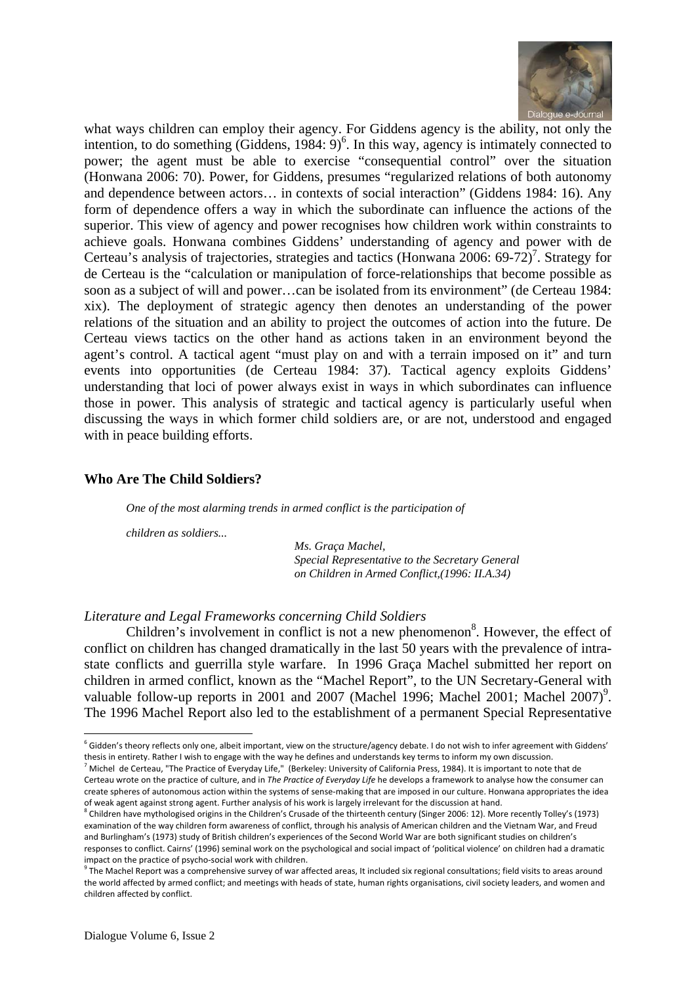

what ways children can employ their agency. For Giddens agency is the ability, not only the intention, to do something  $(\text{Giddens}, 1984: 9)^6$ . In this way, agency is intimately connected to power; the agent must be able to exercise "consequential control" over the situation (Honwana 2006: 70). Power, for Giddens, presumes "regularized relations of both autonomy and dependence between actors… in contexts of social interaction" (Giddens 1984: 16). Any form of dependence offers a way in which the subordinate can influence the actions of the superior. This view of agency and power recognises how children work within constraints to achieve goals. Honwana combines Giddens' understanding of agency and power with de Certeau's analysis of trajectories, strategies and tactics (Honwana 2006: 69-72)<sup>7</sup>. Strategy for de Certeau is the "calculation or manipulation of force-relationships that become possible as soon as a subject of will and power…can be isolated from its environment" (de Certeau 1984: xix). The deployment of strategic agency then denotes an understanding of the power relations of the situation and an ability to project the outcomes of action into the future. De Certeau views tactics on the other hand as actions taken in an environment beyond the agent's control. A tactical agent "must play on and with a terrain imposed on it" and turn events into opportunities (de Certeau 1984: 37). Tactical agency exploits Giddens' understanding that loci of power always exist in ways in which subordinates can influence those in power. This analysis of strategic and tactical agency is particularly useful when discussing the ways in which former child soldiers are, or are not, understood and engaged with in peace building efforts.

# **Who Are The Child Soldiers?**

*One of the most alarming trends in armed conflict is the participation of* 

*children as soldiers...* 

*Ms. Graça Machel, Special Representative to the Secretary General on Children in Armed Conflict,(1996: II.A.34)* 

# *Literature and Legal Frameworks concerning Child Soldiers*

Children's involvement in conflict is not a new phenomenon<sup>8</sup>. However, the effect of conflict on children has changed dramatically in the last 50 years with the prevalence of intrastate conflicts and guerrilla style warfare. In 1996 Graça Machel submitted her report on children in armed conflict, known as the "Machel Report", to the UN Secretary-General with valuable follow-up reports in 2001 and 2007 (Machel 1996; Machel 2001; Machel 2007)<sup>9</sup>. The 1996 Machel Report also led to the establishment of a permanent Special Representative

 $^6$  Gidden's theory reflects only one, albeit important, view on the structure/agency debate. I do not wish to infer agreement with Giddens' thesis in entirety. Rather I wish to engage with the way he defines and understands key terms to inform my own discussion.

<sup>7</sup> Michel de Certeau, "The Practice of Everyday Life," (Berkeley: University of California Press, 1984). It is important to note that de Certeau wrote on the practice of culture, and in *The Practice of Everyday Life* he develops a framework to analyse how the consumer can create spheres of autonomous action within the systems of sense‐making that are imposed in our culture. Honwana appropriates the idea of weak agent against strong agent. Further analysis of his work is largely irrelevant for the discussion at hand.

<sup>&</sup>lt;sup>8</sup> Children have mythologised origins in the Children's Crusade of the thirteenth century (Singer 2006: 12). More recently Tolley's (1973) examination of the way children form awareness of conflict, through his analysis of American children and the Vietnam War, and Freud and Burlingham's (1973) study of British children's experiences of the Second World War are both significant studies on children's responses to conflict. Cairns' (1996) seminal work on the psychological and social impact of 'political violence' on children had a dramatic impact on the practice of psycho-social work with children.

impact of the processes of practice of psycholocial with children. 9 The Machel Secondal Consultations; field visits to areas around  $\frac{9}{100}$ the world affected by armed conflict; and meetings with heads of state, human rights organisations, civil society leaders, and women and children affected by conflict.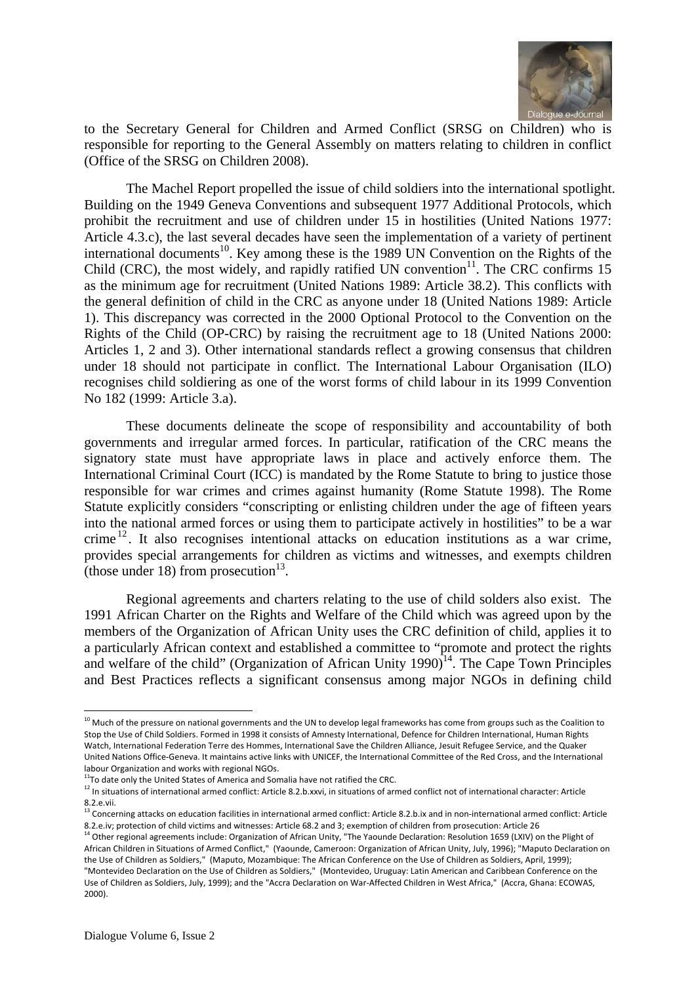

to the Secretary General for Children and Armed Conflict (SRSG on Children) who is responsible for reporting to the General Assembly on matters relating to children in conflict (Office of the SRSG on Children 2008).

The Machel Report propelled the issue of child soldiers into the international spotlight. Building on the 1949 Geneva Conventions and subsequent 1977 Additional Protocols, which prohibit the recruitment and use of children under 15 in hostilities (United Nations 1977: Article 4.3.c), the last several decades have seen the implementation of a variety of pertinent international documents<sup>10</sup>. Key among these is the 1989 UN Convention on the Rights of the Child (CRC), the most widely, and rapidly ratified UN convention $11$ . The CRC confirms 15 as the minimum age for recruitment (United Nations 1989: Article 38.2). This conflicts with the general definition of child in the CRC as anyone under 18 (United Nations 1989: Article 1). This discrepancy was corrected in the 2000 Optional Protocol to the Convention on the Rights of the Child (OP-CRC) by raising the recruitment age to 18 (United Nations 2000: Articles 1, 2 and 3). Other international standards reflect a growing consensus that children under 18 should not participate in conflict. The International Labour Organisation (ILO) recognises child soldiering as one of the worst forms of child labour in its 1999 Convention No 182 (1999: Article 3.a).

These documents delineate the scope of responsibility and accountability of both governments and irregular armed forces. In particular, ratification of the CRC means the signatory state must have appropriate laws in place and actively enforce them. The International Criminal Court (ICC) is mandated by the Rome Statute to bring to justice those responsible for war crimes and crimes against humanity (Rome Statute 1998). The Rome Statute explicitly considers "conscripting or enlisting children under the age of fifteen years into the national armed forces or using them to participate actively in hostilities" to be a war crime  $12$ . It also recognises intentional attacks on education institutions as a war crime, provides special arrangements for children as victims and witnesses, and exempts children (those under 18) from prosecution<sup>13</sup>.

Regional agreements and charters relating to the use of child solders also exist. The 1991 African Charter on the Rights and Welfare of the Child which was agreed upon by the members of the Organization of African Unity uses the CRC definition of child, applies it to a particularly African context and established a committee to "promote and protect the rights and welfare of the child" (Organization of African Unity  $1990$ <sup> $14$ </sup>. The Cape Town Principles and Best Practices reflects a significant consensus among major NGOs in defining child

  $^{10}$  Much of the pressure on national governments and the UN to develop legal frameworks has come from groups such as the Coalition to Stop the Use of Child Soldiers. Formed in 1998 it consists of Amnesty International, Defence for Children International, Human Rights Watch, International Federation Terre des Hommes, International Save the Children Alliance, Jesuit Refugee Service, and the Quaker United Nations Office‐Geneva. It maintains active links with UNICEF, the International Committee of the Red Cross, and the International labour Organization and works with regional NGOs.<br><sup>11</sup>To date only the United States of America and Somalia have not ratified the CRC.

<sup>&</sup>lt;sup>12</sup> In situations of international armed conflict: Article 8.2.b.xxvi, in situations of armed conflict not of international character: Article 8.2.e.vii.

 $13$  Concerning attacks on education facilities in international armed conflict: Article 8.2.b.ix and in non-international armed conflict: Article 8.2.e.iv; protection of child victims and witnesses: Article 68.2 and 3; exemption of children from prosecution: Article 26

<sup>&</sup>lt;sup>14</sup> Other regional agreements include: Organization of African Unity, "The Yaounde Declaration: Resolution 1659 (LXIV) on the Plight of African Children in Situations of Armed Conflict," (Yaounde, Cameroon: Organization of African Unity, July, 1996); "Maputo Declaration on the Use of Children as Soldiers," (Maputo, Mozambique: The African Conference on the Use of Children as Soldiers, April, 1999); "Montevideo Declaration on the Use of Children as Soldiers," (Montevideo, Uruguay: Latin American and Caribbean Conference on the Use of Children as Soldiers, July, 1999); and the "Accra Declaration on War‐Affected Children in West Africa," (Accra, Ghana: ECOWAS, 2000).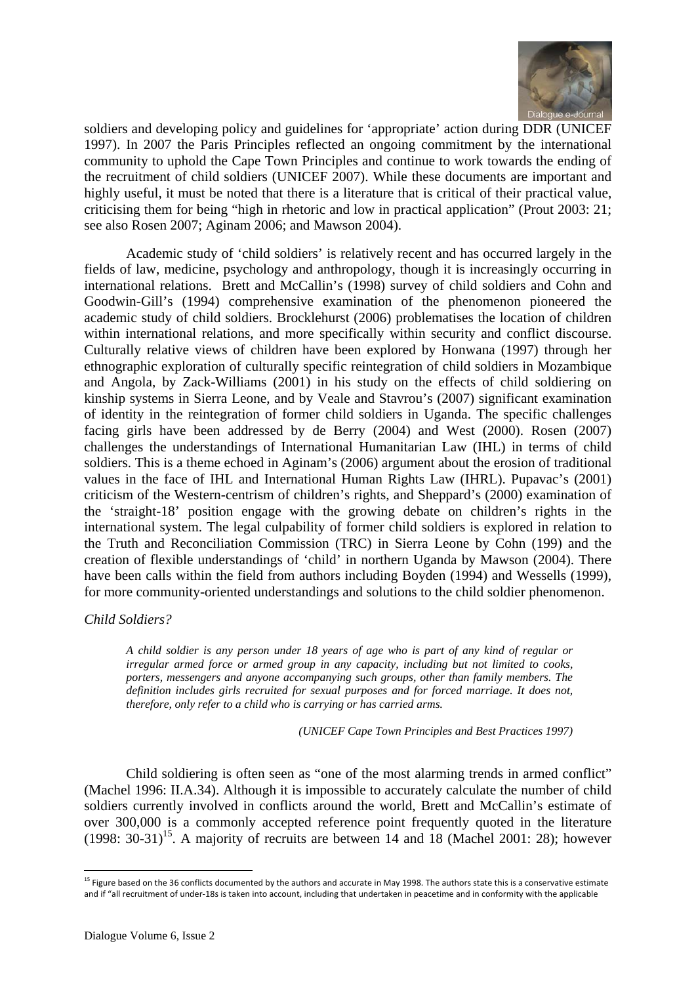

soldiers and developing policy and guidelines for 'appropriate' action during DDR (UNICEF 1997). In 2007 the Paris Principles reflected an ongoing commitment by the international community to uphold the Cape Town Principles and continue to work towards the ending of the recruitment of child soldiers (UNICEF 2007). While these documents are important and highly useful, it must be noted that there is a literature that is critical of their practical value, criticising them for being "high in rhetoric and low in practical application" (Prout 2003: 21; see also Rosen 2007; Aginam 2006; and Mawson 2004).

Academic study of 'child soldiers' is relatively recent and has occurred largely in the fields of law, medicine, psychology and anthropology, though it is increasingly occurring in international relations. Brett and McCallin's (1998) survey of child soldiers and Cohn and Goodwin-Gill's (1994) comprehensive examination of the phenomenon pioneered the academic study of child soldiers. Brocklehurst (2006) problematises the location of children within international relations, and more specifically within security and conflict discourse. Culturally relative views of children have been explored by Honwana (1997) through her ethnographic exploration of culturally specific reintegration of child soldiers in Mozambique and Angola, by Zack-Williams (2001) in his study on the effects of child soldiering on kinship systems in Sierra Leone, and by Veale and Stavrou's (2007) significant examination of identity in the reintegration of former child soldiers in Uganda. The specific challenges facing girls have been addressed by de Berry (2004) and West (2000). Rosen (2007) challenges the understandings of International Humanitarian Law (IHL) in terms of child soldiers. This is a theme echoed in Aginam's (2006) argument about the erosion of traditional values in the face of IHL and International Human Rights Law (IHRL). Pupavac's (2001) criticism of the Western-centrism of children's rights, and Sheppard's (2000) examination of the 'straight-18' position engage with the growing debate on children's rights in the international system. The legal culpability of former child soldiers is explored in relation to the Truth and Reconciliation Commission (TRC) in Sierra Leone by Cohn (199) and the creation of flexible understandings of 'child' in northern Uganda by Mawson (2004). There have been calls within the field from authors including Boyden (1994) and Wessells (1999), for more community-oriented understandings and solutions to the child soldier phenomenon.

#### *Child Soldiers?*

*A child soldier is any person under 18 years of age who is part of any kind of regular or irregular armed force or armed group in any capacity, including but not limited to cooks, porters, messengers and anyone accompanying such groups, other than family members. The definition includes girls recruited for sexual purposes and for forced marriage. It does not, therefore, only refer to a child who is carrying or has carried arms.* 

*(UNICEF Cape Town Principles and Best Practices 1997)* 

Child soldiering is often seen as "one of the most alarming trends in armed conflict" (Machel 1996: II.A.34). Although it is impossible to accurately calculate the number of child soldiers currently involved in conflicts around the world, Brett and McCallin's estimate of over 300,000 is a commonly accepted reference point frequently quoted in the literature  $(1998: 30-31)^{15}$ . A majority of recruits are between 14 and 18 (Machel 2001: 28); however

<sup>&</sup>lt;sup>15</sup> Figure based on the 36 conflicts documented by the authors and accurate in May 1998. The authors state this is a conservative estimate and if "all recruitment of under‐18s is taken into account, including that undertaken in peacetime and in conformity with the applicable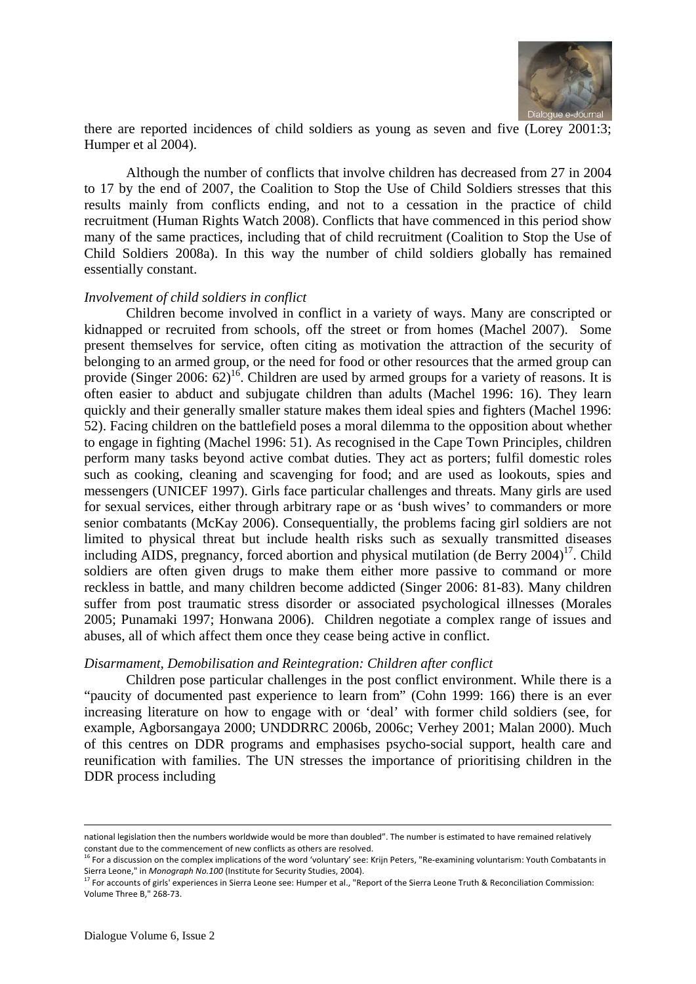

there are reported incidences of child soldiers as young as seven and five (Lorey 2001:3; Humper et al 2004).

Although the number of conflicts that involve children has decreased from 27 in 2004 to 17 by the end of 2007, the Coalition to Stop the Use of Child Soldiers stresses that this results mainly from conflicts ending, and not to a cessation in the practice of child recruitment (Human Rights Watch 2008). Conflicts that have commenced in this period show many of the same practices, including that of child recruitment (Coalition to Stop the Use of Child Soldiers 2008a). In this way the number of child soldiers globally has remained essentially constant.

#### *Involvement of child soldiers in conflict*

Children become involved in conflict in a variety of ways. Many are conscripted or kidnapped or recruited from schools, off the street or from homes (Machel 2007). Some present themselves for service, often citing as motivation the attraction of the security of belonging to an armed group, or the need for food or other resources that the armed group can provide (Singer 2006:  $62$ )<sup>16</sup>. Children are used by armed groups for a variety of reasons. It is often easier to abduct and subjugate children than adults (Machel 1996: 16). They learn quickly and their generally smaller stature makes them ideal spies and fighters (Machel 1996: 52). Facing children on the battlefield poses a moral dilemma to the opposition about whether to engage in fighting (Machel 1996: 51). As recognised in the Cape Town Principles, children perform many tasks beyond active combat duties. They act as porters; fulfil domestic roles such as cooking, cleaning and scavenging for food; and are used as lookouts, spies and messengers (UNICEF 1997). Girls face particular challenges and threats. Many girls are used for sexual services, either through arbitrary rape or as 'bush wives' to commanders or more senior combatants (McKay 2006). Consequentially, the problems facing girl soldiers are not limited to physical threat but include health risks such as sexually transmitted diseases including AIDS, pregnancy, forced abortion and physical mutilation (de Berry  $2004$ )<sup>17</sup>. Child soldiers are often given drugs to make them either more passive to command or more reckless in battle, and many children become addicted (Singer 2006: 81-83). Many children suffer from post traumatic stress disorder or associated psychological illnesses (Morales 2005; Punamaki 1997; Honwana 2006). Children negotiate a complex range of issues and abuses, all of which affect them once they cease being active in conflict.

#### *Disarmament, Demobilisation and Reintegration: Children after conflict*

Children pose particular challenges in the post conflict environment. While there is a "paucity of documented past experience to learn from" (Cohn 1999: 166) there is an ever increasing literature on how to engage with or 'deal' with former child soldiers (see, for example, Agborsangaya 2000; UNDDRRC 2006b, 2006c; Verhey 2001; Malan 2000). Much of this centres on DDR programs and emphasises psycho-social support, health care and reunification with families. The UN stresses the importance of prioritising children in the DDR process including

<u> 1989 - Johann Barn, amerikansk politiker (d. 1989)</u>

national legislation then the numbers worldwide would be more than doubled". The number is estimated to have remained relatively constant due to the commencement of new conflicts as others are resolved.

<sup>&</sup>lt;sup>16</sup> For a discussion on the complex implications of the word 'voluntary' see: Krijn Peters, "Re-examining voluntarism: Youth Combatants in Sierra Leone," in *Monograph No.100* (Institute for Security Studies, 2004).

 $^{17}$  For accounts of girls' experiences in Sierra Leone see: Humper et al., "Report of the Sierra Leone Truth & Reconciliation Commission: Volume Three B," 268‐73.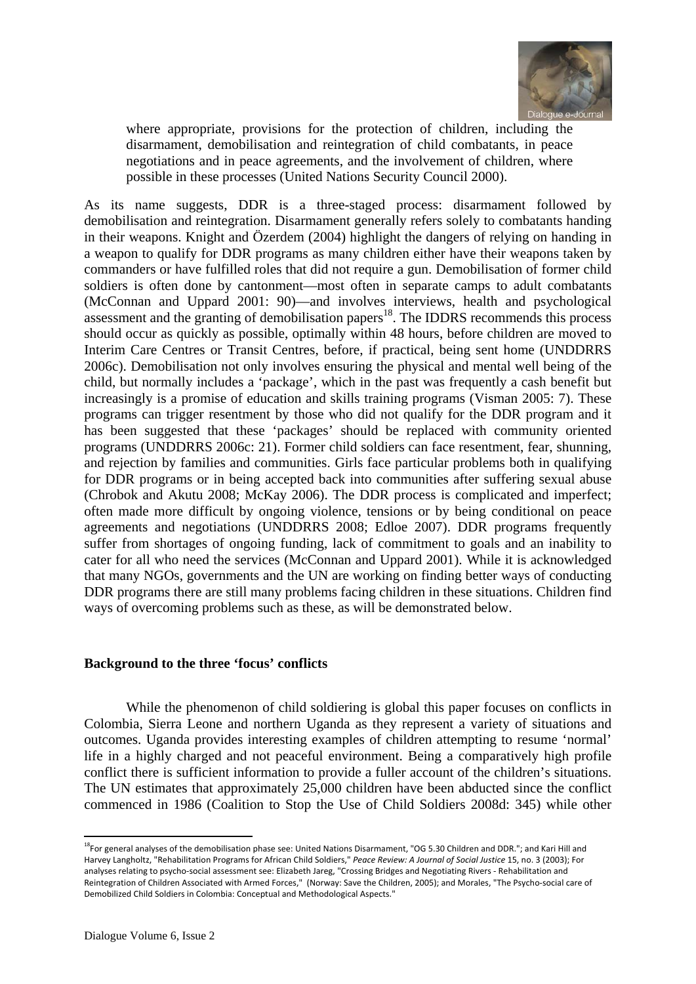

where appropriate, provisions for the protection of children, including the disarmament, demobilisation and reintegration of child combatants, in peace negotiations and in peace agreements, and the involvement of children, where possible in these processes (United Nations Security Council 2000).

As its name suggests, DDR is a three-staged process: disarmament followed by demobilisation and reintegration. Disarmament generally refers solely to combatants handing in their weapons. Knight and Özerdem (2004) highlight the dangers of relying on handing in a weapon to qualify for DDR programs as many children either have their weapons taken by commanders or have fulfilled roles that did not require a gun. Demobilisation of former child soldiers is often done by cantonment—most often in separate camps to adult combatants (McConnan and Uppard 2001: 90)—and involves interviews, health and psychological assessment and the granting of demobilisation papers<sup>18</sup>. The IDDRS recommends this process should occur as quickly as possible, optimally within 48 hours, before children are moved to Interim Care Centres or Transit Centres, before, if practical, being sent home (UNDDRRS 2006c). Demobilisation not only involves ensuring the physical and mental well being of the child, but normally includes a 'package', which in the past was frequently a cash benefit but increasingly is a promise of education and skills training programs (Visman 2005: 7). These programs can trigger resentment by those who did not qualify for the DDR program and it has been suggested that these 'packages' should be replaced with community oriented programs (UNDDRRS 2006c: 21). Former child soldiers can face resentment, fear, shunning, and rejection by families and communities. Girls face particular problems both in qualifying for DDR programs or in being accepted back into communities after suffering sexual abuse (Chrobok and Akutu 2008; McKay 2006). The DDR process is complicated and imperfect; often made more difficult by ongoing violence, tensions or by being conditional on peace agreements and negotiations (UNDDRRS 2008; Edloe 2007). DDR programs frequently suffer from shortages of ongoing funding, lack of commitment to goals and an inability to cater for all who need the services (McConnan and Uppard 2001). While it is acknowledged that many NGOs, governments and the UN are working on finding better ways of conducting DDR programs there are still many problems facing children in these situations. Children find ways of overcoming problems such as these, as will be demonstrated below.

# **Background to the three 'focus' conflicts**

While the phenomenon of child soldiering is global this paper focuses on conflicts in Colombia, Sierra Leone and northern Uganda as they represent a variety of situations and outcomes. Uganda provides interesting examples of children attempting to resume 'normal' life in a highly charged and not peaceful environment. Being a comparatively high profile conflict there is sufficient information to provide a fuller account of the children's situations. The UN estimates that approximately 25,000 children have been abducted since the conflict commenced in 1986 (Coalition to Stop the Use of Child Soldiers 2008d: 345) while other

 <sup>18</sup>For general analyses of the demobilisation phase see: United Nations Disarmament, "OG 5.30 Children and DDR."; and Kari Hill and Harvey Langholtz, "Rehabilitation Programs for African Child Soldiers," *Peace Review: A Journal of Social Justice* 15, no. 3 (2003); For analyses relating to psycho‐social assessment see: Elizabeth Jareg, "Crossing Bridges and Negotiating Rivers ‐ Rehabilitation and Reintegration of Children Associated with Armed Forces," (Norway: Save the Children, 2005); and Morales, "The Psycho‐social care of Demobilized Child Soldiers in Colombia: Conceptual and Methodological Aspects."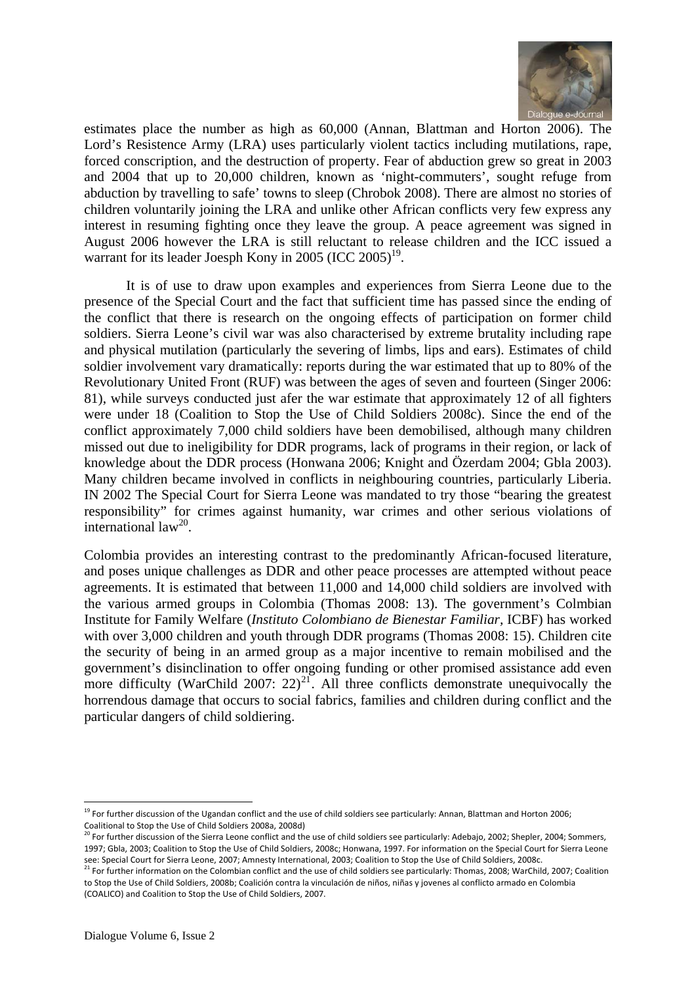

estimates place the number as high as 60,000 (Annan, Blattman and Horton 2006). The Lord's Resistence Army (LRA) uses particularly violent tactics including mutilations, rape, forced conscription, and the destruction of property. Fear of abduction grew so great in 2003 and 2004 that up to 20,000 children, known as 'night-commuters', sought refuge from abduction by travelling to safe' towns to sleep (Chrobok 2008). There are almost no stories of children voluntarily joining the LRA and unlike other African conflicts very few express any interest in resuming fighting once they leave the group. A peace agreement was signed in August 2006 however the LRA is still reluctant to release children and the ICC issued a warrant for its leader Joesph Kony in 2005 (ICC  $2005$ )<sup>19</sup>.

It is of use to draw upon examples and experiences from Sierra Leone due to the presence of the Special Court and the fact that sufficient time has passed since the ending of the conflict that there is research on the ongoing effects of participation on former child soldiers. Sierra Leone's civil war was also characterised by extreme brutality including rape and physical mutilation (particularly the severing of limbs, lips and ears). Estimates of child soldier involvement vary dramatically: reports during the war estimated that up to 80% of the Revolutionary United Front (RUF) was between the ages of seven and fourteen (Singer 2006: 81), while surveys conducted just afer the war estimate that approximately 12 of all fighters were under 18 (Coalition to Stop the Use of Child Soldiers 2008c). Since the end of the conflict approximately 7,000 child soldiers have been demobilised, although many children missed out due to ineligibility for DDR programs, lack of programs in their region, or lack of knowledge about the DDR process (Honwana 2006; Knight and Özerdam 2004; Gbla 2003). Many children became involved in conflicts in neighbouring countries, particularly Liberia. IN 2002 The Special Court for Sierra Leone was mandated to try those "bearing the greatest responsibility" for crimes against humanity, war crimes and other serious violations of international law<sup>20</sup>.

Colombia provides an interesting contrast to the predominantly African-focused literature, and poses unique challenges as DDR and other peace processes are attempted without peace agreements. It is estimated that between 11,000 and 14,000 child soldiers are involved with the various armed groups in Colombia (Thomas 2008: 13). The government's Colmbian Institute for Family Welfare (*Instituto Colombiano de Bienestar Familiar,* ICBF) has worked with over 3,000 children and youth through DDR programs (Thomas 2008: 15). Children cite the security of being in an armed group as a major incentive to remain mobilised and the government's disinclination to offer ongoing funding or other promised assistance add even more difficulty (WarChild 2007:  $22)^{21}$ . All three conflicts demonstrate unequivocally the horrendous damage that occurs to social fabrics, families and children during conflict and the particular dangers of child soldiering.

<sup>&</sup>lt;sup>19</sup> For further discussion of the Ugandan conflict and the use of child soldiers see particularly: Annan, Blattman and Horton 2006; Coalitional to Stop the Use of Child Soldiers 2008a, 2008d)

 $^{20}$  For further discussion of the Sierra Leone conflict and the use of child soldiers see particularly: Adebajo, 2002; Shepler, 2004; Sommers, 1997; Gbla, 2003; Coalition to Stop the Use of Child Soldiers, 2008c; Honwana, 1997. For information on the Special Court for Sierra Leone see: Special Court for Sierra Leone, 2007; Amnesty International, 2003; Coalition to Stop the Use of Child Soldiers, 2008c.<br><sup>21</sup> For further information on the Colombian conflict and the use of child soldiers see particula

to Stop the Use of Child Soldiers, 2008b; Coalición contra la vinculación de niños, niñas y jovenes al conflicto armado en Colombia (COALICO) and Coalition to Stop the Use of Child Soldiers, 2007.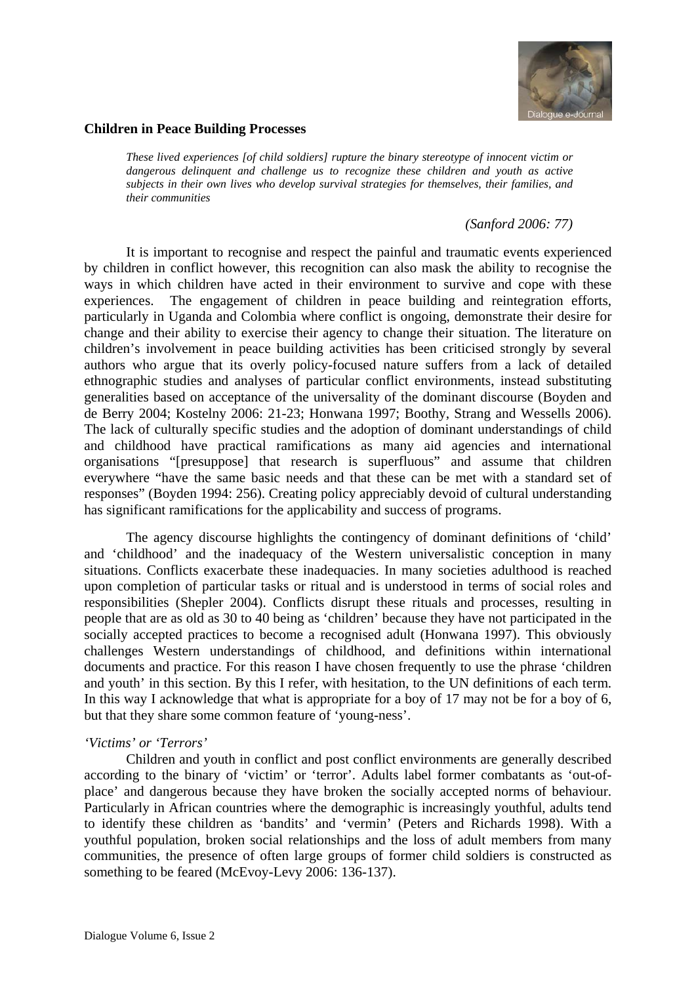

#### **Children in Peace Building Processes**

*These lived experiences [of child soldiers] rupture the binary stereotype of innocent victim or dangerous delinquent and challenge us to recognize these children and youth as active subjects in their own lives who develop survival strategies for themselves, their families, and their communities* 

# *(Sanford 2006: 77)*

It is important to recognise and respect the painful and traumatic events experienced by children in conflict however, this recognition can also mask the ability to recognise the ways in which children have acted in their environment to survive and cope with these experiences. The engagement of children in peace building and reintegration efforts, particularly in Uganda and Colombia where conflict is ongoing, demonstrate their desire for change and their ability to exercise their agency to change their situation. The literature on children's involvement in peace building activities has been criticised strongly by several authors who argue that its overly policy-focused nature suffers from a lack of detailed ethnographic studies and analyses of particular conflict environments, instead substituting generalities based on acceptance of the universality of the dominant discourse (Boyden and de Berry 2004; Kostelny 2006: 21-23; Honwana 1997; Boothy, Strang and Wessells 2006). The lack of culturally specific studies and the adoption of dominant understandings of child and childhood have practical ramifications as many aid agencies and international organisations "[presuppose] that research is superfluous" and assume that children everywhere "have the same basic needs and that these can be met with a standard set of responses" (Boyden 1994: 256). Creating policy appreciably devoid of cultural understanding has significant ramifications for the applicability and success of programs.

The agency discourse highlights the contingency of dominant definitions of 'child' and 'childhood' and the inadequacy of the Western universalistic conception in many situations. Conflicts exacerbate these inadequacies. In many societies adulthood is reached upon completion of particular tasks or ritual and is understood in terms of social roles and responsibilities (Shepler 2004). Conflicts disrupt these rituals and processes, resulting in people that are as old as 30 to 40 being as 'children' because they have not participated in the socially accepted practices to become a recognised adult (Honwana 1997). This obviously challenges Western understandings of childhood, and definitions within international documents and practice. For this reason I have chosen frequently to use the phrase 'children and youth' in this section. By this I refer, with hesitation, to the UN definitions of each term. In this way I acknowledge that what is appropriate for a boy of 17 may not be for a boy of 6, but that they share some common feature of 'young-ness'.

# *'Victims' or 'Terrors'*

Children and youth in conflict and post conflict environments are generally described according to the binary of 'victim' or 'terror'. Adults label former combatants as 'out-ofplace' and dangerous because they have broken the socially accepted norms of behaviour. Particularly in African countries where the demographic is increasingly youthful, adults tend to identify these children as 'bandits' and 'vermin' (Peters and Richards 1998). With a youthful population, broken social relationships and the loss of adult members from many communities, the presence of often large groups of former child soldiers is constructed as something to be feared (McEvoy-Levy 2006: 136-137).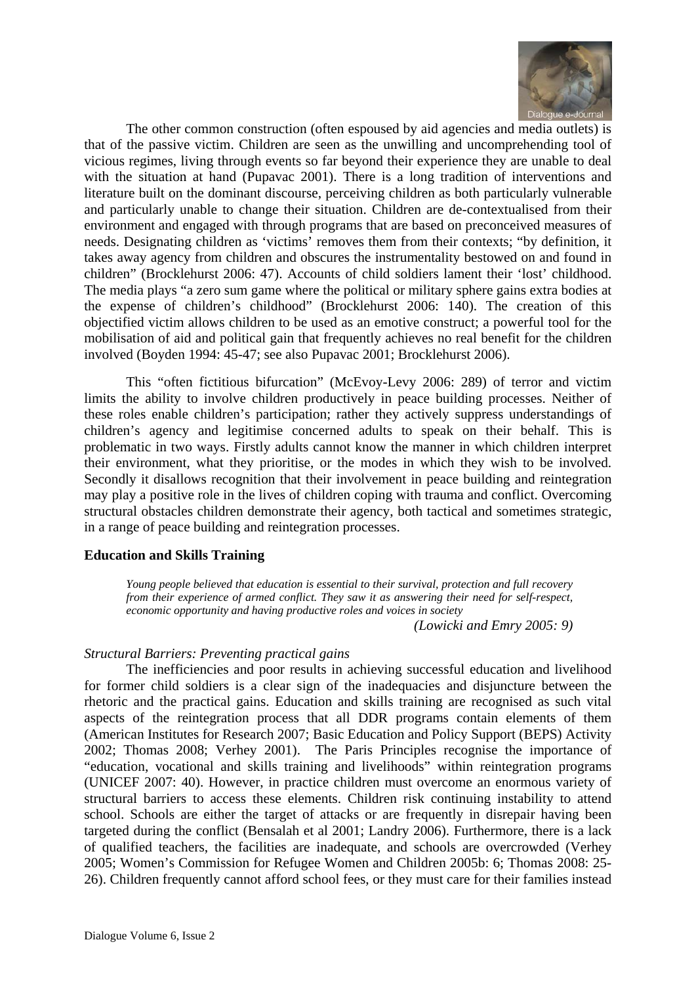

The other common construction (often espoused by aid agencies and media outlets) is that of the passive victim. Children are seen as the unwilling and uncomprehending tool of vicious regimes, living through events so far beyond their experience they are unable to deal with the situation at hand (Pupavac 2001). There is a long tradition of interventions and literature built on the dominant discourse, perceiving children as both particularly vulnerable and particularly unable to change their situation. Children are de-contextualised from their environment and engaged with through programs that are based on preconceived measures of needs. Designating children as 'victims' removes them from their contexts; "by definition, it takes away agency from children and obscures the instrumentality bestowed on and found in children" (Brocklehurst 2006: 47). Accounts of child soldiers lament their 'lost' childhood. The media plays "a zero sum game where the political or military sphere gains extra bodies at the expense of children's childhood" (Brocklehurst 2006: 140). The creation of this objectified victim allows children to be used as an emotive construct; a powerful tool for the mobilisation of aid and political gain that frequently achieves no real benefit for the children involved (Boyden 1994: 45-47; see also Pupavac 2001; Brocklehurst 2006).

This "often fictitious bifurcation" (McEvoy-Levy 2006: 289) of terror and victim limits the ability to involve children productively in peace building processes. Neither of these roles enable children's participation; rather they actively suppress understandings of children's agency and legitimise concerned adults to speak on their behalf. This is problematic in two ways. Firstly adults cannot know the manner in which children interpret their environment, what they prioritise, or the modes in which they wish to be involved. Secondly it disallows recognition that their involvement in peace building and reintegration may play a positive role in the lives of children coping with trauma and conflict. Overcoming structural obstacles children demonstrate their agency, both tactical and sometimes strategic, in a range of peace building and reintegration processes.

# **Education and Skills Training**

*Young people believed that education is essential to their survival, protection and full recovery from their experience of armed conflict. They saw it as answering their need for self-respect, economic opportunity and having productive roles and voices in society* 

*(Lowicki and Emry 2005: 9)* 

# *Structural Barriers: Preventing practical gains*

The inefficiencies and poor results in achieving successful education and livelihood for former child soldiers is a clear sign of the inadequacies and disjuncture between the rhetoric and the practical gains. Education and skills training are recognised as such vital aspects of the reintegration process that all DDR programs contain elements of them (American Institutes for Research 2007; Basic Education and Policy Support (BEPS) Activity 2002; Thomas 2008; Verhey 2001). The Paris Principles recognise the importance of "education, vocational and skills training and livelihoods" within reintegration programs (UNICEF 2007: 40). However, in practice children must overcome an enormous variety of structural barriers to access these elements. Children risk continuing instability to attend school. Schools are either the target of attacks or are frequently in disrepair having been targeted during the conflict (Bensalah et al 2001; Landry 2006). Furthermore, there is a lack of qualified teachers, the facilities are inadequate, and schools are overcrowded (Verhey 2005; Women's Commission for Refugee Women and Children 2005b: 6; Thomas 2008: 25- 26). Children frequently cannot afford school fees, or they must care for their families instead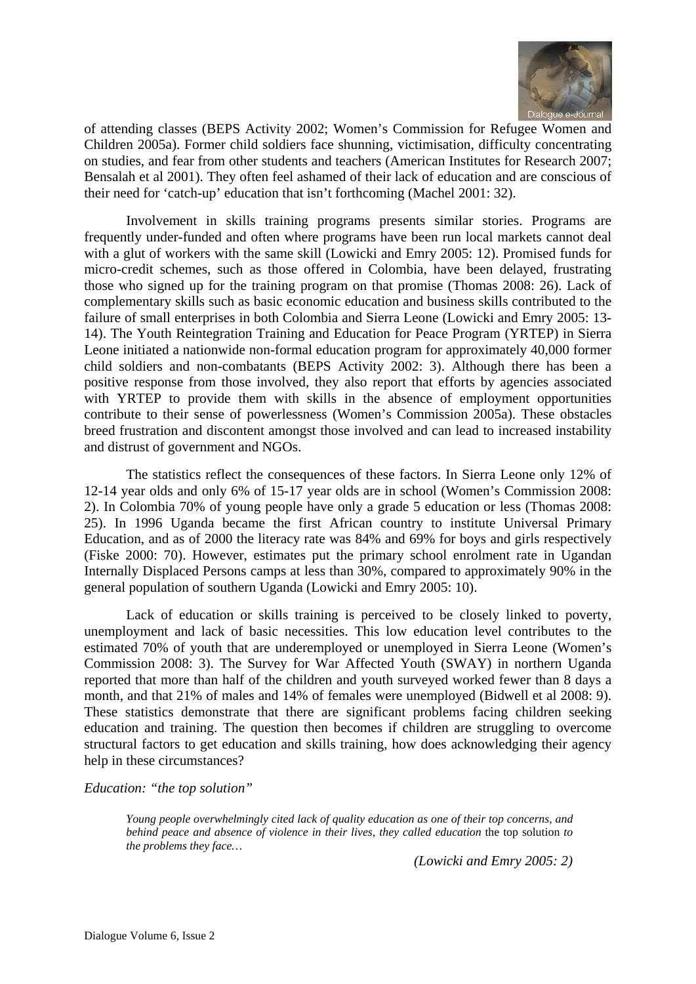

of attending classes (BEPS Activity 2002; Women's Commission for Refugee Women and Children 2005a). Former child soldiers face shunning, victimisation, difficulty concentrating on studies, and fear from other students and teachers (American Institutes for Research 2007; Bensalah et al 2001). They often feel ashamed of their lack of education and are conscious of their need for 'catch-up' education that isn't forthcoming (Machel 2001: 32).

Involvement in skills training programs presents similar stories. Programs are frequently under-funded and often where programs have been run local markets cannot deal with a glut of workers with the same skill (Lowicki and Emry 2005: 12). Promised funds for micro-credit schemes, such as those offered in Colombia, have been delayed, frustrating those who signed up for the training program on that promise (Thomas 2008: 26). Lack of complementary skills such as basic economic education and business skills contributed to the failure of small enterprises in both Colombia and Sierra Leone (Lowicki and Emry 2005: 13- 14). The Youth Reintegration Training and Education for Peace Program (YRTEP) in Sierra Leone initiated a nationwide non-formal education program for approximately 40,000 former child soldiers and non-combatants (BEPS Activity 2002: 3). Although there has been a positive response from those involved, they also report that efforts by agencies associated with YRTEP to provide them with skills in the absence of employment opportunities contribute to their sense of powerlessness (Women's Commission 2005a). These obstacles breed frustration and discontent amongst those involved and can lead to increased instability and distrust of government and NGOs.

The statistics reflect the consequences of these factors. In Sierra Leone only 12% of 12-14 year olds and only 6% of 15-17 year olds are in school (Women's Commission 2008: 2). In Colombia 70% of young people have only a grade 5 education or less (Thomas 2008: 25). In 1996 Uganda became the first African country to institute Universal Primary Education, and as of 2000 the literacy rate was 84% and 69% for boys and girls respectively (Fiske 2000: 70). However, estimates put the primary school enrolment rate in Ugandan Internally Displaced Persons camps at less than 30%, compared to approximately 90% in the general population of southern Uganda (Lowicki and Emry 2005: 10).

Lack of education or skills training is perceived to be closely linked to poverty, unemployment and lack of basic necessities. This low education level contributes to the estimated 70% of youth that are underemployed or unemployed in Sierra Leone (Women's Commission 2008: 3). The Survey for War Affected Youth (SWAY) in northern Uganda reported that more than half of the children and youth surveyed worked fewer than 8 days a month, and that 21% of males and 14% of females were unemployed (Bidwell et al 2008: 9). These statistics demonstrate that there are significant problems facing children seeking education and training. The question then becomes if children are struggling to overcome structural factors to get education and skills training, how does acknowledging their agency help in these circumstances?

*Education: "the top solution"* 

*Young people overwhelmingly cited lack of quality education as one of their top concerns, and behind peace and absence of violence in their lives, they called education* the top solution *to the problems they face…* 

*(Lowicki and Emry 2005: 2)*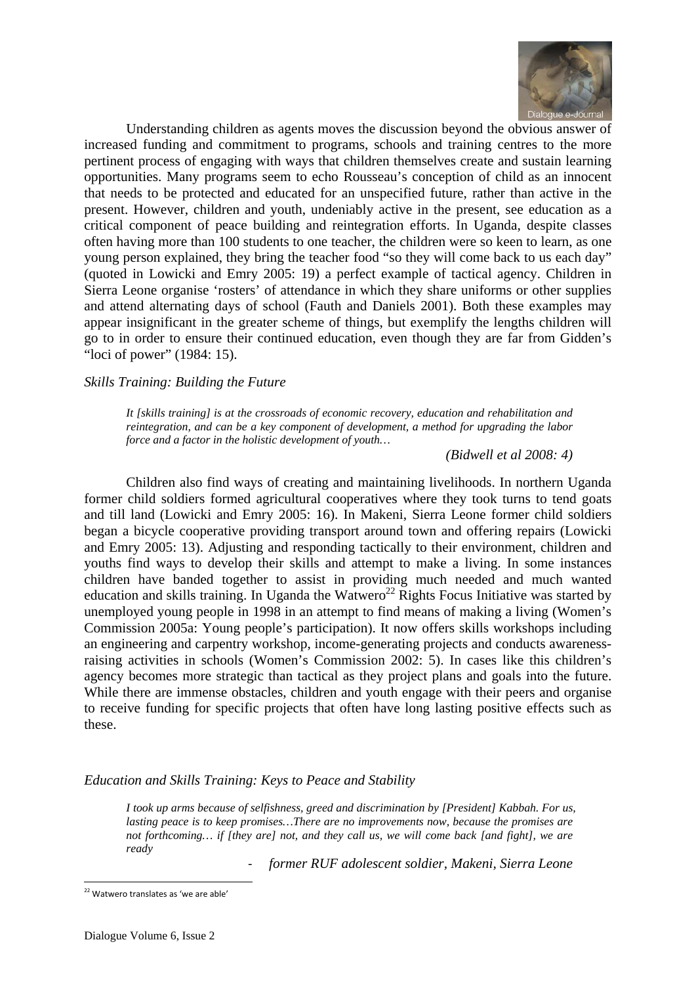

Understanding children as agents moves the discussion beyond the obvious answer of increased funding and commitment to programs, schools and training centres to the more pertinent process of engaging with ways that children themselves create and sustain learning opportunities. Many programs seem to echo Rousseau's conception of child as an innocent that needs to be protected and educated for an unspecified future, rather than active in the present. However, children and youth, undeniably active in the present, see education as a critical component of peace building and reintegration efforts. In Uganda, despite classes often having more than 100 students to one teacher, the children were so keen to learn, as one young person explained, they bring the teacher food "so they will come back to us each day" (quoted in Lowicki and Emry 2005: 19) a perfect example of tactical agency. Children in Sierra Leone organise 'rosters' of attendance in which they share uniforms or other supplies and attend alternating days of school (Fauth and Daniels 2001). Both these examples may appear insignificant in the greater scheme of things, but exemplify the lengths children will go to in order to ensure their continued education, even though they are far from Gidden's "loci of power" (1984: 15).

# *Skills Training: Building the Future*

*It [skills training] is at the crossroads of economic recovery, education and rehabilitation and reintegration, and can be a key component of development, a method for upgrading the labor force and a factor in the holistic development of youth…* 

*(Bidwell et al 2008: 4)* 

Children also find ways of creating and maintaining livelihoods. In northern Uganda former child soldiers formed agricultural cooperatives where they took turns to tend goats and till land (Lowicki and Emry 2005: 16). In Makeni, Sierra Leone former child soldiers began a bicycle cooperative providing transport around town and offering repairs (Lowicki and Emry 2005: 13). Adjusting and responding tactically to their environment, children and youths find ways to develop their skills and attempt to make a living. In some instances children have banded together to assist in providing much needed and much wanted education and skills training. In Uganda the Watwero<sup>22</sup> Rights Focus Initiative was started by unemployed young people in 1998 in an attempt to find means of making a living (Women's Commission 2005a: Young people's participation). It now offers skills workshops including an engineering and carpentry workshop, income-generating projects and conducts awarenessraising activities in schools (Women's Commission 2002: 5). In cases like this children's agency becomes more strategic than tactical as they project plans and goals into the future. While there are immense obstacles, children and youth engage with their peers and organise to receive funding for specific projects that often have long lasting positive effects such as these.

#### *Education and Skills Training: Keys to Peace and Stability*

*I took up arms because of selfishness, greed and discrimination by [President] Kabbah. For us, lasting peace is to keep promises…There are no improvements now, because the promises are not forthcoming… if [they are] not, and they call us, we will come back [and fight], we are ready* 

‐ *former RUF adolescent soldier, Makeni, Sierra Leone* 

 <sup>22</sup> Watwero translates as 'we are able'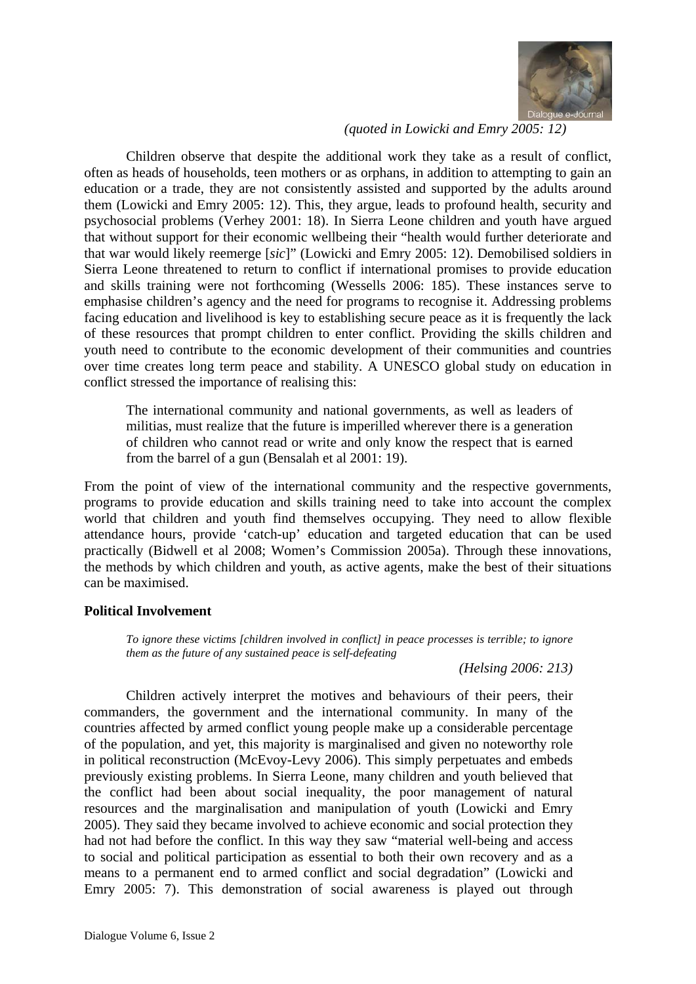

# *(quoted in Lowicki and Emry 2005: 12)*

Children observe that despite the additional work they take as a result of conflict, often as heads of households, teen mothers or as orphans, in addition to attempting to gain an education or a trade, they are not consistently assisted and supported by the adults around them (Lowicki and Emry 2005: 12). This, they argue, leads to profound health, security and psychosocial problems (Verhey 2001: 18). In Sierra Leone children and youth have argued that without support for their economic wellbeing their "health would further deteriorate and that war would likely reemerge [*sic*]" (Lowicki and Emry 2005: 12). Demobilised soldiers in Sierra Leone threatened to return to conflict if international promises to provide education and skills training were not forthcoming (Wessells 2006: 185). These instances serve to emphasise children's agency and the need for programs to recognise it. Addressing problems facing education and livelihood is key to establishing secure peace as it is frequently the lack of these resources that prompt children to enter conflict. Providing the skills children and youth need to contribute to the economic development of their communities and countries over time creates long term peace and stability. A UNESCO global study on education in conflict stressed the importance of realising this:

The international community and national governments, as well as leaders of militias, must realize that the future is imperilled wherever there is a generation of children who cannot read or write and only know the respect that is earned from the barrel of a gun (Bensalah et al 2001: 19).

From the point of view of the international community and the respective governments, programs to provide education and skills training need to take into account the complex world that children and youth find themselves occupying. They need to allow flexible attendance hours, provide 'catch-up' education and targeted education that can be used practically (Bidwell et al 2008; Women's Commission 2005a). Through these innovations, the methods by which children and youth, as active agents, make the best of their situations can be maximised.

# **Political Involvement**

*To ignore these victims [children involved in conflict] in peace processes is terrible; to ignore them as the future of any sustained peace is self-defeating* 

*(Helsing 2006: 213)* 

Children actively interpret the motives and behaviours of their peers, their commanders, the government and the international community. In many of the countries affected by armed conflict young people make up a considerable percentage of the population, and yet, this majority is marginalised and given no noteworthy role in political reconstruction (McEvoy-Levy 2006). This simply perpetuates and embeds previously existing problems. In Sierra Leone, many children and youth believed that the conflict had been about social inequality, the poor management of natural resources and the marginalisation and manipulation of youth (Lowicki and Emry 2005). They said they became involved to achieve economic and social protection they had not had before the conflict. In this way they saw "material well-being and access to social and political participation as essential to both their own recovery and as a means to a permanent end to armed conflict and social degradation" (Lowicki and Emry 2005: 7). This demonstration of social awareness is played out through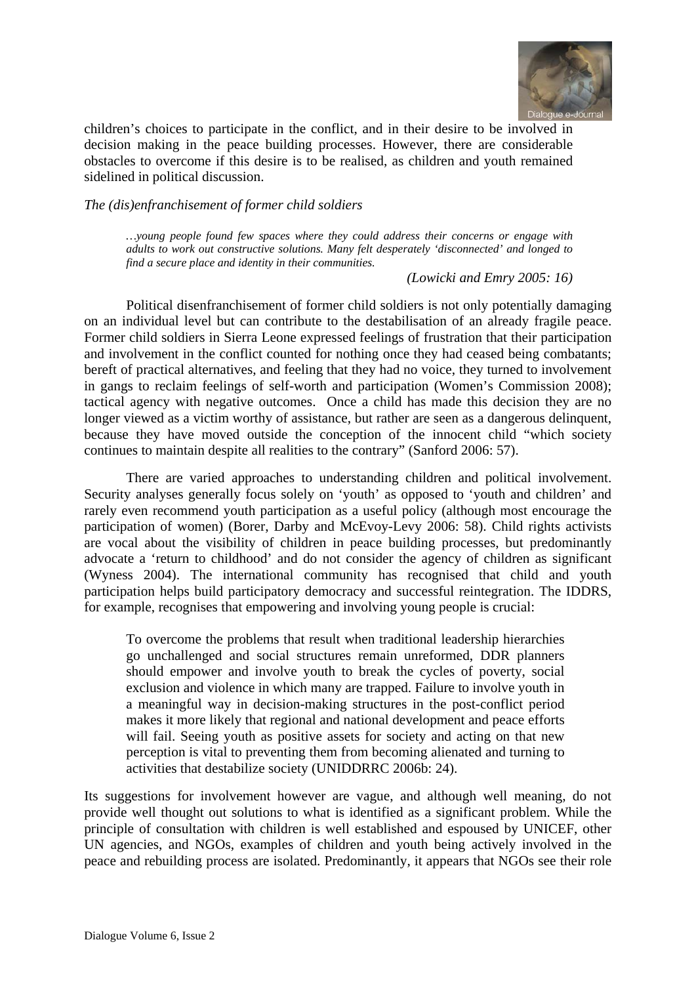

children's choices to participate in the conflict, and in their desire to be involved in decision making in the peace building processes. However, there are considerable obstacles to overcome if this desire is to be realised, as children and youth remained sidelined in political discussion.

*The (dis)enfranchisement of former child soldiers* 

*…young people found few spaces where they could address their concerns or engage with adults to work out constructive solutions. Many felt desperately 'disconnected' and longed to find a secure place and identity in their communities.* 

*(Lowicki and Emry 2005: 16)* 

Political disenfranchisement of former child soldiers is not only potentially damaging on an individual level but can contribute to the destabilisation of an already fragile peace. Former child soldiers in Sierra Leone expressed feelings of frustration that their participation and involvement in the conflict counted for nothing once they had ceased being combatants; bereft of practical alternatives, and feeling that they had no voice, they turned to involvement in gangs to reclaim feelings of self-worth and participation (Women's Commission 2008); tactical agency with negative outcomes. Once a child has made this decision they are no longer viewed as a victim worthy of assistance, but rather are seen as a dangerous delinquent, because they have moved outside the conception of the innocent child "which society continues to maintain despite all realities to the contrary" (Sanford 2006: 57).

There are varied approaches to understanding children and political involvement. Security analyses generally focus solely on 'youth' as opposed to 'youth and children' and rarely even recommend youth participation as a useful policy (although most encourage the participation of women) (Borer, Darby and McEvoy-Levy 2006: 58). Child rights activists are vocal about the visibility of children in peace building processes, but predominantly advocate a 'return to childhood' and do not consider the agency of children as significant (Wyness 2004). The international community has recognised that child and youth participation helps build participatory democracy and successful reintegration. The IDDRS, for example, recognises that empowering and involving young people is crucial:

To overcome the problems that result when traditional leadership hierarchies go unchallenged and social structures remain unreformed, DDR planners should empower and involve youth to break the cycles of poverty, social exclusion and violence in which many are trapped. Failure to involve youth in a meaningful way in decision-making structures in the post-conflict period makes it more likely that regional and national development and peace efforts will fail. Seeing youth as positive assets for society and acting on that new perception is vital to preventing them from becoming alienated and turning to activities that destabilize society (UNIDDRRC 2006b: 24).

Its suggestions for involvement however are vague, and although well meaning, do not provide well thought out solutions to what is identified as a significant problem. While the principle of consultation with children is well established and espoused by UNICEF, other UN agencies, and NGOs, examples of children and youth being actively involved in the peace and rebuilding process are isolated. Predominantly, it appears that NGOs see their role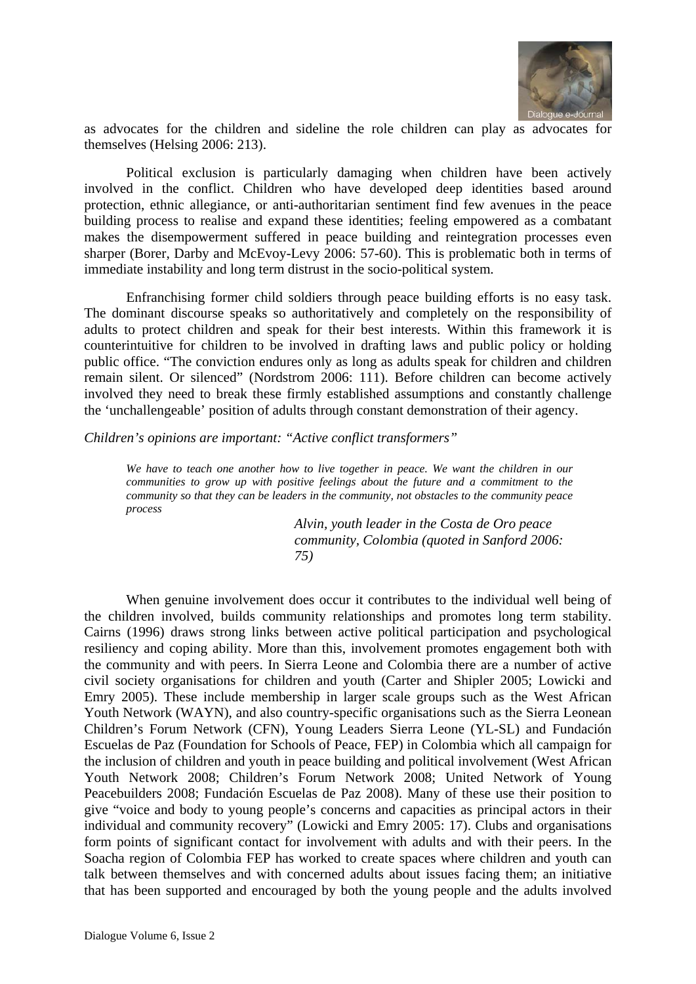

as advocates for the children and sideline the role children can play as advocates for themselves (Helsing 2006: 213).

Political exclusion is particularly damaging when children have been actively involved in the conflict. Children who have developed deep identities based around protection, ethnic allegiance, or anti-authoritarian sentiment find few avenues in the peace building process to realise and expand these identities; feeling empowered as a combatant makes the disempowerment suffered in peace building and reintegration processes even sharper (Borer, Darby and McEvoy-Levy 2006: 57-60). This is problematic both in terms of immediate instability and long term distrust in the socio-political system.

Enfranchising former child soldiers through peace building efforts is no easy task. The dominant discourse speaks so authoritatively and completely on the responsibility of adults to protect children and speak for their best interests. Within this framework it is counterintuitive for children to be involved in drafting laws and public policy or holding public office. "The conviction endures only as long as adults speak for children and children remain silent. Or silenced" (Nordstrom 2006: 111). Before children can become actively involved they need to break these firmly established assumptions and constantly challenge the 'unchallengeable' position of adults through constant demonstration of their agency.

*Children's opinions are important: "Active conflict transformers"* 

*We have to teach one another how to live together in peace. We want the children in our communities to grow up with positive feelings about the future and a commitment to the community so that they can be leaders in the community, not obstacles to the community peace process* 

> *Alvin, youth leader in the Costa de Oro peace community, Colombia (quoted in Sanford 2006: 75)*

When genuine involvement does occur it contributes to the individual well being of the children involved, builds community relationships and promotes long term stability. Cairns (1996) draws strong links between active political participation and psychological resiliency and coping ability. More than this, involvement promotes engagement both with the community and with peers. In Sierra Leone and Colombia there are a number of active civil society organisations for children and youth (Carter and Shipler 2005; Lowicki and Emry 2005). These include membership in larger scale groups such as the West African Youth Network (WAYN), and also country-specific organisations such as the Sierra Leonean Children's Forum Network (CFN), Young Leaders Sierra Leone (YL-SL) and Fundación Escuelas de Paz (Foundation for Schools of Peace, FEP) in Colombia which all campaign for the inclusion of children and youth in peace building and political involvement (West African Youth Network 2008; Children's Forum Network 2008; United Network of Young Peacebuilders 2008; Fundación Escuelas de Paz 2008). Many of these use their position to give "voice and body to young people's concerns and capacities as principal actors in their individual and community recovery" (Lowicki and Emry 2005: 17). Clubs and organisations form points of significant contact for involvement with adults and with their peers. In the Soacha region of Colombia FEP has worked to create spaces where children and youth can talk between themselves and with concerned adults about issues facing them; an initiative that has been supported and encouraged by both the young people and the adults involved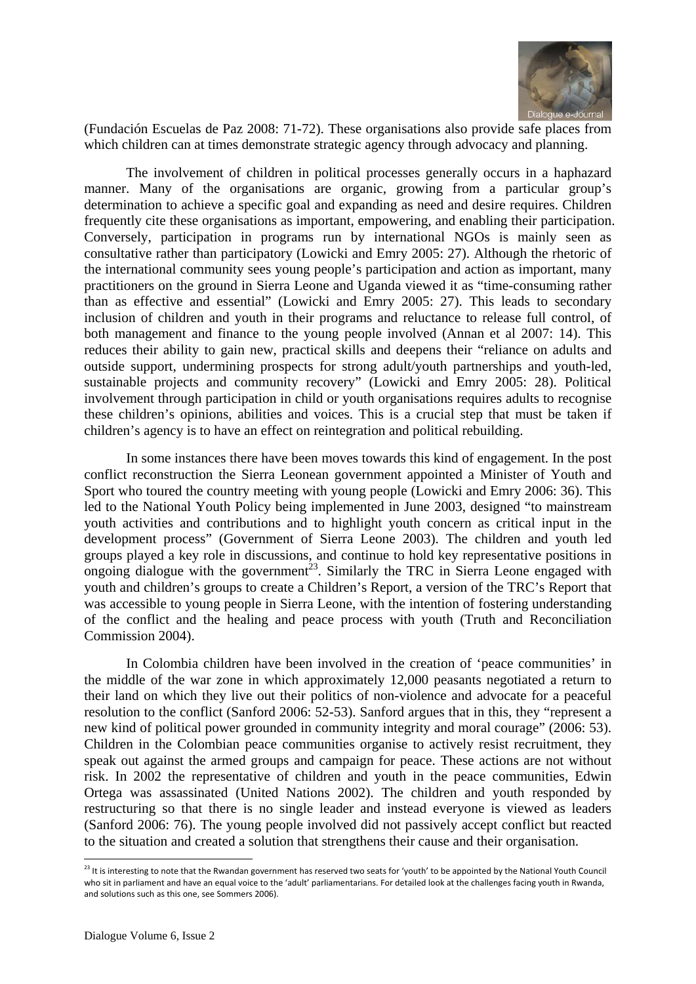

(Fundación Escuelas de Paz 2008: 71-72). These organisations also provide safe places from which children can at times demonstrate strategic agency through advocacy and planning.

The involvement of children in political processes generally occurs in a haphazard manner. Many of the organisations are organic, growing from a particular group's determination to achieve a specific goal and expanding as need and desire requires. Children frequently cite these organisations as important, empowering, and enabling their participation. Conversely, participation in programs run by international NGOs is mainly seen as consultative rather than participatory (Lowicki and Emry 2005: 27). Although the rhetoric of the international community sees young people's participation and action as important, many practitioners on the ground in Sierra Leone and Uganda viewed it as "time-consuming rather than as effective and essential" (Lowicki and Emry 2005: 27). This leads to secondary inclusion of children and youth in their programs and reluctance to release full control, of both management and finance to the young people involved (Annan et al 2007: 14). This reduces their ability to gain new, practical skills and deepens their "reliance on adults and outside support, undermining prospects for strong adult/youth partnerships and youth-led, sustainable projects and community recovery" (Lowicki and Emry 2005: 28). Political involvement through participation in child or youth organisations requires adults to recognise these children's opinions, abilities and voices. This is a crucial step that must be taken if children's agency is to have an effect on reintegration and political rebuilding.

In some instances there have been moves towards this kind of engagement. In the post conflict reconstruction the Sierra Leonean government appointed a Minister of Youth and Sport who toured the country meeting with young people (Lowicki and Emry 2006: 36). This led to the National Youth Policy being implemented in June 2003, designed "to mainstream youth activities and contributions and to highlight youth concern as critical input in the development process" (Government of Sierra Leone 2003). The children and youth led groups played a key role in discussions, and continue to hold key representative positions in ongoing dialogue with the government<sup>23</sup>. Similarly the TRC in Sierra Leone engaged with youth and children's groups to create a Children's Report, a version of the TRC's Report that was accessible to young people in Sierra Leone, with the intention of fostering understanding of the conflict and the healing and peace process with youth (Truth and Reconciliation Commission 2004).

In Colombia children have been involved in the creation of 'peace communities' in the middle of the war zone in which approximately 12,000 peasants negotiated a return to their land on which they live out their politics of non-violence and advocate for a peaceful resolution to the conflict (Sanford 2006: 52-53). Sanford argues that in this, they "represent a new kind of political power grounded in community integrity and moral courage" (2006: 53). Children in the Colombian peace communities organise to actively resist recruitment, they speak out against the armed groups and campaign for peace. These actions are not without risk. In 2002 the representative of children and youth in the peace communities, Edwin Ortega was assassinated (United Nations 2002). The children and youth responded by restructuring so that there is no single leader and instead everyone is viewed as leaders (Sanford 2006: 76). The young people involved did not passively accept conflict but reacted to the situation and created a solution that strengthens their cause and their organisation.

 $^{23}$  It is interesting to note that the Rwandan government has reserved two seats for 'youth' to be appointed by the National Youth Council who sit in parliament and have an equal voice to the 'adult' parliamentarians. For detailed look at the challenges facing youth in Rwanda, and solutions such as this one, see Sommers 2006).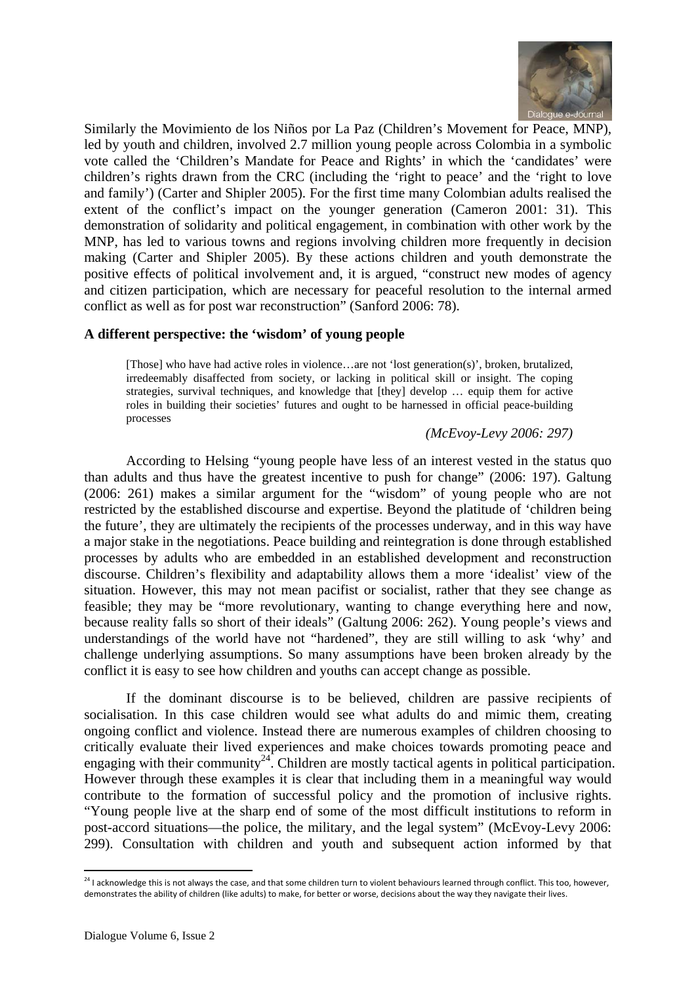

Similarly the Movimiento de los Niños por La Paz (Children's Movement for Peace, MNP), led by youth and children, involved 2.7 million young people across Colombia in a symbolic vote called the 'Children's Mandate for Peace and Rights' in which the 'candidates' were children's rights drawn from the CRC (including the 'right to peace' and the 'right to love and family') (Carter and Shipler 2005). For the first time many Colombian adults realised the extent of the conflict's impact on the younger generation (Cameron 2001: 31). This demonstration of solidarity and political engagement, in combination with other work by the MNP, has led to various towns and regions involving children more frequently in decision making (Carter and Shipler 2005). By these actions children and youth demonstrate the positive effects of political involvement and, it is argued, "construct new modes of agency and citizen participation, which are necessary for peaceful resolution to the internal armed conflict as well as for post war reconstruction" (Sanford 2006: 78).

# **A different perspective: the 'wisdom' of young people**

[Those] who have had active roles in violence…are not 'lost generation(s)', broken, brutalized, irredeemably disaffected from society, or lacking in political skill or insight. The coping strategies, survival techniques, and knowledge that [they] develop … equip them for active roles in building their societies' futures and ought to be harnessed in official peace-building processes

*(McEvoy-Levy 2006: 297)* 

According to Helsing "young people have less of an interest vested in the status quo than adults and thus have the greatest incentive to push for change" (2006: 197). Galtung (2006: 261) makes a similar argument for the "wisdom" of young people who are not restricted by the established discourse and expertise. Beyond the platitude of 'children being the future', they are ultimately the recipients of the processes underway, and in this way have a major stake in the negotiations. Peace building and reintegration is done through established processes by adults who are embedded in an established development and reconstruction discourse. Children's flexibility and adaptability allows them a more 'idealist' view of the situation. However, this may not mean pacifist or socialist, rather that they see change as feasible; they may be "more revolutionary, wanting to change everything here and now, because reality falls so short of their ideals" (Galtung 2006: 262). Young people's views and understandings of the world have not "hardened", they are still willing to ask 'why' and challenge underlying assumptions. So many assumptions have been broken already by the conflict it is easy to see how children and youths can accept change as possible.

If the dominant discourse is to be believed, children are passive recipients of socialisation. In this case children would see what adults do and mimic them, creating ongoing conflict and violence. Instead there are numerous examples of children choosing to critically evaluate their lived experiences and make choices towards promoting peace and engaging with their community<sup>24</sup>. Children are mostly tactical agents in political participation. However through these examples it is clear that including them in a meaningful way would contribute to the formation of successful policy and the promotion of inclusive rights. "Young people live at the sharp end of some of the most difficult institutions to reform in post-accord situations—the police, the military, and the legal system" (McEvoy-Levy 2006: 299). Consultation with children and youth and subsequent action informed by that

 $^{24}$  I acknowledge this is not always the case, and that some children turn to violent behaviours learned through conflict. This too, however, demonstrates the ability of children (like adults) to make, for better or worse, decisions about the way they navigate their lives.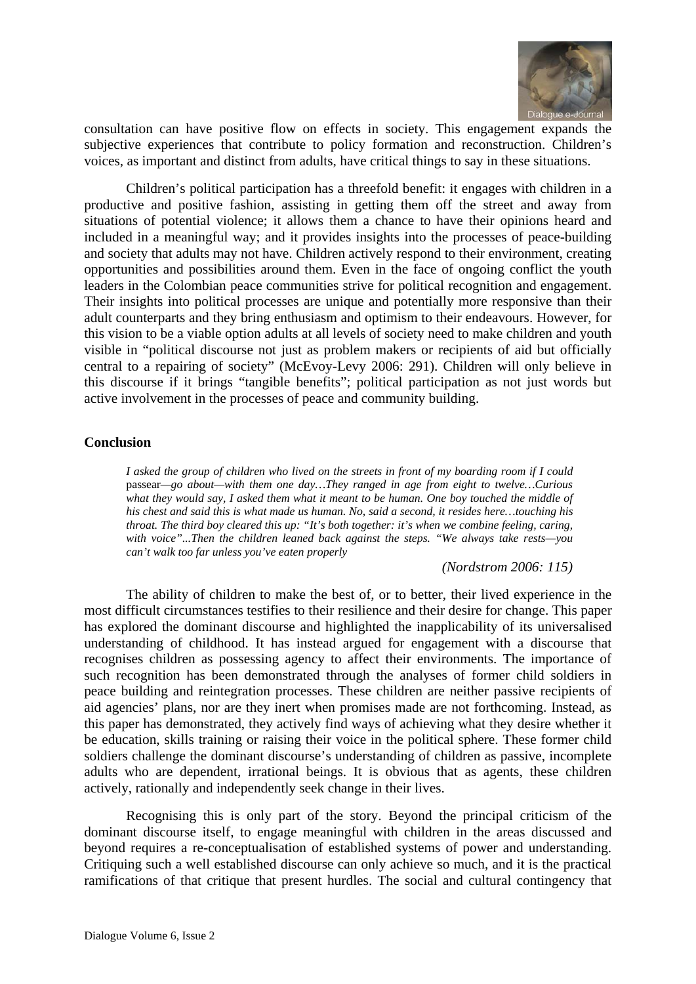

consultation can have positive flow on effects in society. This engagement expands the subjective experiences that contribute to policy formation and reconstruction. Children's voices, as important and distinct from adults, have critical things to say in these situations.

Children's political participation has a threefold benefit: it engages with children in a productive and positive fashion, assisting in getting them off the street and away from situations of potential violence; it allows them a chance to have their opinions heard and included in a meaningful way; and it provides insights into the processes of peace-building and society that adults may not have. Children actively respond to their environment, creating opportunities and possibilities around them. Even in the face of ongoing conflict the youth leaders in the Colombian peace communities strive for political recognition and engagement. Their insights into political processes are unique and potentially more responsive than their adult counterparts and they bring enthusiasm and optimism to their endeavours. However, for this vision to be a viable option adults at all levels of society need to make children and youth visible in "political discourse not just as problem makers or recipients of aid but officially central to a repairing of society" (McEvoy-Levy 2006: 291). Children will only believe in this discourse if it brings "tangible benefits"; political participation as not just words but active involvement in the processes of peace and community building.

# **Conclusion**

*I asked the group of children who lived on the streets in front of my boarding room if I could*  passear*—go about—with them one day…They ranged in age from eight to twelve…Curious what they would say, I asked them what it meant to be human. One boy touched the middle of his chest and said this is what made us human. No, said a second, it resides here…touching his throat. The third boy cleared this up: "It's both together: it's when we combine feeling, caring, with voice"...Then the children leaned back against the steps. "We always take rests—you can't walk too far unless you've eaten properly* 

*(Nordstrom 2006: 115)* 

The ability of children to make the best of, or to better, their lived experience in the most difficult circumstances testifies to their resilience and their desire for change. This paper has explored the dominant discourse and highlighted the inapplicability of its universalised understanding of childhood. It has instead argued for engagement with a discourse that recognises children as possessing agency to affect their environments. The importance of such recognition has been demonstrated through the analyses of former child soldiers in peace building and reintegration processes. These children are neither passive recipients of aid agencies' plans, nor are they inert when promises made are not forthcoming. Instead, as this paper has demonstrated, they actively find ways of achieving what they desire whether it be education, skills training or raising their voice in the political sphere. These former child soldiers challenge the dominant discourse's understanding of children as passive, incomplete adults who are dependent, irrational beings. It is obvious that as agents, these children actively, rationally and independently seek change in their lives.

Recognising this is only part of the story. Beyond the principal criticism of the dominant discourse itself, to engage meaningful with children in the areas discussed and beyond requires a re-conceptualisation of established systems of power and understanding. Critiquing such a well established discourse can only achieve so much, and it is the practical ramifications of that critique that present hurdles. The social and cultural contingency that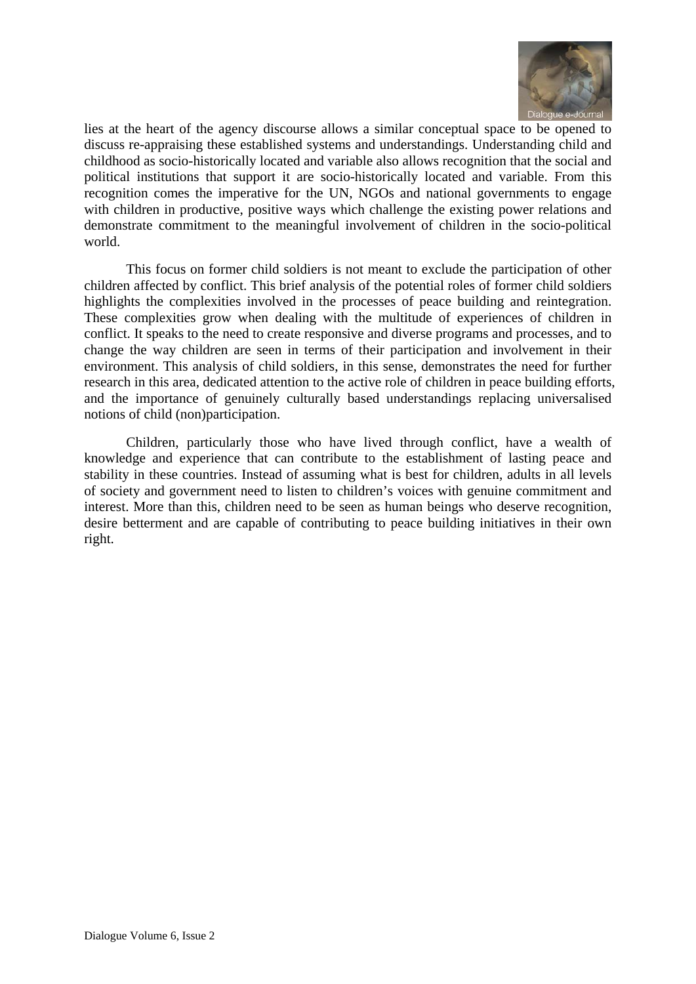

lies at the heart of the agency discourse allows a similar conceptual space to be opened to discuss re-appraising these established systems and understandings. Understanding child and childhood as socio-historically located and variable also allows recognition that the social and political institutions that support it are socio-historically located and variable. From this recognition comes the imperative for the UN, NGOs and national governments to engage with children in productive, positive ways which challenge the existing power relations and demonstrate commitment to the meaningful involvement of children in the socio-political world.

This focus on former child soldiers is not meant to exclude the participation of other children affected by conflict. This brief analysis of the potential roles of former child soldiers highlights the complexities involved in the processes of peace building and reintegration. These complexities grow when dealing with the multitude of experiences of children in conflict. It speaks to the need to create responsive and diverse programs and processes, and to change the way children are seen in terms of their participation and involvement in their environment. This analysis of child soldiers, in this sense, demonstrates the need for further research in this area, dedicated attention to the active role of children in peace building efforts, and the importance of genuinely culturally based understandings replacing universalised notions of child (non)participation.

Children, particularly those who have lived through conflict, have a wealth of knowledge and experience that can contribute to the establishment of lasting peace and stability in these countries. Instead of assuming what is best for children, adults in all levels of society and government need to listen to children's voices with genuine commitment and interest. More than this, children need to be seen as human beings who deserve recognition, desire betterment and are capable of contributing to peace building initiatives in their own right.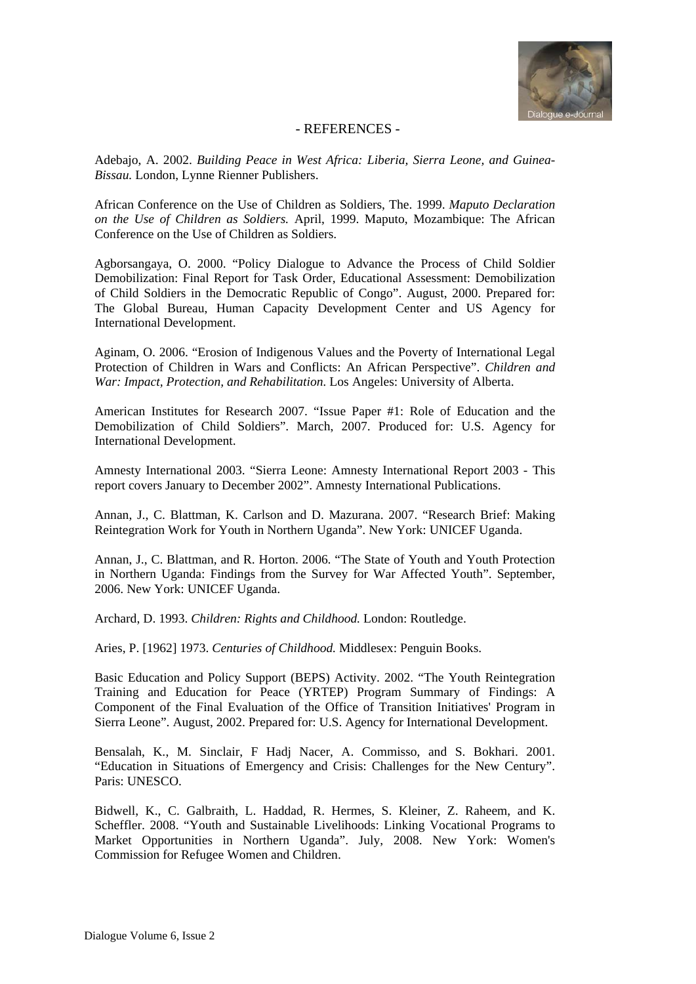

#### - REFERENCES -

Adebajo, A. 2002. *Building Peace in West Africa: Liberia, Sierra Leone, and Guinea-Bissau.* London, Lynne Rienner Publishers.

African Conference on the Use of Children as Soldiers, The. 1999. *Maputo Declaration on the Use of Children as Soldiers.* April, 1999. Maputo, Mozambique: The African Conference on the Use of Children as Soldiers.

Agborsangaya, O. 2000. "Policy Dialogue to Advance the Process of Child Soldier Demobilization: Final Report for Task Order, Educational Assessment: Demobilization of Child Soldiers in the Democratic Republic of Congo". August, 2000. Prepared for: The Global Bureau, Human Capacity Development Center and US Agency for International Development.

Aginam, O. 2006. "Erosion of Indigenous Values and the Poverty of International Legal Protection of Children in Wars and Conflicts: An African Perspective". *Children and War: Impact, Protection, and Rehabilitation.* Los Angeles: University of Alberta.

American Institutes for Research 2007. "Issue Paper #1: Role of Education and the Demobilization of Child Soldiers". March, 2007. Produced for: U.S. Agency for International Development.

Amnesty International 2003. "Sierra Leone: Amnesty International Report 2003 - This report covers January to December 2002". Amnesty International Publications.

Annan, J., C. Blattman, K. Carlson and D. Mazurana. 2007. "Research Brief: Making Reintegration Work for Youth in Northern Uganda". New York: UNICEF Uganda.

Annan, J., C. Blattman, and R. Horton. 2006. "The State of Youth and Youth Protection in Northern Uganda: Findings from the Survey for War Affected Youth". September, 2006. New York: UNICEF Uganda.

Archard, D. 1993. *Children: Rights and Childhood.* London: Routledge.

Aries, P. [1962] 1973. *Centuries of Childhood.* Middlesex: Penguin Books.

Basic Education and Policy Support (BEPS) Activity. 2002. "The Youth Reintegration Training and Education for Peace (YRTEP) Program Summary of Findings: A Component of the Final Evaluation of the Office of Transition Initiatives' Program in Sierra Leone". August, 2002. Prepared for: U.S. Agency for International Development.

Bensalah, K., M. Sinclair, F Hadj Nacer, A. Commisso, and S. Bokhari. 2001. "Education in Situations of Emergency and Crisis: Challenges for the New Century". Paris: UNESCO.

Bidwell, K., C. Galbraith, L. Haddad, R. Hermes, S. Kleiner, Z. Raheem, and K. Scheffler. 2008. "Youth and Sustainable Livelihoods: Linking Vocational Programs to Market Opportunities in Northern Uganda". July, 2008. New York: Women's Commission for Refugee Women and Children.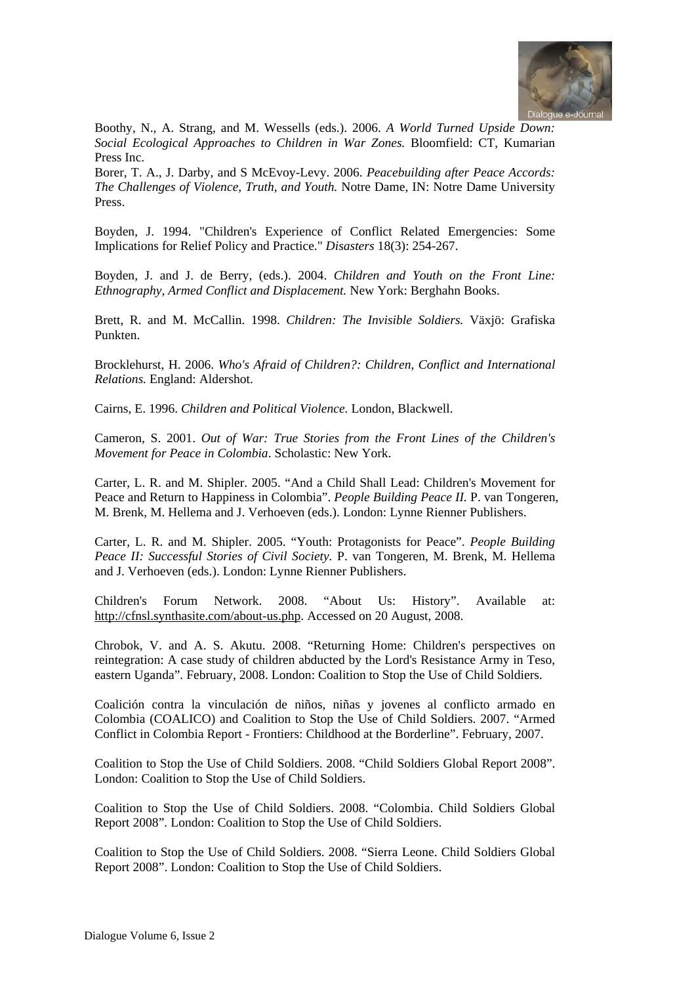

Boothy, N., A. Strang, and M. Wessells (eds.). 2006. *A World Turned Upside Down: Social Ecological Approaches to Children in War Zones.* Bloomfield: CT, Kumarian Press Inc.

Borer, T. A., J. Darby, and S McEvoy-Levy. 2006. *Peacebuilding after Peace Accords: The Challenges of Violence, Truth, and Youth.* Notre Dame, IN: Notre Dame University Press.

Boyden, J. 1994. "Children's Experience of Conflict Related Emergencies: Some Implications for Relief Policy and Practice." *Disasters* 18(3): 254-267.

Boyden, J. and J. de Berry, (eds.). 2004. *Children and Youth on the Front Line: Ethnography, Armed Conflict and Displacement.* New York: Berghahn Books.

Brett, R. and M. McCallin. 1998. *Children: The Invisible Soldiers.* Växjö: Grafiska Punkten.

Brocklehurst, H. 2006. *Who's Afraid of Children?: Children, Conflict and International Relations.* England: Aldershot.

Cairns, E. 1996. *Children and Political Violence.* London, Blackwell.

Cameron, S. 2001. *Out of War: True Stories from the Front Lines of the Children's Movement for Peace in Colombia*. Scholastic: New York.

Carter, L. R. and M. Shipler. 2005. "And a Child Shall Lead: Children's Movement for Peace and Return to Happiness in Colombia". *People Building Peace II.* P. van Tongeren, M. Brenk, M. Hellema and J. Verhoeven (eds.). London: Lynne Rienner Publishers.

Carter, L. R. and M. Shipler. 2005. "Youth: Protagonists for Peace". *People Building Peace II: Successful Stories of Civil Society.* P. van Tongeren, M. Brenk, M. Hellema and J. Verhoeven (eds.). London: Lynne Rienner Publishers.

Children's Forum Network. 2008. "About Us: History". Available at: http://cfnsl.synthasite.com/about-us.php. Accessed on 20 August, 2008.

Chrobok, V. and A. S. Akutu. 2008. "Returning Home: Children's perspectives on reintegration: A case study of children abducted by the Lord's Resistance Army in Teso, eastern Uganda". February, 2008. London: Coalition to Stop the Use of Child Soldiers.

Coalición contra la vinculación de niños, niñas y jovenes al conflicto armado en Colombia (COALICO) and Coalition to Stop the Use of Child Soldiers. 2007. "Armed Conflict in Colombia Report - Frontiers: Childhood at the Borderline". February, 2007.

Coalition to Stop the Use of Child Soldiers. 2008. "Child Soldiers Global Report 2008". London: Coalition to Stop the Use of Child Soldiers.

Coalition to Stop the Use of Child Soldiers. 2008. "Colombia. Child Soldiers Global Report 2008". London: Coalition to Stop the Use of Child Soldiers.

Coalition to Stop the Use of Child Soldiers. 2008. "Sierra Leone. Child Soldiers Global Report 2008". London: Coalition to Stop the Use of Child Soldiers.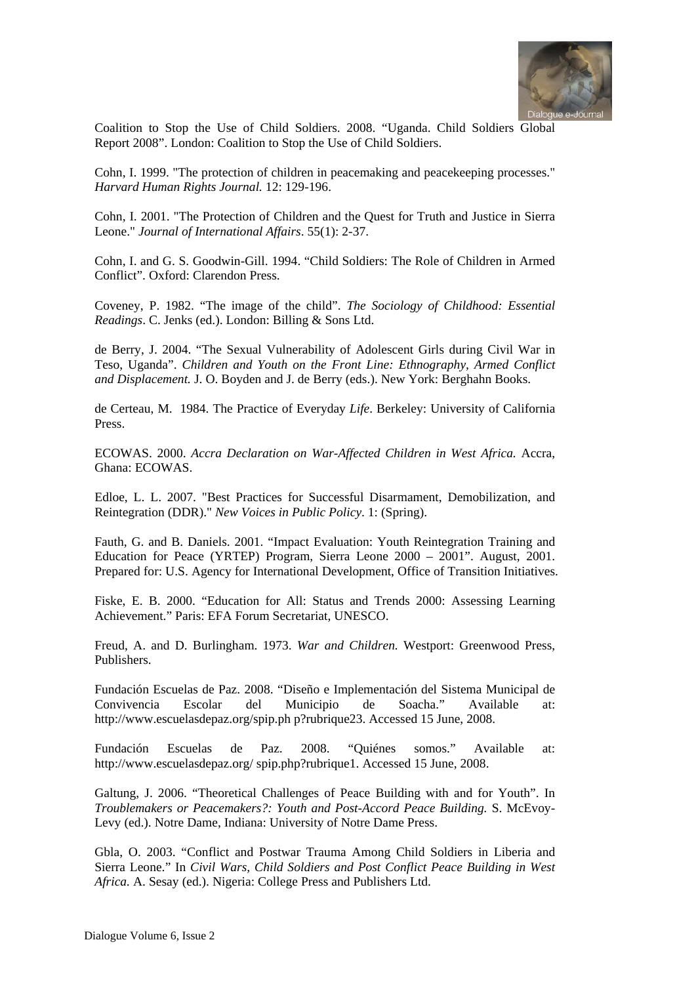

Coalition to Stop the Use of Child Soldiers. 2008. "Uganda. Child Soldiers Global Report 2008". London: Coalition to Stop the Use of Child Soldiers.

Cohn, I. 1999. "The protection of children in peacemaking and peacekeeping processes." *Harvard Human Rights Journal.* 12: 129-196.

Cohn, I. 2001. "The Protection of Children and the Quest for Truth and Justice in Sierra Leone." *Journal of International Affairs*. 55(1): 2-37.

Cohn, I. and G. S. Goodwin-Gill. 1994. "Child Soldiers: The Role of Children in Armed Conflict". Oxford: Clarendon Press.

Coveney, P. 1982. "The image of the child". *The Sociology of Childhood: Essential Readings*. C. Jenks (ed.). London: Billing & Sons Ltd.

de Berry, J. 2004. "The Sexual Vulnerability of Adolescent Girls during Civil War in Teso, Uganda". *Children and Youth on the Front Line: Ethnography, Armed Conflict and Displacement.* J. O. Boyden and J. de Berry (eds.). New York: Berghahn Books.

de Certeau, M. 1984. The Practice of Everyday *Life*. Berkeley: University of California Press.

ECOWAS. 2000. *Accra Declaration on War-Affected Children in West Africa.* Accra, Ghana: ECOWAS.

Edloe, L. L. 2007. "Best Practices for Successful Disarmament, Demobilization, and Reintegration (DDR)." *New Voices in Public Policy*. 1: (Spring).

Fauth, G. and B. Daniels. 2001. "Impact Evaluation: Youth Reintegration Training and Education for Peace (YRTEP) Program, Sierra Leone 2000 – 2001". August, 2001. Prepared for: U.S. Agency for International Development, Office of Transition Initiatives.

Fiske, E. B. 2000. "Education for All: Status and Trends 2000: Assessing Learning Achievement." Paris: EFA Forum Secretariat, UNESCO.

Freud, A. and D. Burlingham. 1973. *War and Children.* Westport: Greenwood Press, Publishers.

Fundación Escuelas de Paz. 2008. "Diseño e Implementación del Sistema Municipal de Convivencia Escolar del Municipio de Soacha." Available at: http://www.escuelasdepaz.org/spip.ph p?rubrique23. Accessed 15 June, 2008.

Fundación Escuelas de Paz. 2008. "Quiénes somos." Available at: http://www.escuelasdepaz.org/ spip.php?rubrique1. Accessed 15 June, 2008.

Galtung, J. 2006. "Theoretical Challenges of Peace Building with and for Youth". In *Troublemakers or Peacemakers?: Youth and Post-Accord Peace Building.* S. McEvoy-Levy (ed.). Notre Dame, Indiana: University of Notre Dame Press.

Gbla, O. 2003. "Conflict and Postwar Trauma Among Child Soldiers in Liberia and Sierra Leone." In *Civil Wars, Child Soldiers and Post Conflict Peace Building in West Africa.* A. Sesay (ed.). Nigeria: College Press and Publishers Ltd.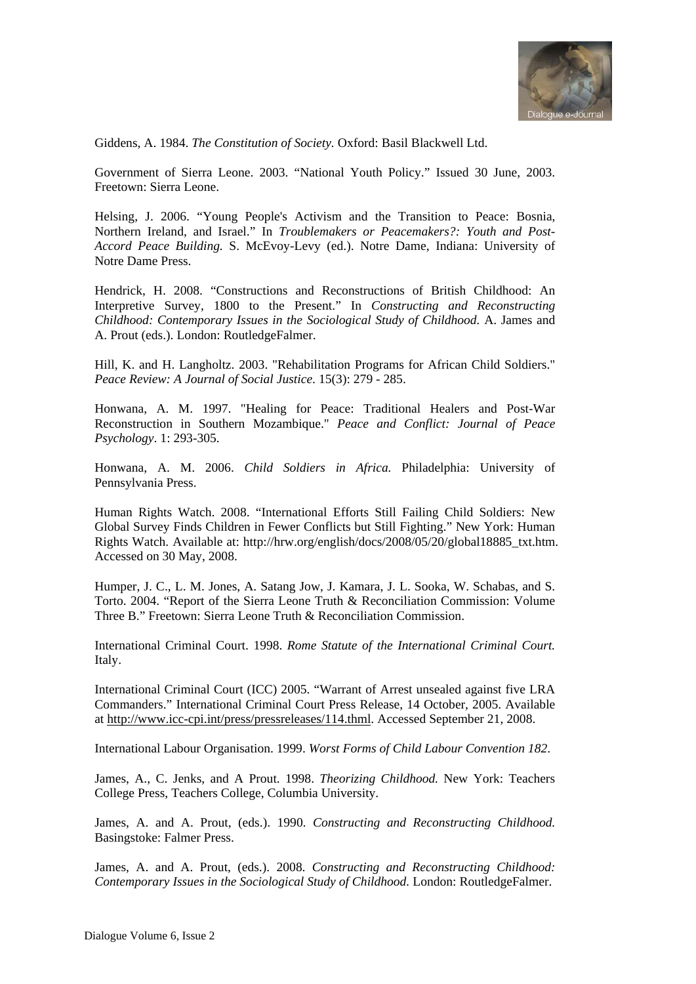

Giddens, A. 1984. *The Constitution of Society.* Oxford: Basil Blackwell Ltd.

Government of Sierra Leone. 2003. "National Youth Policy." Issued 30 June, 2003. Freetown: Sierra Leone.

Helsing, J. 2006. "Young People's Activism and the Transition to Peace: Bosnia, Northern Ireland, and Israel." In *Troublemakers or Peacemakers?: Youth and Post-Accord Peace Building.* S. McEvoy-Levy (ed.). Notre Dame, Indiana: University of Notre Dame Press.

Hendrick, H. 2008. "Constructions and Reconstructions of British Childhood: An Interpretive Survey, 1800 to the Present." In *Constructing and Reconstructing Childhood: Contemporary Issues in the Sociological Study of Childhood.* A. James and A. Prout (eds.). London: RoutledgeFalmer.

Hill, K. and H. Langholtz. 2003. "Rehabilitation Programs for African Child Soldiers." *Peace Review: A Journal of Social Justice*. 15(3): 279 - 285.

Honwana, A. M. 1997. "Healing for Peace: Traditional Healers and Post-War Reconstruction in Southern Mozambique." *Peace and Conflict: Journal of Peace Psychology*. 1: 293-305.

Honwana, A. M. 2006. *Child Soldiers in Africa.* Philadelphia: University of Pennsylvania Press.

Human Rights Watch. 2008. "International Efforts Still Failing Child Soldiers: New Global Survey Finds Children in Fewer Conflicts but Still Fighting." New York: Human Rights Watch. Available at: http://hrw.org/english/docs/2008/05/20/global18885\_txt.htm. Accessed on 30 May, 2008.

Humper, J. C., L. M. Jones, A. Satang Jow, J. Kamara, J. L. Sooka, W. Schabas, and S. Torto. 2004. "Report of the Sierra Leone Truth & Reconciliation Commission: Volume Three B." Freetown: Sierra Leone Truth & Reconciliation Commission.

International Criminal Court. 1998. *Rome Statute of the International Criminal Court.* Italy.

International Criminal Court (ICC) 2005. "Warrant of Arrest unsealed against five LRA Commanders." International Criminal Court Press Release, 14 October, 2005. Available at http://www.icc-cpi.int/press/pressreleases/114.thml. Accessed September 21, 2008.

International Labour Organisation. 1999. *Worst Forms of Child Labour Convention 182*.

James, A., C. Jenks, and A Prout. 1998. *Theorizing Childhood.* New York: Teachers College Press, Teachers College, Columbia University.

James, A. and A. Prout, (eds.). 1990. *Constructing and Reconstructing Childhood.* Basingstoke: Falmer Press.

James, A. and A. Prout, (eds.). 2008. *Constructing and Reconstructing Childhood: Contemporary Issues in the Sociological Study of Childhood.* London: RoutledgeFalmer.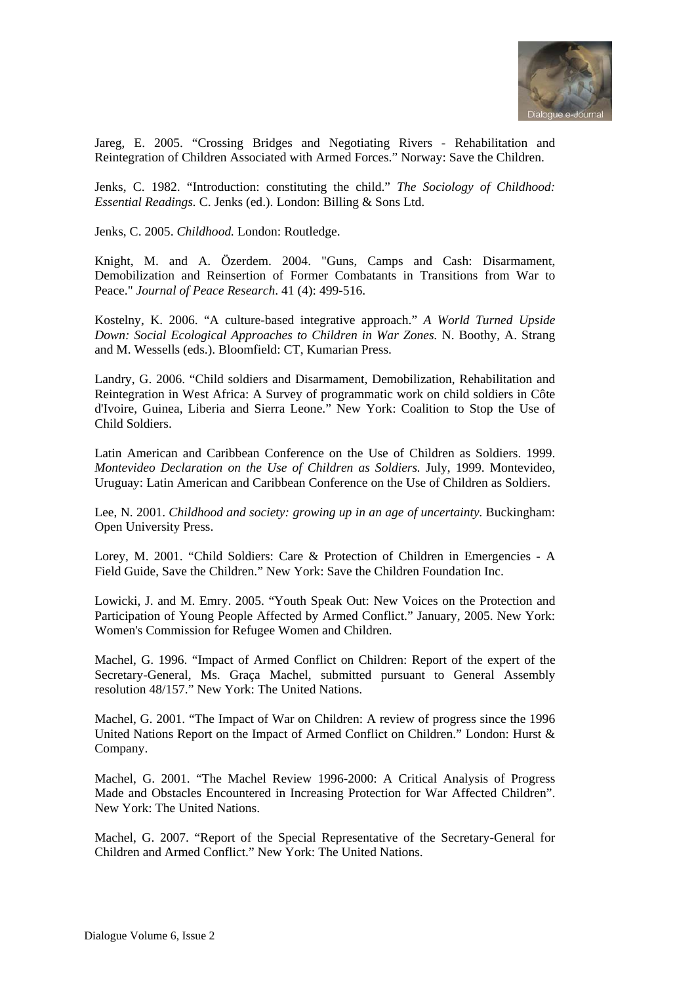

Jareg, E. 2005. "Crossing Bridges and Negotiating Rivers - Rehabilitation and Reintegration of Children Associated with Armed Forces." Norway: Save the Children.

Jenks, C. 1982. "Introduction: constituting the child." *The Sociology of Childhood: Essential Readings.* C. Jenks (ed.). London: Billing & Sons Ltd.

Jenks, C. 2005. *Childhood.* London: Routledge.

Knight, M. and A. Özerdem. 2004. "Guns, Camps and Cash: Disarmament, Demobilization and Reinsertion of Former Combatants in Transitions from War to Peace." *Journal of Peace Research*. 41 (4): 499-516.

Kostelny, K. 2006. "A culture-based integrative approach." *A World Turned Upside Down: Social Ecological Approaches to Children in War Zones.* N. Boothy, A. Strang and M. Wessells (eds.). Bloomfield: CT, Kumarian Press.

Landry, G. 2006. "Child soldiers and Disarmament, Demobilization, Rehabilitation and Reintegration in West Africa: A Survey of programmatic work on child soldiers in Côte d'Ivoire, Guinea, Liberia and Sierra Leone." New York: Coalition to Stop the Use of Child Soldiers.

Latin American and Caribbean Conference on the Use of Children as Soldiers. 1999. *Montevideo Declaration on the Use of Children as Soldiers.* July, 1999. Montevideo, Uruguay: Latin American and Caribbean Conference on the Use of Children as Soldiers.

Lee, N. 2001. *Childhood and society: growing up in an age of uncertainty.* Buckingham: Open University Press.

Lorey, M. 2001. "Child Soldiers: Care & Protection of Children in Emergencies - A Field Guide, Save the Children." New York: Save the Children Foundation Inc.

Lowicki, J. and M. Emry. 2005. "Youth Speak Out: New Voices on the Protection and Participation of Young People Affected by Armed Conflict." January, 2005. New York: Women's Commission for Refugee Women and Children.

Machel, G. 1996. "Impact of Armed Conflict on Children: Report of the expert of the Secretary-General, Ms. Graça Machel, submitted pursuant to General Assembly resolution 48/157." New York: The United Nations.

Machel, G. 2001. "The Impact of War on Children: A review of progress since the 1996 United Nations Report on the Impact of Armed Conflict on Children." London: Hurst & Company.

Machel, G. 2001. "The Machel Review 1996-2000: A Critical Analysis of Progress Made and Obstacles Encountered in Increasing Protection for War Affected Children". New York: The United Nations.

Machel, G. 2007. "Report of the Special Representative of the Secretary-General for Children and Armed Conflict." New York: The United Nations.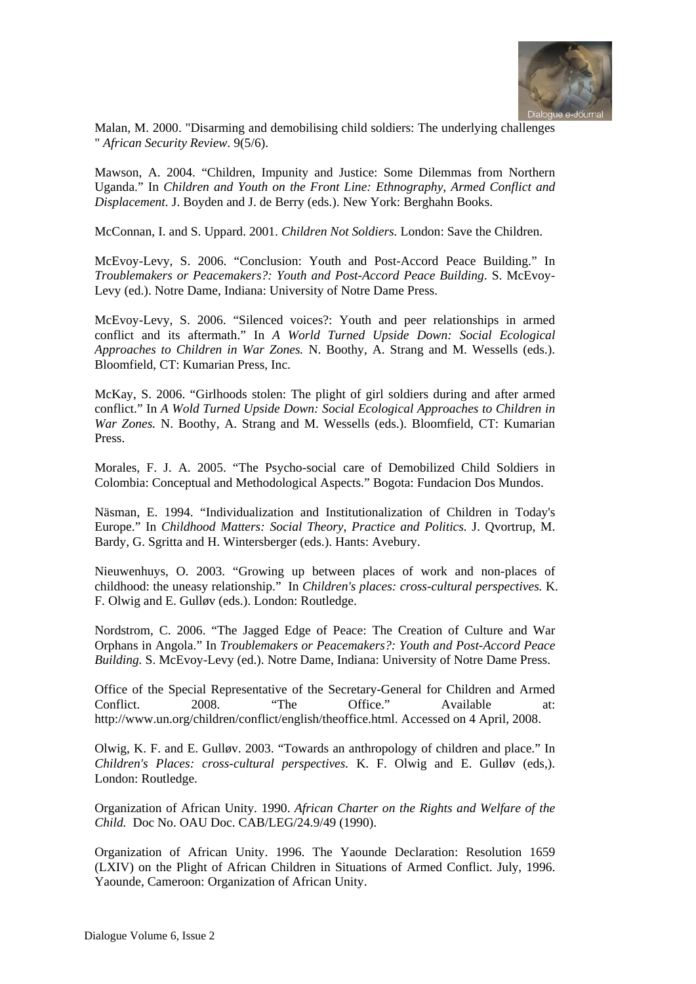

Malan, M. 2000. "Disarming and demobilising child soldiers: The underlying challenges " *African Security Review*. 9(5/6).

Mawson, A. 2004. "Children, Impunity and Justice: Some Dilemmas from Northern Uganda." In *Children and Youth on the Front Line: Ethnography, Armed Conflict and Displacement.* J. Boyden and J. de Berry (eds.). New York: Berghahn Books.

McConnan, I. and S. Uppard. 2001. *Children Not Soldiers.* London: Save the Children.

McEvoy-Levy, S. 2006. "Conclusion: Youth and Post-Accord Peace Building." In *Troublemakers or Peacemakers?: Youth and Post-Accord Peace Building*. S. McEvoy-Levy (ed.). Notre Dame, Indiana: University of Notre Dame Press.

McEvoy-Levy, S. 2006. "Silenced voices?: Youth and peer relationships in armed conflict and its aftermath." In *A World Turned Upside Down: Social Ecological Approaches to Children in War Zones.* N. Boothy, A. Strang and M. Wessells (eds.). Bloomfield, CT: Kumarian Press, Inc.

McKay, S. 2006. "Girlhoods stolen: The plight of girl soldiers during and after armed conflict." In *A Wold Turned Upside Down: Social Ecological Approaches to Children in War Zones.* N. Boothy, A. Strang and M. Wessells (eds.). Bloomfield, CT: Kumarian Press.

Morales, F. J. A. 2005. "The Psycho-social care of Demobilized Child Soldiers in Colombia: Conceptual and Methodological Aspects." Bogota: Fundacion Dos Mundos.

Näsman, E. 1994. "Individualization and Institutionalization of Children in Today's Europe." In *Childhood Matters: Social Theory, Practice and Politics.* J. Qvortrup, M. Bardy, G. Sgritta and H. Wintersberger (eds.). Hants: Avebury.

Nieuwenhuys, O. 2003. "Growing up between places of work and non-places of childhood: the uneasy relationship." In *Children's places: cross-cultural perspectives.* K. F. Olwig and E. Gulløv (eds.). London: Routledge.

Nordstrom, C. 2006. "The Jagged Edge of Peace: The Creation of Culture and War Orphans in Angola." In *Troublemakers or Peacemakers?: Youth and Post-Accord Peace Building.* S. McEvoy-Levy (ed.). Notre Dame, Indiana: University of Notre Dame Press.

Office of the Special Representative of the Secretary-General for Children and Armed Conflict. 2008. "The Office." Available at: http://www.un.org/children/conflict/english/theoffice.html. Accessed on 4 April, 2008.

Olwig, K. F. and E. Gulløv. 2003. "Towards an anthropology of children and place." In *Children's Places: cross-cultural perspectives.* K. F. Olwig and E. Gulløv (eds,). London: Routledge.

Organization of African Unity. 1990. *African Charter on the Rights and Welfare of the Child.* Doc No. OAU Doc. CAB/LEG/24.9/49 (1990).

Organization of African Unity. 1996. The Yaounde Declaration: Resolution 1659 (LXIV) on the Plight of African Children in Situations of Armed Conflict. July, 1996. Yaounde, Cameroon: Organization of African Unity.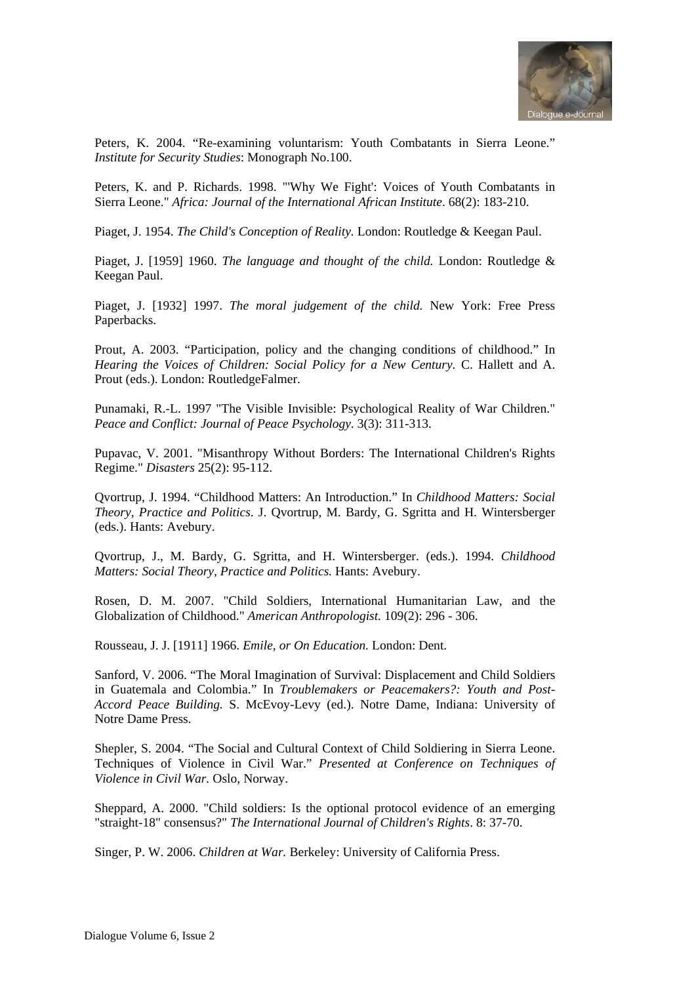

Peters, K. 2004. "Re-examining voluntarism: Youth Combatants in Sierra Leone." *Institute for Security Studies*: Monograph No.100.

Peters, K. and P. Richards. 1998. "'Why We Fight': Voices of Youth Combatants in Sierra Leone." *Africa: Journal of the International African Institute*. 68(2): 183-210.

Piaget, J. 1954. *The Child's Conception of Reality.* London: Routledge & Keegan Paul.

Piaget, J. [1959] 1960. *The language and thought of the child.* London: Routledge & Keegan Paul.

Piaget, J. [1932] 1997. *The moral judgement of the child.* New York: Free Press Paperbacks.

Prout, A. 2003. "Participation, policy and the changing conditions of childhood." In *Hearing the Voices of Children: Social Policy for a New Century.* C. Hallett and A. Prout (eds.). London: RoutledgeFalmer.

Punamaki, R.-L. 1997 "The Visible Invisible: Psychological Reality of War Children." *Peace and Conflict: Journal of Peace Psychology*. 3(3): 311-313.

Pupavac, V. 2001. "Misanthropy Without Borders: The International Children's Rights Regime." *Disasters* 25(2): 95-112.

Qvortrup, J. 1994. "Childhood Matters: An Introduction." In *Childhood Matters: Social Theory, Practice and Politics*. J. Qvortrup, M. Bardy, G. Sgritta and H. Wintersberger (eds.). Hants: Avebury.

Qvortrup, J., M. Bardy, G. Sgritta, and H. Wintersberger. (eds.). 1994. *Childhood Matters: Social Theory, Practice and Politics. Hants: Avebury.* 

Rosen, D. M. 2007. "Child Soldiers, International Humanitarian Law, and the Globalization of Childhood." *American Anthropologist.* 109(2): 296 - 306.

Rousseau, J. J. [1911] 1966. *Emile, or On Education.* London: Dent.

Sanford, V. 2006. "The Moral Imagination of Survival: Displacement and Child Soldiers in Guatemala and Colombia." In *Troublemakers or Peacemakers?: Youth and Post-Accord Peace Building.* S. McEvoy-Levy (ed.). Notre Dame, Indiana: University of Notre Dame Press.

Shepler, S. 2004. "The Social and Cultural Context of Child Soldiering in Sierra Leone. Techniques of Violence in Civil War." *Presented at Conference on Techniques of Violence in Civil War.* Oslo, Norway.

Sheppard, A. 2000. "Child soldiers: Is the optional protocol evidence of an emerging "straight-18" consensus?" *The International Journal of Children's Rights*. 8: 37-70.

Singer, P. W. 2006. *Children at War.* Berkeley: University of California Press.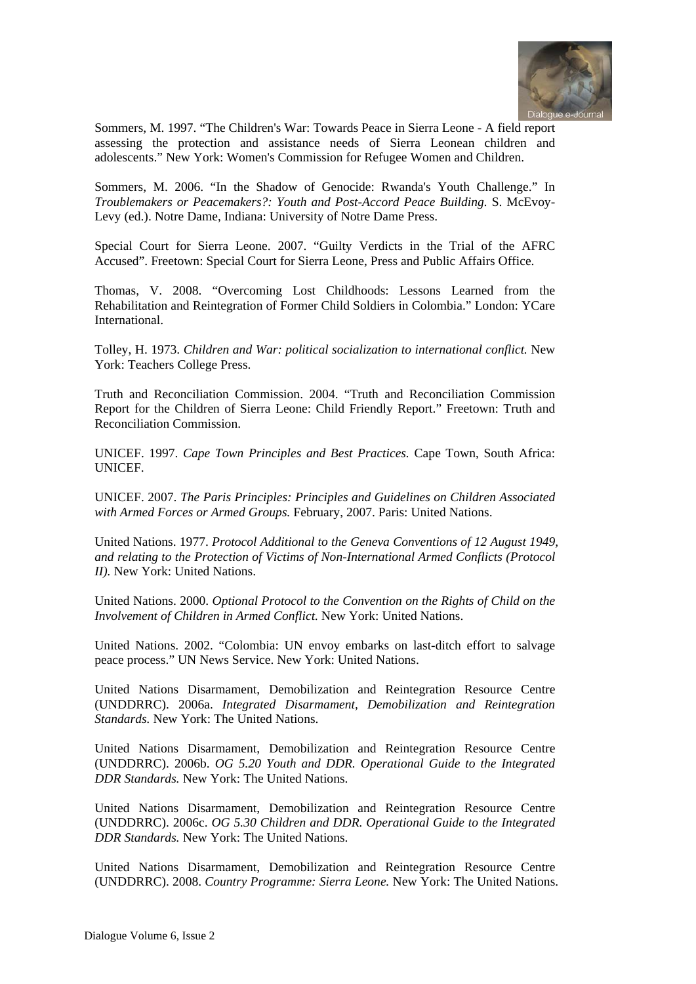

Sommers, M. 1997. "The Children's War: Towards Peace in Sierra Leone - A field report assessing the protection and assistance needs of Sierra Leonean children and adolescents." New York: Women's Commission for Refugee Women and Children.

Sommers, M. 2006. "In the Shadow of Genocide: Rwanda's Youth Challenge." In *Troublemakers or Peacemakers?: Youth and Post-Accord Peace Building.* S. McEvoy-Levy (ed.). Notre Dame, Indiana: University of Notre Dame Press.

Special Court for Sierra Leone. 2007. "Guilty Verdicts in the Trial of the AFRC Accused". Freetown: Special Court for Sierra Leone, Press and Public Affairs Office.

Thomas, V. 2008. "Overcoming Lost Childhoods: Lessons Learned from the Rehabilitation and Reintegration of Former Child Soldiers in Colombia." London: YCare International.

Tolley, H. 1973. *Children and War: political socialization to international conflict.* New York: Teachers College Press.

Truth and Reconciliation Commission. 2004. "Truth and Reconciliation Commission Report for the Children of Sierra Leone: Child Friendly Report." Freetown: Truth and Reconciliation Commission.

UNICEF. 1997. *Cape Town Principles and Best Practices.* Cape Town, South Africa: UNICEF.

UNICEF. 2007. *The Paris Principles: Principles and Guidelines on Children Associated with Armed Forces or Armed Groups.* February, 2007. Paris: United Nations.

United Nations. 1977. *Protocol Additional to the Geneva Conventions of 12 August 1949, and relating to the Protection of Victims of Non-International Armed Conflicts (Protocol II).* New York: United Nations.

United Nations. 2000. *Optional Protocol to the Convention on the Rights of Child on the Involvement of Children in Armed Conflict.* New York: United Nations.

United Nations. 2002. "Colombia: UN envoy embarks on last-ditch effort to salvage peace process." UN News Service. New York: United Nations.

United Nations Disarmament, Demobilization and Reintegration Resource Centre (UNDDRRC). 2006a. *Integrated Disarmament, Demobilization and Reintegration Standards.* New York: The United Nations.

United Nations Disarmament, Demobilization and Reintegration Resource Centre (UNDDRRC). 2006b. *OG 5.20 Youth and DDR. Operational Guide to the Integrated DDR Standards.* New York: The United Nations.

United Nations Disarmament, Demobilization and Reintegration Resource Centre (UNDDRRC). 2006c. *OG 5.30 Children and DDR. Operational Guide to the Integrated DDR Standards.* New York: The United Nations.

United Nations Disarmament, Demobilization and Reintegration Resource Centre (UNDDRRC). 2008. *Country Programme: Sierra Leone.* New York: The United Nations.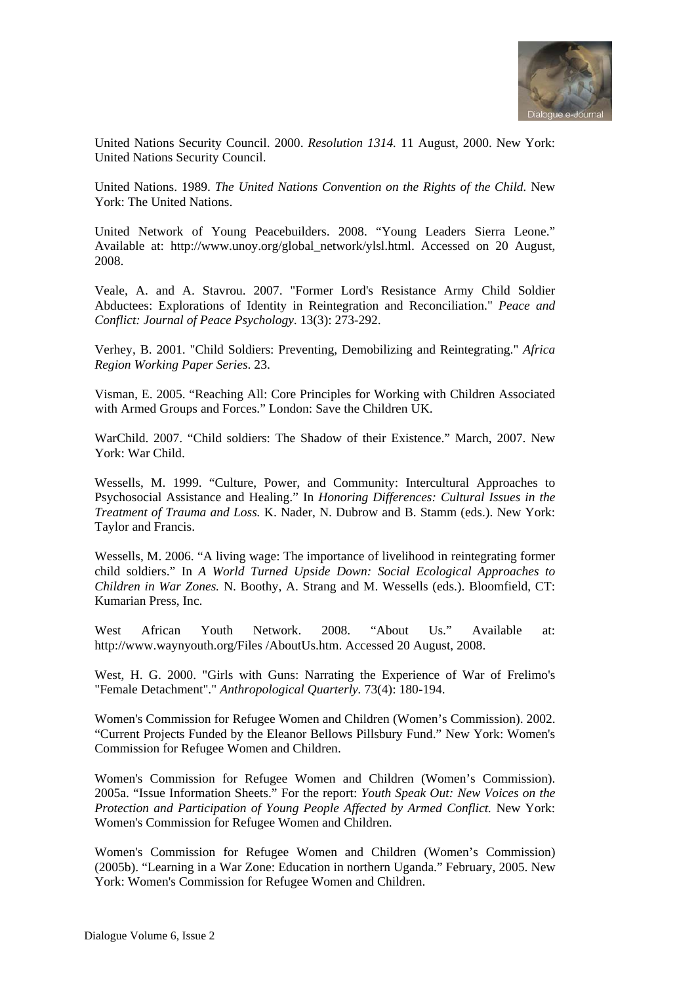

United Nations Security Council. 2000. *Resolution 1314.* 11 August, 2000. New York: United Nations Security Council.

United Nations. 1989. *The United Nations Convention on the Rights of the Child.* New York: The United Nations.

United Network of Young Peacebuilders. 2008. "Young Leaders Sierra Leone." Available at: http://www.unoy.org/global\_network/ylsl.html. Accessed on 20 August, 2008.

Veale, A. and A. Stavrou. 2007. "Former Lord's Resistance Army Child Soldier Abductees: Explorations of Identity in Reintegration and Reconciliation." *Peace and Conflict: Journal of Peace Psychology*. 13(3): 273-292.

Verhey, B. 2001. "Child Soldiers: Preventing, Demobilizing and Reintegrating." *Africa Region Working Paper Series*. 23.

Visman, E. 2005. "Reaching All: Core Principles for Working with Children Associated with Armed Groups and Forces." London: Save the Children UK.

WarChild. 2007. "Child soldiers: The Shadow of their Existence." March, 2007. New York: War Child.

Wessells, M. 1999. "Culture, Power, and Community: Intercultural Approaches to Psychosocial Assistance and Healing." In *Honoring Differences: Cultural Issues in the Treatment of Trauma and Loss.* K. Nader, N. Dubrow and B. Stamm (eds.). New York: Taylor and Francis.

Wessells, M. 2006. "A living wage: The importance of livelihood in reintegrating former child soldiers." In *A World Turned Upside Down: Social Ecological Approaches to Children in War Zones.* N. Boothy, A. Strang and M. Wessells (eds.). Bloomfield, CT: Kumarian Press, Inc.

West African Youth Network. 2008. "About Us." Available at: http://www.waynyouth.org/Files /AboutUs.htm. Accessed 20 August, 2008.

West, H. G. 2000. "Girls with Guns: Narrating the Experience of War of Frelimo's "Female Detachment"." *Anthropological Quarterly.* 73(4): 180-194.

Women's Commission for Refugee Women and Children (Women's Commission). 2002. "Current Projects Funded by the Eleanor Bellows Pillsbury Fund." New York: Women's Commission for Refugee Women and Children.

Women's Commission for Refugee Women and Children (Women's Commission). 2005a. "Issue Information Sheets." For the report: *Youth Speak Out: New Voices on the Protection and Participation of Young People Affected by Armed Conflict.* New York: Women's Commission for Refugee Women and Children.

Women's Commission for Refugee Women and Children (Women's Commission) (2005b). "Learning in a War Zone: Education in northern Uganda." February, 2005. New York: Women's Commission for Refugee Women and Children.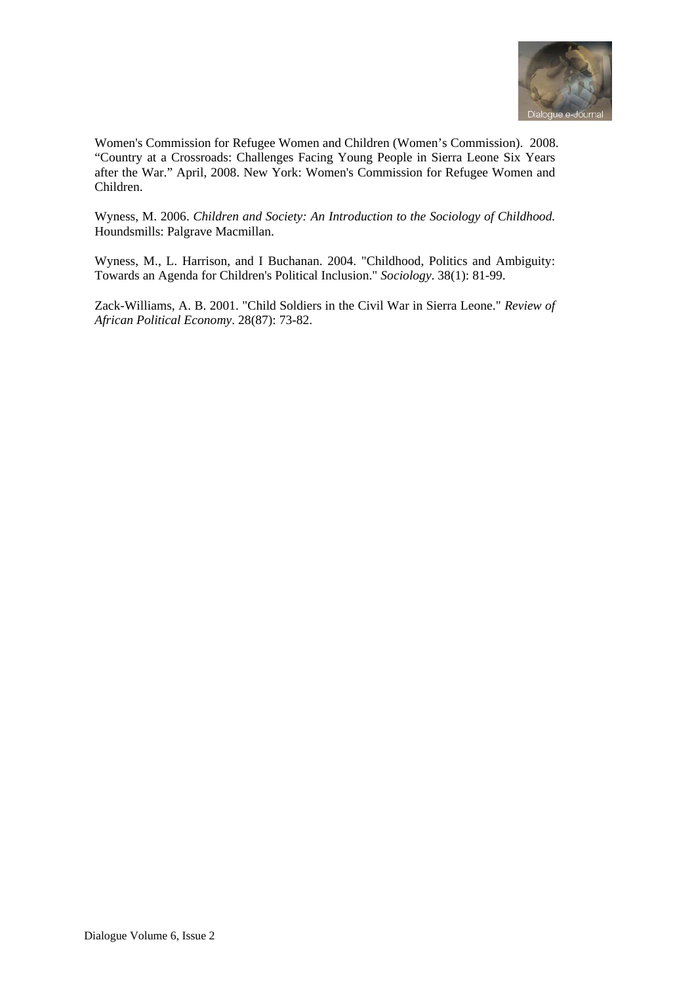

Women's Commission for Refugee Women and Children (Women's Commission). 2008. "Country at a Crossroads: Challenges Facing Young People in Sierra Leone Six Years after the War." April, 2008. New York: Women's Commission for Refugee Women and Children.

Wyness, M. 2006. *Children and Society: An Introduction to the Sociology of Childhood.* Houndsmills: Palgrave Macmillan.

Wyness, M., L. Harrison, and I Buchanan. 2004. "Childhood, Politics and Ambiguity: Towards an Agenda for Children's Political Inclusion." *Sociology*. 38(1): 81-99.

Zack-Williams, A. B. 2001. "Child Soldiers in the Civil War in Sierra Leone." *Review of African Political Economy*. 28(87): 73-82.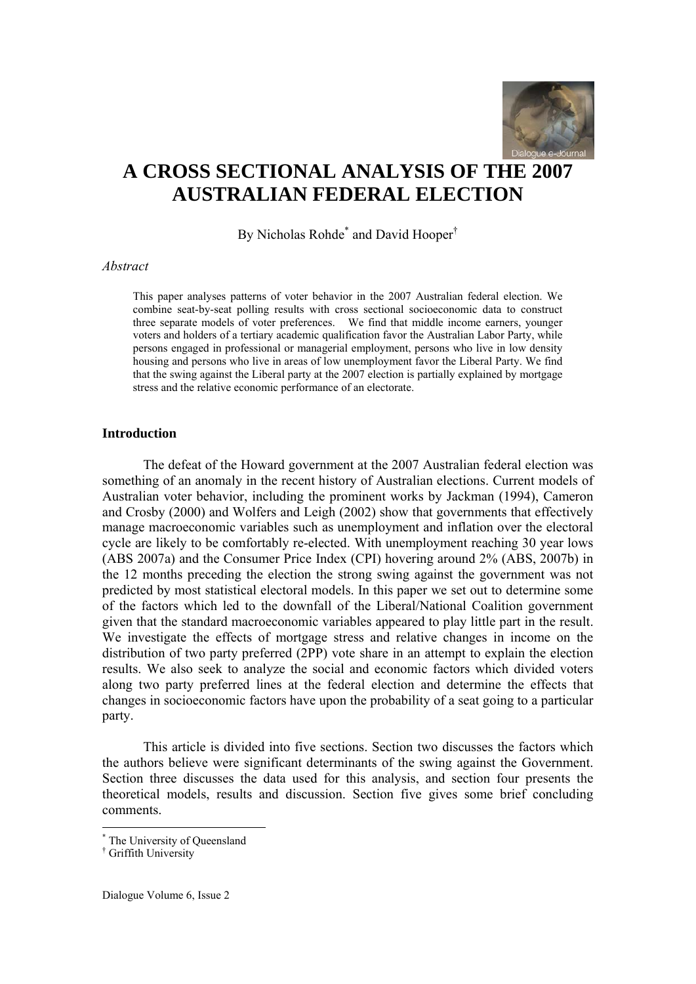

# **A CROSS SECTIONAL ANALYSIS OF THE 2007 AUSTRALIAN FEDERAL ELECTION**

By Nicholas Rohde<sup>\*</sup> and David Hooper<sup>†</sup>

#### *Abstract*

This paper analyses patterns of voter behavior in the 2007 Australian federal election. We combine seat-by-seat polling results with cross sectional socioeconomic data to construct three separate models of voter preferences. We find that middle income earners, younger voters and holders of a tertiary academic qualification favor the Australian Labor Party, while persons engaged in professional or managerial employment, persons who live in low density housing and persons who live in areas of low unemployment favor the Liberal Party. We find that the swing against the Liberal party at the 2007 election is partially explained by mortgage stress and the relative economic performance of an electorate.

#### **Introduction**

The defeat of the Howard government at the 2007 Australian federal election was something of an anomaly in the recent history of Australian elections. Current models of Australian voter behavior, including the prominent works by Jackman (1994), Cameron and Crosby (2000) and Wolfers and Leigh (2002) show that governments that effectively manage macroeconomic variables such as unemployment and inflation over the electoral cycle are likely to be comfortably re-elected. With unemployment reaching 30 year lows (ABS 2007a) and the Consumer Price Index (CPI) hovering around 2% (ABS, 2007b) in the 12 months preceding the election the strong swing against the government was not predicted by most statistical electoral models. In this paper we set out to determine some of the factors which led to the downfall of the Liberal/National Coalition government given that the standard macroeconomic variables appeared to play little part in the result. We investigate the effects of mortgage stress and relative changes in income on the distribution of two party preferred (2PP) vote share in an attempt to explain the election results. We also seek to analyze the social and economic factors which divided voters along two party preferred lines at the federal election and determine the effects that changes in socioeconomic factors have upon the probability of a seat going to a particular party.

This article is divided into five sections. Section two discusses the factors which the authors believe were significant determinants of the swing against the Government. Section three discusses the data used for this analysis, and section four presents the theoretical models, results and discussion. Section five gives some brief concluding comments.

<sup>\*</sup> The University of Queensland

<sup>†</sup> Griffith University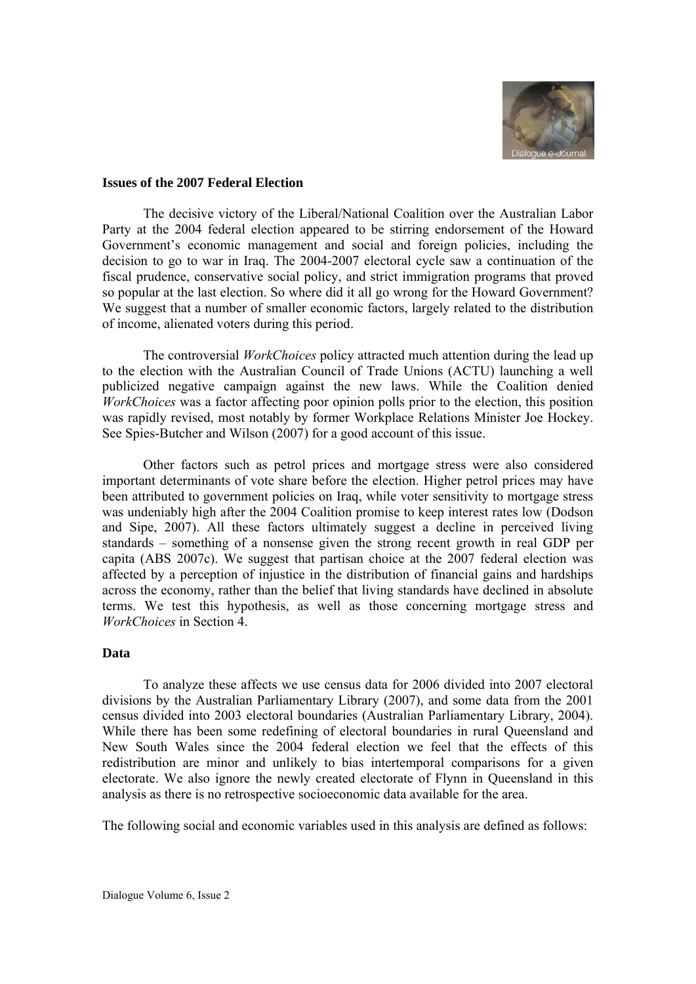

#### **Issues of the 2007 Federal Election**

The decisive victory of the Liberal/National Coalition over the Australian Labor Party at the 2004 federal election appeared to be stirring endorsement of the Howard Government's economic management and social and foreign policies, including the decision to go to war in Iraq. The 2004-2007 electoral cycle saw a continuation of the fiscal prudence, conservative social policy, and strict immigration programs that proved so popular at the last election. So where did it all go wrong for the Howard Government? We suggest that a number of smaller economic factors, largely related to the distribution of income, alienated voters during this period.

The controversial *WorkChoices* policy attracted much attention during the lead up to the election with the Australian Council of Trade Unions (ACTU) launching a well publicized negative campaign against the new laws. While the Coalition denied *WorkChoices* was a factor affecting poor opinion polls prior to the election, this position was rapidly revised, most notably by former Workplace Relations Minister Joe Hockey. See Spies-Butcher and Wilson (2007) for a good account of this issue.

Other factors such as petrol prices and mortgage stress were also considered important determinants of vote share before the election. Higher petrol prices may have been attributed to government policies on Iraq, while voter sensitivity to mortgage stress was undeniably high after the 2004 Coalition promise to keep interest rates low (Dodson and Sipe, 2007). All these factors ultimately suggest a decline in perceived living standards – something of a nonsense given the strong recent growth in real GDP per capita (ABS 2007c). We suggest that partisan choice at the 2007 federal election was affected by a perception of injustice in the distribution of financial gains and hardships across the economy, rather than the belief that living standards have declined in absolute terms. We test this hypothesis, as well as those concerning mortgage stress and *WorkChoices* in Section 4.

#### **Data**

To analyze these affects we use census data for 2006 divided into 2007 electoral divisions by the Australian Parliamentary Library (2007), and some data from the 2001 census divided into 2003 electoral boundaries (Australian Parliamentary Library, 2004). While there has been some redefining of electoral boundaries in rural Queensland and New South Wales since the 2004 federal election we feel that the effects of this redistribution are minor and unlikely to bias intertemporal comparisons for a given electorate. We also ignore the newly created electorate of Flynn in Queensland in this analysis as there is no retrospective socioeconomic data available for the area.

The following social and economic variables used in this analysis are defined as follows: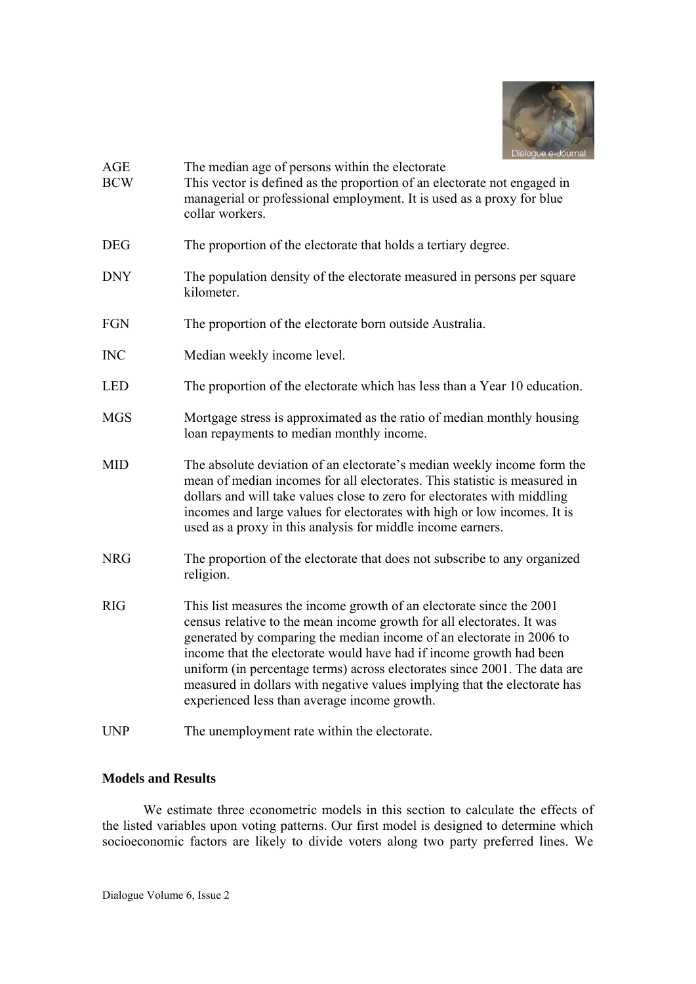

| <b>AGE</b><br><b>BCW</b> | The median age of persons within the electorate<br>This vector is defined as the proportion of an electorate not engaged in<br>managerial or professional employment. It is used as a proxy for blue<br>collar workers.                                                                                                                                                                                                                                                                                |
|--------------------------|--------------------------------------------------------------------------------------------------------------------------------------------------------------------------------------------------------------------------------------------------------------------------------------------------------------------------------------------------------------------------------------------------------------------------------------------------------------------------------------------------------|
| <b>DEG</b>               | The proportion of the electorate that holds a tertiary degree.                                                                                                                                                                                                                                                                                                                                                                                                                                         |
| <b>DNY</b>               | The population density of the electorate measured in persons per square<br>kilometer.                                                                                                                                                                                                                                                                                                                                                                                                                  |
| FGN                      | The proportion of the electorate born outside Australia.                                                                                                                                                                                                                                                                                                                                                                                                                                               |
| <b>INC</b>               | Median weekly income level.                                                                                                                                                                                                                                                                                                                                                                                                                                                                            |
| <b>LED</b>               | The proportion of the electorate which has less than a Year 10 education.                                                                                                                                                                                                                                                                                                                                                                                                                              |
| <b>MGS</b>               | Mortgage stress is approximated as the ratio of median monthly housing<br>loan repayments to median monthly income.                                                                                                                                                                                                                                                                                                                                                                                    |
| <b>MID</b>               | The absolute deviation of an electorate's median weekly income form the<br>mean of median incomes for all electorates. This statistic is measured in<br>dollars and will take values close to zero for electorates with middling<br>incomes and large values for electorates with high or low incomes. It is<br>used as a proxy in this analysis for middle income earners.                                                                                                                            |
| <b>NRG</b>               | The proportion of the electorate that does not subscribe to any organized<br>religion.                                                                                                                                                                                                                                                                                                                                                                                                                 |
| <b>RIG</b>               | This list measures the income growth of an electorate since the 2001<br>census relative to the mean income growth for all electorates. It was<br>generated by comparing the median income of an electorate in 2006 to<br>income that the electorate would have had if income growth had been<br>uniform (in percentage terms) across electorates since 2001. The data are<br>measured in dollars with negative values implying that the electorate has<br>experienced less than average income growth. |
| <b>UNP</b>               | The unemployment rate within the electorate.                                                                                                                                                                                                                                                                                                                                                                                                                                                           |

# **Models and Results**

We estimate three econometric models in this section to calculate the effects of the listed variables upon voting patterns. Our first model is designed to determine which socioeconomic factors are likely to divide voters along two party preferred lines. We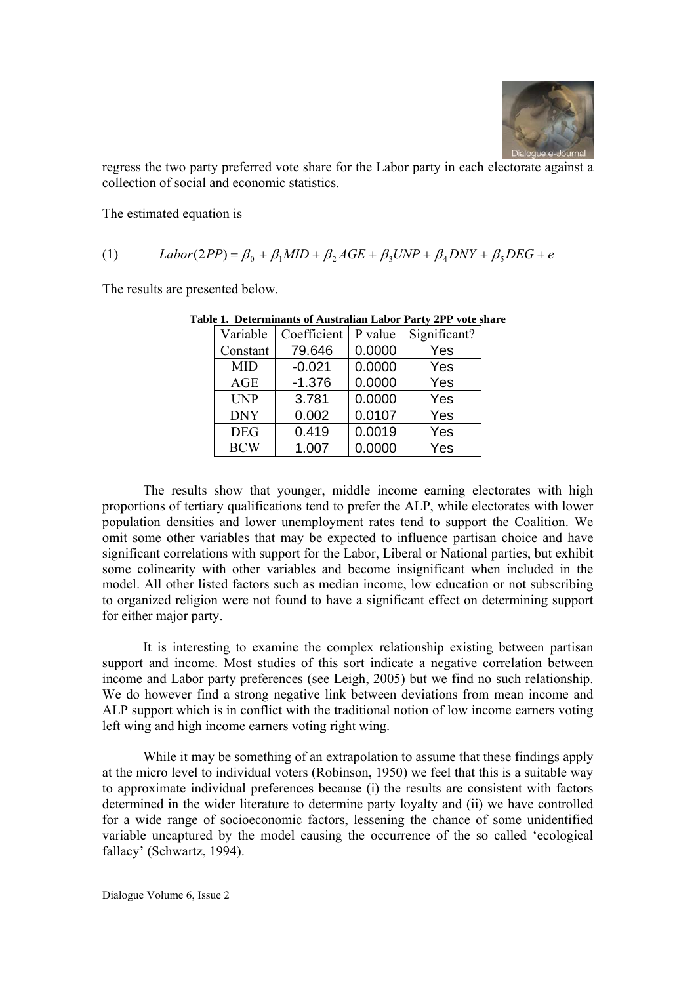

regress the two party preferred vote share for the Labor party in each electorate against a collection of social and economic statistics.

The estimated equation is

(1) 
$$
Labor(2PP) = \beta_0 + \beta_1 MID + \beta_2 AGE + \beta_3 UNP + \beta_4 DNY + \beta_5 DEG + e
$$

The results are presented below.

| Variable   | Coefficient | P value | Significant? |
|------------|-------------|---------|--------------|
| Constant   | 79.646      | 0.0000  | Yes          |
| <b>MID</b> | $-0.021$    | 0.0000  | Yes          |
| <b>AGE</b> | $-1.376$    | 0.0000  | Yes          |
| <b>UNP</b> | 3.781       | 0.0000  | Yes          |
| <b>DNY</b> | 0.002       | 0.0107  | Yes          |
| <b>DEG</b> | 0.419       | 0.0019  | Yes          |
| <b>BCW</b> | 1.007       | 0.0000  | Yes          |

**Table 1. Determinants of Australian Labor Party 2PP vote share** 

The results show that younger, middle income earning electorates with high proportions of tertiary qualifications tend to prefer the ALP, while electorates with lower population densities and lower unemployment rates tend to support the Coalition. We omit some other variables that may be expected to influence partisan choice and have significant correlations with support for the Labor, Liberal or National parties, but exhibit some colinearity with other variables and become insignificant when included in the model. All other listed factors such as median income, low education or not subscribing to organized religion were not found to have a significant effect on determining support for either major party.

It is interesting to examine the complex relationship existing between partisan support and income. Most studies of this sort indicate a negative correlation between income and Labor party preferences (see Leigh, 2005) but we find no such relationship. We do however find a strong negative link between deviations from mean income and ALP support which is in conflict with the traditional notion of low income earners voting left wing and high income earners voting right wing.

While it may be something of an extrapolation to assume that these findings apply at the micro level to individual voters (Robinson, 1950) we feel that this is a suitable way to approximate individual preferences because (i) the results are consistent with factors determined in the wider literature to determine party loyalty and (ii) we have controlled for a wide range of socioeconomic factors, lessening the chance of some unidentified variable uncaptured by the model causing the occurrence of the so called 'ecological fallacy' (Schwartz, 1994).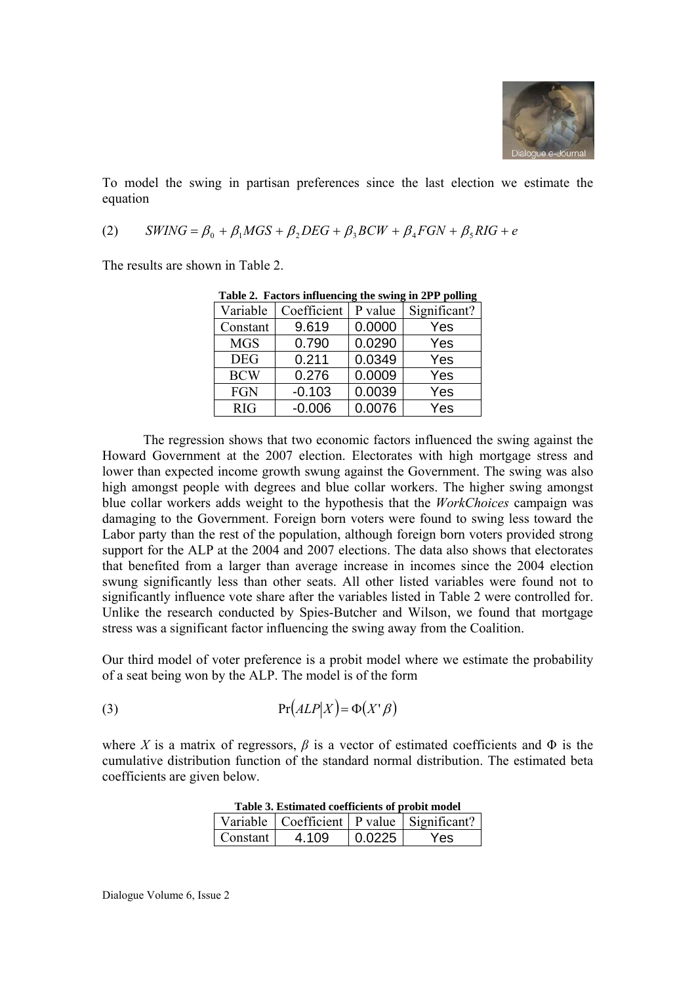

To model the swing in partisan preferences since the last election we estimate the equation

$$
(2) \qquad SWING = \beta_0 + \beta_1 MGS + \beta_2 DEG + \beta_3 BCW + \beta_4 FGN + \beta_5 RIG + e
$$

The results are shown in Table 2.

| Table 2. Factors influencing the swing in 2FF pointing |             |         |              |  |
|--------------------------------------------------------|-------------|---------|--------------|--|
| Variable                                               | Coefficient | P value | Significant? |  |
| Constant                                               | 9.619       | 0.0000  | Yes          |  |
| <b>MGS</b>                                             | 0.790       | 0.0290  | Yes          |  |
| <b>DEG</b>                                             | 0.211       | 0.0349  | Yes          |  |
| <b>BCW</b>                                             | 0.276       | 0.0009  | Yes          |  |
| <b>FGN</b>                                             | $-0.103$    | 0.0039  | Yes          |  |
| <b>RIG</b>                                             | $-0.006$    | 0.0076  | Yes          |  |

**Table 2. Factors influencing the swing in 2PP polling** 

The regression shows that two economic factors influenced the swing against the Howard Government at the 2007 election. Electorates with high mortgage stress and lower than expected income growth swung against the Government. The swing was also high amongst people with degrees and blue collar workers. The higher swing amongst blue collar workers adds weight to the hypothesis that the *WorkChoices* campaign was damaging to the Government. Foreign born voters were found to swing less toward the Labor party than the rest of the population, although foreign born voters provided strong support for the ALP at the 2004 and 2007 elections. The data also shows that electorates that benefited from a larger than average increase in incomes since the 2004 election swung significantly less than other seats. All other listed variables were found not to significantly influence vote share after the variables listed in Table 2 were controlled for. Unlike the research conducted by Spies-Butcher and Wilson, we found that mortgage stress was a significant factor influencing the swing away from the Coalition.

Our third model of voter preference is a probit model where we estimate the probability of a seat being won by the ALP. The model is of the form

(3) 
$$
Pr(ALP|X) = \Phi(X^{\prime}\beta)
$$

where *X* is a matrix of regressors,  $\beta$  is a vector of estimated coefficients and  $\Phi$  is the cumulative distribution function of the standard normal distribution. The estimated beta coefficients are given below.

| <b>Table 3. Estimated coefficients of probit model</b> |       |        |                                                 |  |
|--------------------------------------------------------|-------|--------|-------------------------------------------------|--|
|                                                        |       |        | Variable   Coefficient   P value   Significant? |  |
| Constant                                               | 4.109 | 0.0225 | <b>Yes</b>                                      |  |

**Table 3. Estimated coefficients of probit model**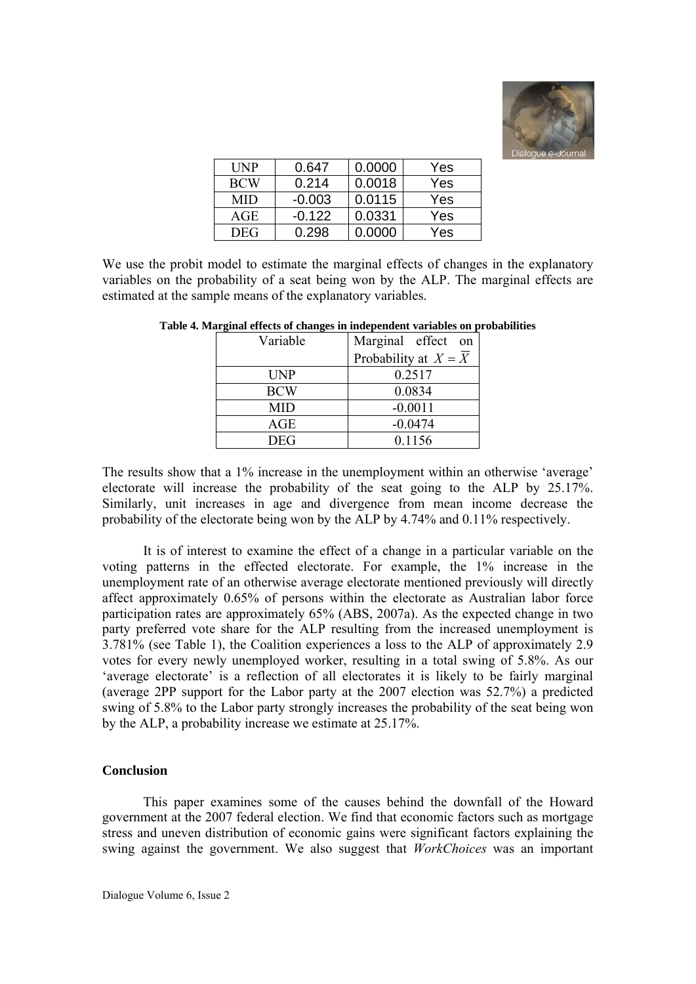

| <b>UNP</b> | 0.647    | 0.0000 | Yes |
|------------|----------|--------|-----|
| <b>BCW</b> | 0.214    | 0.0018 | Yes |
| MID        | $-0.003$ | 0.0115 | Yes |
| <b>AGE</b> | $-0.122$ | 0.0331 | Yes |
| DEG        | 0.298    | ი იიიი | Yes |

We use the probit model to estimate the marginal effects of changes in the explanatory variables on the probability of a seat being won by the ALP. The marginal effects are estimated at the sample means of the explanatory variables.

| Variable   | Marginal effect on                |
|------------|-----------------------------------|
|            | Probability at $X = \overline{X}$ |
| UNP        | 0.2517                            |
| <b>BCW</b> | 0.0834                            |
| MID        | $-0.0011$                         |
| AGE        | $-0.0474$                         |
| DEG        | 0.1156                            |

|  |  | Table 4. Marginal effects of changes in independent variables on probabilities |  |
|--|--|--------------------------------------------------------------------------------|--|
|  |  |                                                                                |  |

The results show that a 1% increase in the unemployment within an otherwise 'average' electorate will increase the probability of the seat going to the ALP by 25.17%. Similarly, unit increases in age and divergence from mean income decrease the probability of the electorate being won by the ALP by 4.74% and 0.11% respectively.

It is of interest to examine the effect of a change in a particular variable on the voting patterns in the effected electorate. For example, the 1% increase in the unemployment rate of an otherwise average electorate mentioned previously will directly affect approximately 0.65% of persons within the electorate as Australian labor force participation rates are approximately 65% (ABS, 2007a). As the expected change in two party preferred vote share for the ALP resulting from the increased unemployment is 3.781% (see Table 1), the Coalition experiences a loss to the ALP of approximately 2.9 votes for every newly unemployed worker, resulting in a total swing of 5.8%. As our 'average electorate' is a reflection of all electorates it is likely to be fairly marginal (average 2PP support for the Labor party at the 2007 election was 52.7%) a predicted swing of 5.8% to the Labor party strongly increases the probability of the seat being won by the ALP, a probability increase we estimate at 25.17%.

# **Conclusion**

This paper examines some of the causes behind the downfall of the Howard government at the 2007 federal election. We find that economic factors such as mortgage stress and uneven distribution of economic gains were significant factors explaining the swing against the government. We also suggest that *WorkChoices* was an important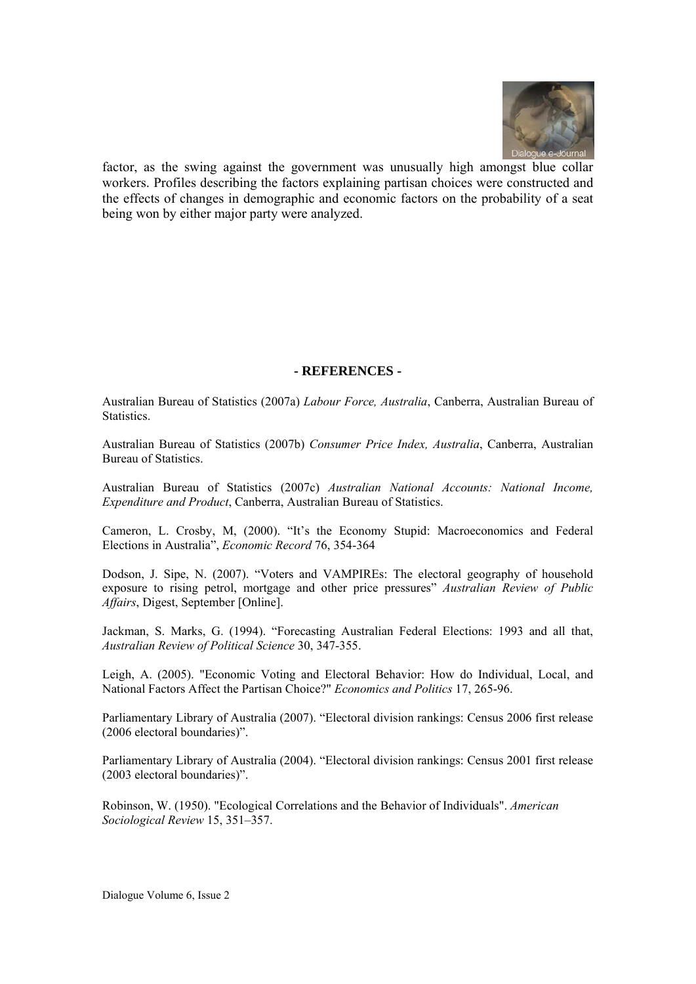

factor, as the swing against the government was unusually high amongst blue collar workers. Profiles describing the factors explaining partisan choices were constructed and the effects of changes in demographic and economic factors on the probability of a seat being won by either major party were analyzed.

# **- REFERENCES -**

Australian Bureau of Statistics (2007a) *Labour Force, Australia*, Canberra, Australian Bureau of Statistics.

Australian Bureau of Statistics (2007b) *Consumer Price Index, Australia*, Canberra, Australian Bureau of Statistics.

Australian Bureau of Statistics (2007c) *Australian National Accounts: National Income, Expenditure and Product*, Canberra, Australian Bureau of Statistics.

Cameron, L. Crosby, M, (2000). "It's the Economy Stupid: Macroeconomics and Federal Elections in Australia", *Economic Record* 76, 354-364

Dodson, J. Sipe, N. (2007). "Voters and VAMPIREs: The electoral geography of household exposure to rising petrol, mortgage and other price pressures" *Australian Review of Public Affairs*, Digest, September [Online].

Jackman, S. Marks, G. (1994). "Forecasting Australian Federal Elections: 1993 and all that, *Australian Review of Political Science* 30, 347-355.

Leigh, A. (2005). "Economic Voting and Electoral Behavior: How do Individual, Local, and National Factors Affect the Partisan Choice?" *Economics and Politics* 17, 265-96.

Parliamentary Library of Australia (2007). "Electoral division rankings: Census 2006 first release (2006 electoral boundaries)".

Parliamentary Library of Australia (2004). "Electoral division rankings: Census 2001 first release (2003 electoral boundaries)".

Robinson, W. (1950). "Ecological Correlations and the Behavior of Individuals". *American Sociological Review* 15, 351–357.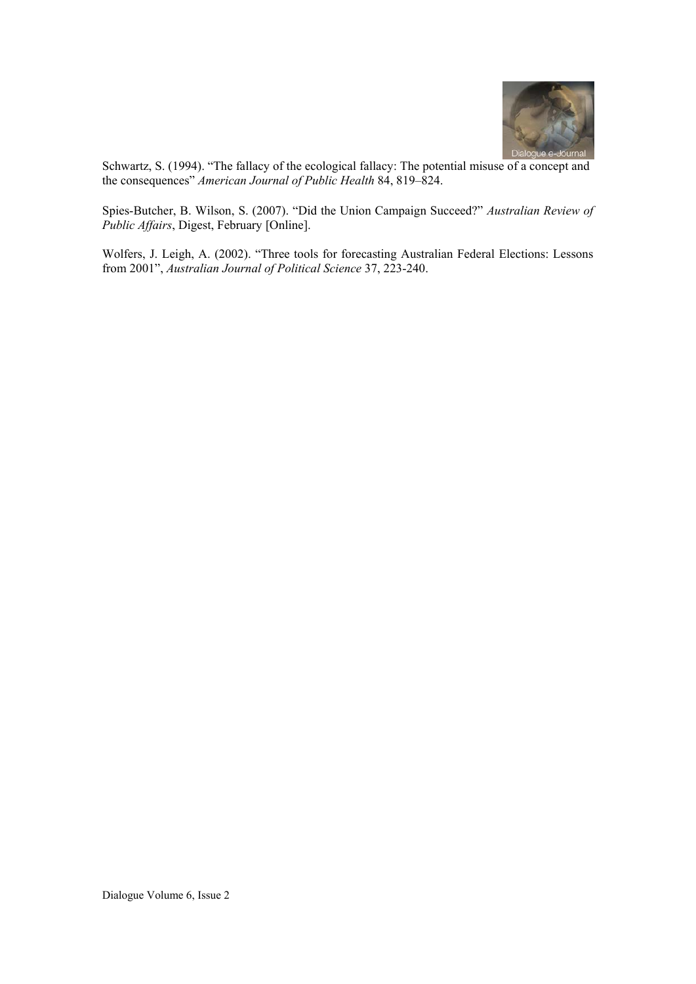

Schwartz, S. (1994). "The fallacy of the ecological fallacy: The potential misuse of a concept and the consequences" *American Journal of Public Health* 84, 819–824.

Spies-Butcher, B. Wilson, S. (2007). "Did the Union Campaign Succeed?" *Australian Review of Public Affairs*, Digest, February [Online].

Wolfers, J. Leigh, A. (2002). "Three tools for forecasting Australian Federal Elections: Lessons from 2001", *Australian Journal of Political Science* 37, 223-240.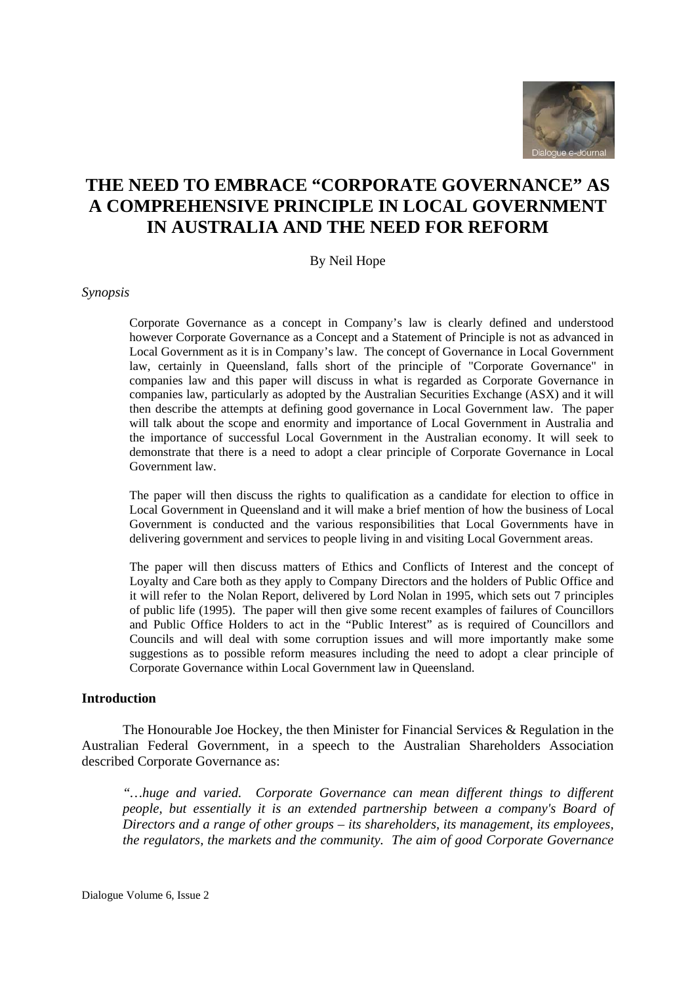

# **THE NEED TO EMBRACE "CORPORATE GOVERNANCE" AS A COMPREHENSIVE PRINCIPLE IN LOCAL GOVERNMENT IN AUSTRALIA AND THE NEED FOR REFORM**

By Neil Hope

*Synopsis* 

Corporate Governance as a concept in Company's law is clearly defined and understood however Corporate Governance as a Concept and a Statement of Principle is not as advanced in Local Government as it is in Company's law. The concept of Governance in Local Government law, certainly in Queensland, falls short of the principle of "Corporate Governance" in companies law and this paper will discuss in what is regarded as Corporate Governance in companies law, particularly as adopted by the Australian Securities Exchange (ASX) and it will then describe the attempts at defining good governance in Local Government law. The paper will talk about the scope and enormity and importance of Local Government in Australia and the importance of successful Local Government in the Australian economy. It will seek to demonstrate that there is a need to adopt a clear principle of Corporate Governance in Local Government law.

The paper will then discuss the rights to qualification as a candidate for election to office in Local Government in Queensland and it will make a brief mention of how the business of Local Government is conducted and the various responsibilities that Local Governments have in delivering government and services to people living in and visiting Local Government areas.

The paper will then discuss matters of Ethics and Conflicts of Interest and the concept of Loyalty and Care both as they apply to Company Directors and the holders of Public Office and it will refer to the Nolan Report, delivered by Lord Nolan in 1995, which sets out 7 principles of public life (1995). The paper will then give some recent examples of failures of Councillors and Public Office Holders to act in the "Public Interest" as is required of Councillors and Councils and will deal with some corruption issues and will more importantly make some suggestions as to possible reform measures including the need to adopt a clear principle of Corporate Governance within Local Government law in Queensland.

#### **Introduction**

The Honourable Joe Hockey, the then Minister for Financial Services & Regulation in the Australian Federal Government, in a speech to the Australian Shareholders Association described Corporate Governance as:

*"…huge and varied. Corporate Governance can mean different things to different people, but essentially it is an extended partnership between a company's Board of Directors and a range of other groups – its shareholders, its management, its employees, the regulators, the markets and the community. The aim of good Corporate Governance*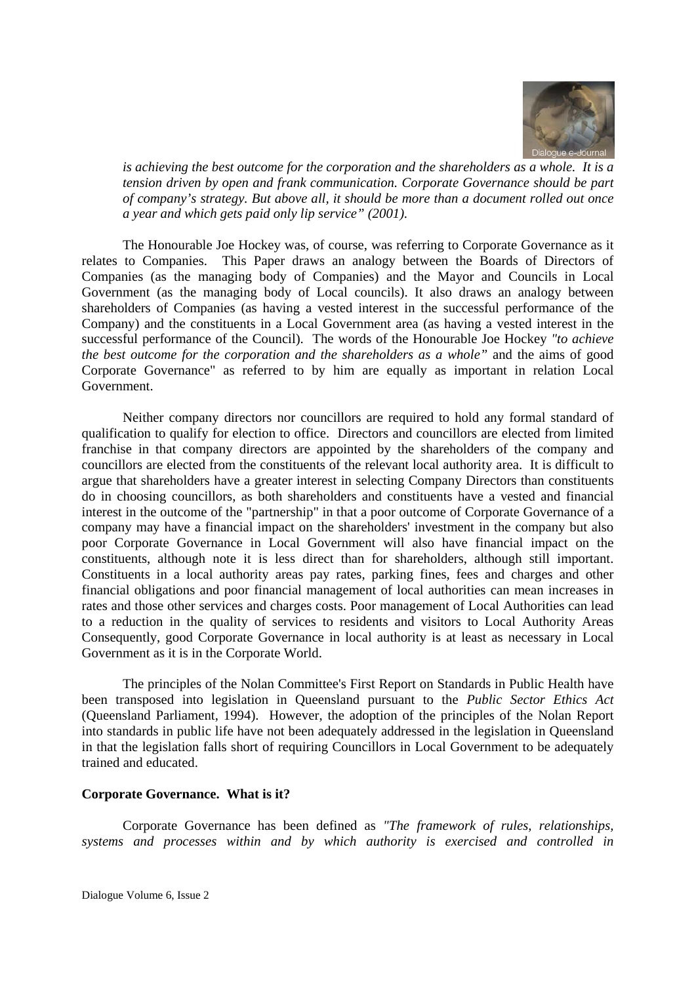

*is achieving the best outcome for the corporation and the shareholders as a whole. It is a tension driven by open and frank communication. Corporate Governance should be part of company's strategy. But above all, it should be more than a document rolled out once a year and which gets paid only lip service" (2001).*

The Honourable Joe Hockey was, of course, was referring to Corporate Governance as it relates to Companies. This Paper draws an analogy between the Boards of Directors of Companies (as the managing body of Companies) and the Mayor and Councils in Local Government (as the managing body of Local councils). It also draws an analogy between shareholders of Companies (as having a vested interest in the successful performance of the Company) and the constituents in a Local Government area (as having a vested interest in the successful performance of the Council). The words of the Honourable Joe Hockey *"to achieve the best outcome for the corporation and the shareholders as a whole"* and the aims of good Corporate Governance" as referred to by him are equally as important in relation Local Government.

Neither company directors nor councillors are required to hold any formal standard of qualification to qualify for election to office. Directors and councillors are elected from limited franchise in that company directors are appointed by the shareholders of the company and councillors are elected from the constituents of the relevant local authority area. It is difficult to argue that shareholders have a greater interest in selecting Company Directors than constituents do in choosing councillors, as both shareholders and constituents have a vested and financial interest in the outcome of the "partnership" in that a poor outcome of Corporate Governance of a company may have a financial impact on the shareholders' investment in the company but also poor Corporate Governance in Local Government will also have financial impact on the constituents, although note it is less direct than for shareholders, although still important. Constituents in a local authority areas pay rates, parking fines, fees and charges and other financial obligations and poor financial management of local authorities can mean increases in rates and those other services and charges costs. Poor management of Local Authorities can lead to a reduction in the quality of services to residents and visitors to Local Authority Areas Consequently, good Corporate Governance in local authority is at least as necessary in Local Government as it is in the Corporate World.

The principles of the Nolan Committee's First Report on Standards in Public Health have been transposed into legislation in Queensland pursuant to the *Public Sector Ethics Act* (Queensland Parliament, 1994). However, the adoption of the principles of the Nolan Report into standards in public life have not been adequately addressed in the legislation in Queensland in that the legislation falls short of requiring Councillors in Local Government to be adequately trained and educated.

#### **Corporate Governance. What is it?**

Corporate Governance has been defined as *"The framework of rules, relationships, systems and processes within and by which authority is exercised and controlled in*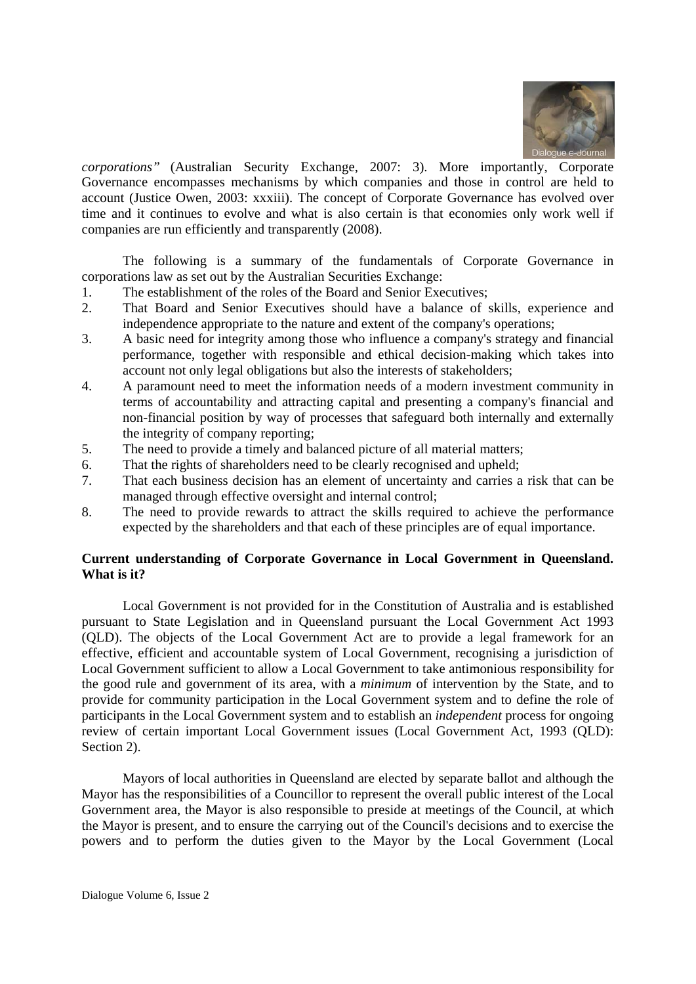

*corporations"* (Australian Security Exchange, 2007: 3). More importantly, Corporate Governance encompasses mechanisms by which companies and those in control are held to account (Justice Owen, 2003: xxxiii). The concept of Corporate Governance has evolved over time and it continues to evolve and what is also certain is that economies only work well if companies are run efficiently and transparently (2008).

 The following is a summary of the fundamentals of Corporate Governance in corporations law as set out by the Australian Securities Exchange:

- 1. The establishment of the roles of the Board and Senior Executives;
- 2. That Board and Senior Executives should have a balance of skills, experience and independence appropriate to the nature and extent of the company's operations;
- 3. A basic need for integrity among those who influence a company's strategy and financial performance, together with responsible and ethical decision-making which takes into account not only legal obligations but also the interests of stakeholders;
- 4. A paramount need to meet the information needs of a modern investment community in terms of accountability and attracting capital and presenting a company's financial and non-financial position by way of processes that safeguard both internally and externally the integrity of company reporting;
- 5. The need to provide a timely and balanced picture of all material matters;
- 6. That the rights of shareholders need to be clearly recognised and upheld;
- 7. That each business decision has an element of uncertainty and carries a risk that can be managed through effective oversight and internal control;
- 8. The need to provide rewards to attract the skills required to achieve the performance expected by the shareholders and that each of these principles are of equal importance.

# **Current understanding of Corporate Governance in Local Government in Queensland. What is it?**

Local Government is not provided for in the Constitution of Australia and is established pursuant to State Legislation and in Queensland pursuant the Local Government Act 1993 (QLD). The objects of the Local Government Act are to provide a legal framework for an effective, efficient and accountable system of Local Government, recognising a jurisdiction of Local Government sufficient to allow a Local Government to take antimonious responsibility for the good rule and government of its area, with a *minimum* of intervention by the State, and to provide for community participation in the Local Government system and to define the role of participants in the Local Government system and to establish an *independent* process for ongoing review of certain important Local Government issues (Local Government Act, 1993 (QLD): Section 2).

Mayors of local authorities in Queensland are elected by separate ballot and although the Mayor has the responsibilities of a Councillor to represent the overall public interest of the Local Government area, the Mayor is also responsible to preside at meetings of the Council, at which the Mayor is present, and to ensure the carrying out of the Council's decisions and to exercise the powers and to perform the duties given to the Mayor by the Local Government (Local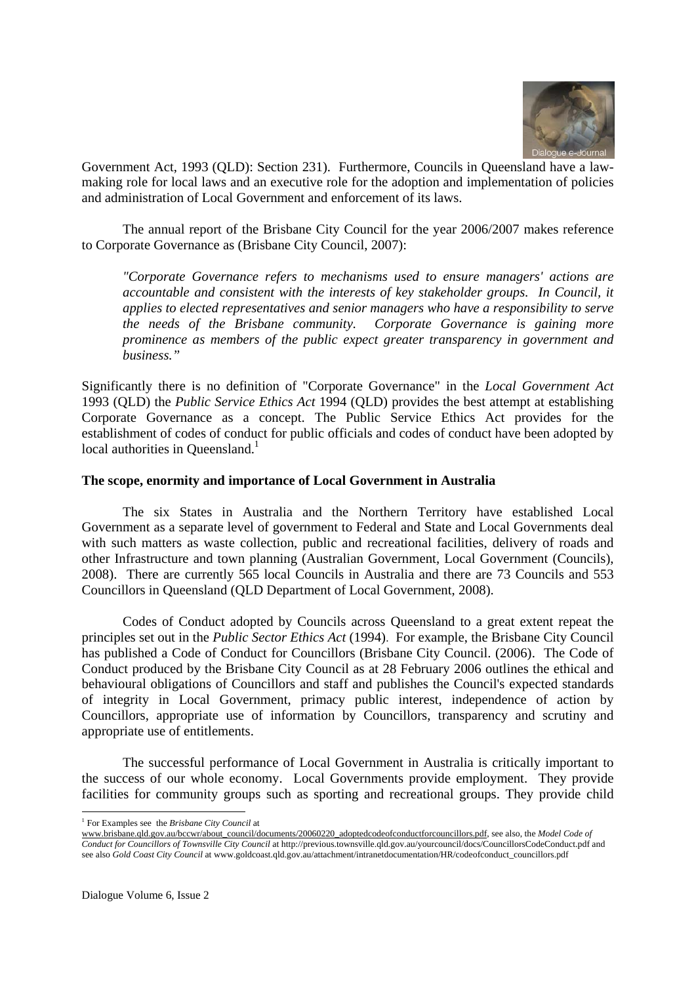

Government Act, 1993 (QLD): Section 231). Furthermore, Councils in Queensland have a lawmaking role for local laws and an executive role for the adoption and implementation of policies and administration of Local Government and enforcement of its laws.

The annual report of the Brisbane City Council for the year 2006/2007 makes reference to Corporate Governance as (Brisbane City Council, 2007):

*"Corporate Governance refers to mechanisms used to ensure managers' actions are accountable and consistent with the interests of key stakeholder groups. In Council, it applies to elected representatives and senior managers who have a responsibility to serve the needs of the Brisbane community. Corporate Governance is gaining more prominence as members of the public expect greater transparency in government and business."*

Significantly there is no definition of "Corporate Governance" in the *Local Government Act* 1993 (QLD) the *Public Service Ethics Act* 1994 (QLD) provides the best attempt at establishing Corporate Governance as a concept. The Public Service Ethics Act provides for the establishment of codes of conduct for public officials and codes of conduct have been adopted by local authorities in Queensland.<sup>1</sup>

#### **The scope, enormity and importance of Local Government in Australia**

The six States in Australia and the Northern Territory have established Local Government as a separate level of government to Federal and State and Local Governments deal with such matters as waste collection, public and recreational facilities, delivery of roads and other Infrastructure and town planning (Australian Government, Local Government (Councils), 2008). There are currently 565 local Councils in Australia and there are 73 Councils and 553 Councillors in Queensland (QLD Department of Local Government, 2008).

Codes of Conduct adopted by Councils across Queensland to a great extent repeat the principles set out in the *Public Sector Ethics Act* (1994). For example, the Brisbane City Council has published a Code of Conduct for Councillors (Brisbane City Council. (2006). The Code of Conduct produced by the Brisbane City Council as at 28 February 2006 outlines the ethical and behavioural obligations of Councillors and staff and publishes the Council's expected standards of integrity in Local Government, primacy public interest, independence of action by Councillors, appropriate use of information by Councillors, transparency and scrutiny and appropriate use of entitlements.

The successful performance of Local Government in Australia is critically important to the success of our whole economy. Local Governments provide employment. They provide facilities for community groups such as sporting and recreational groups. They provide child

<sup>-</sup>1 For Examples see the *Brisbane City Council* at

www.brisbane.qld.gov.au/bccwr/about\_council/documents/20060220\_adoptedcodeofconductforcouncillors.pdf, see also, the *Model Code of Conduct for Councillors of Townsville City Council* at http://previous.townsville.qld.gov.au/yourcouncil/docs/CouncillorsCodeConduct.pdf and see also *Gold Coast City Council* at www.goldcoast.qld.gov.au/attachment/intranetdocumentation/HR/codeofconduct\_councillors.pdf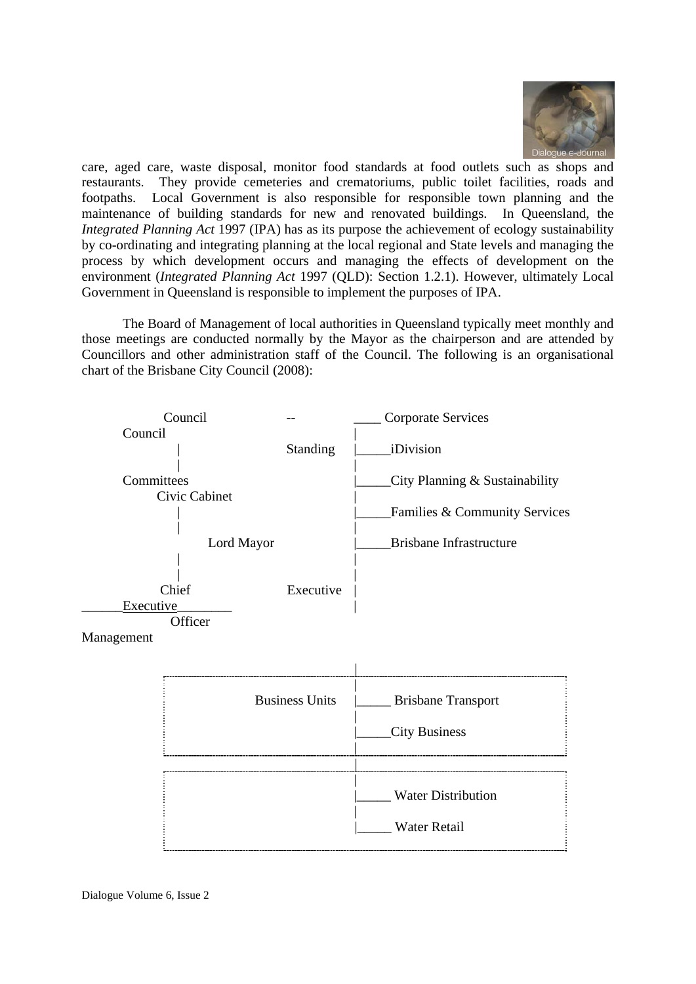

care, aged care, waste disposal, monitor food standards at food outlets such as shops and restaurants. They provide cemeteries and crematoriums, public toilet facilities, roads and footpaths. Local Government is also responsible for responsible town planning and the maintenance of building standards for new and renovated buildings. In Queensland, the *Integrated Planning Act* 1997 (IPA) has as its purpose the achievement of ecology sustainability by co-ordinating and integrating planning at the local regional and State levels and managing the process by which development occurs and managing the effects of development on the environment (*Integrated Planning Act* 1997 (QLD): Section 1.2.1). However, ultimately Local Government in Queensland is responsible to implement the purposes of IPA.

The Board of Management of local authorities in Queensland typically meet monthly and those meetings are conducted normally by the Mayor as the chairperson and are attended by Councillors and other administration staff of the Council. The following is an organisational chart of the Brisbane City Council (2008):



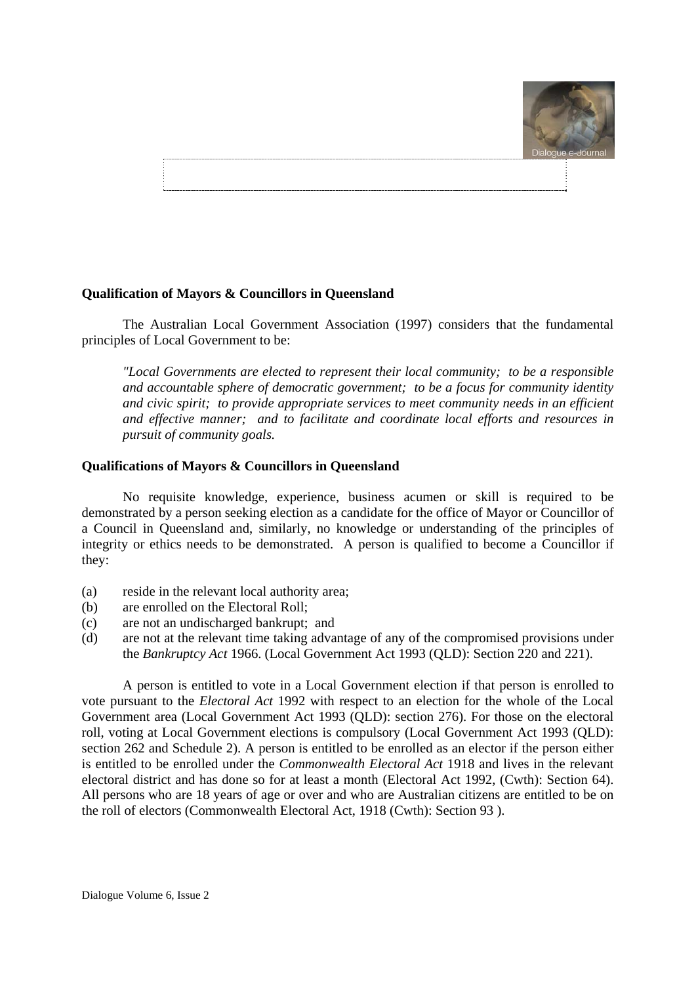

# **Qualification of Mayors & Councillors in Queensland**

The Australian Local Government Association (1997) considers that the fundamental principles of Local Government to be:

*"Local Governments are elected to represent their local community; to be a responsible and accountable sphere of democratic government; to be a focus for community identity and civic spirit; to provide appropriate services to meet community needs in an efficient and effective manner; and to facilitate and coordinate local efforts and resources in pursuit of community goals.*

#### **Qualifications of Mayors & Councillors in Queensland**

No requisite knowledge, experience, business acumen or skill is required to be demonstrated by a person seeking election as a candidate for the office of Mayor or Councillor of a Council in Queensland and, similarly, no knowledge or understanding of the principles of integrity or ethics needs to be demonstrated. A person is qualified to become a Councillor if they:

- (a) reside in the relevant local authority area;
- (b) are enrolled on the Electoral Roll;
- (c) are not an undischarged bankrupt; and
- (d) are not at the relevant time taking advantage of any of the compromised provisions under the *Bankruptcy Act* 1966. (Local Government Act 1993 (QLD): Section 220 and 221).

A person is entitled to vote in a Local Government election if that person is enrolled to vote pursuant to the *Electoral Act* 1992 with respect to an election for the whole of the Local Government area (Local Government Act 1993 (QLD): section 276). For those on the electoral roll, voting at Local Government elections is compulsory (Local Government Act 1993 (QLD): section 262 and Schedule 2). A person is entitled to be enrolled as an elector if the person either is entitled to be enrolled under the *Commonwealth Electoral Act* 1918 and lives in the relevant electoral district and has done so for at least a month (Electoral Act 1992, (Cwth): Section 64). All persons who are 18 years of age or over and who are Australian citizens are entitled to be on the roll of electors (Commonwealth Electoral Act, 1918 (Cwth): Section 93 ).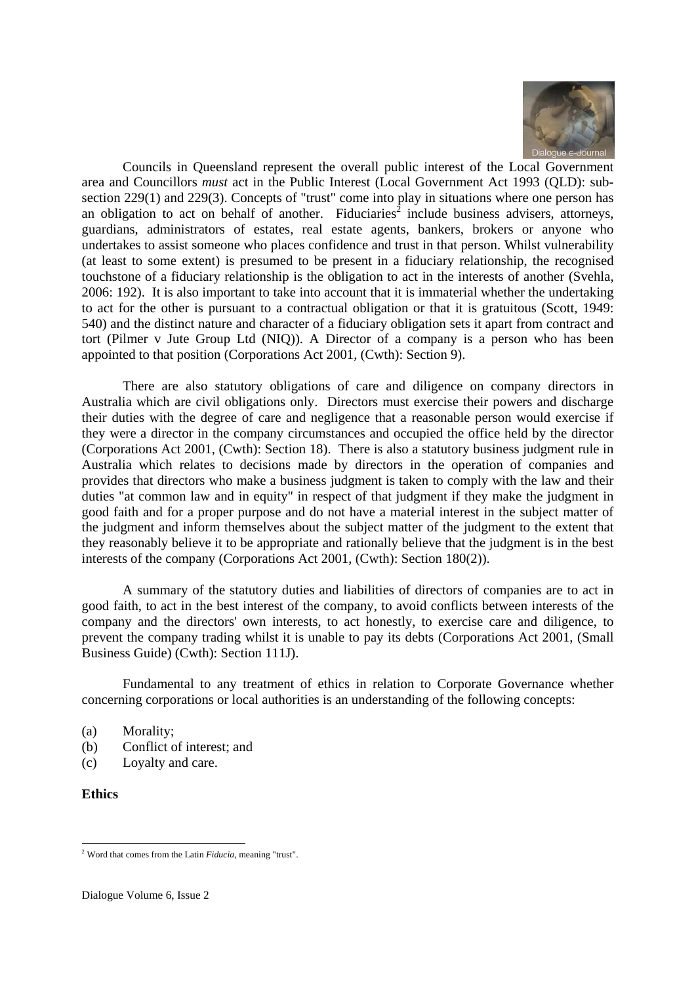

Councils in Queensland represent the overall public interest of the Local Government area and Councillors *must* act in the Public Interest (Local Government Act 1993 (QLD): subsection 229(1) and 229(3). Concepts of "trust" come into play in situations where one person has an obligation to act on behalf of another. Fiduciaries<sup>2</sup> include business advisers, attorneys, guardians, administrators of estates, real estate agents, bankers, brokers or anyone who undertakes to assist someone who places confidence and trust in that person. Whilst vulnerability (at least to some extent) is presumed to be present in a fiduciary relationship, the recognised touchstone of a fiduciary relationship is the obligation to act in the interests of another (Svehla, 2006: 192). It is also important to take into account that it is immaterial whether the undertaking to act for the other is pursuant to a contractual obligation or that it is gratuitous (Scott, 1949: 540) and the distinct nature and character of a fiduciary obligation sets it apart from contract and tort (Pilmer v Jute Group Ltd (NIQ)). A Director of a company is a person who has been appointed to that position (Corporations Act 2001, (Cwth): Section 9).

There are also statutory obligations of care and diligence on company directors in Australia which are civil obligations only. Directors must exercise their powers and discharge their duties with the degree of care and negligence that a reasonable person would exercise if they were a director in the company circumstances and occupied the office held by the director (Corporations Act 2001, (Cwth): Section 18). There is also a statutory business judgment rule in Australia which relates to decisions made by directors in the operation of companies and provides that directors who make a business judgment is taken to comply with the law and their duties "at common law and in equity" in respect of that judgment if they make the judgment in good faith and for a proper purpose and do not have a material interest in the subject matter of the judgment and inform themselves about the subject matter of the judgment to the extent that they reasonably believe it to be appropriate and rationally believe that the judgment is in the best interests of the company (Corporations Act 2001, (Cwth): Section 180(2)).

A summary of the statutory duties and liabilities of directors of companies are to act in good faith, to act in the best interest of the company, to avoid conflicts between interests of the company and the directors' own interests, to act honestly, to exercise care and diligence, to prevent the company trading whilst it is unable to pay its debts (Corporations Act 2001, (Small Business Guide) (Cwth): Section 111J).

Fundamental to any treatment of ethics in relation to Corporate Governance whether concerning corporations or local authorities is an understanding of the following concepts:

- (a) Morality;
- (b) Conflict of interest; and
- (c) Loyalty and care.

#### **Ethics**

<sup>-</sup>2 Word that comes from the Latin *Fiducia*, meaning "trust".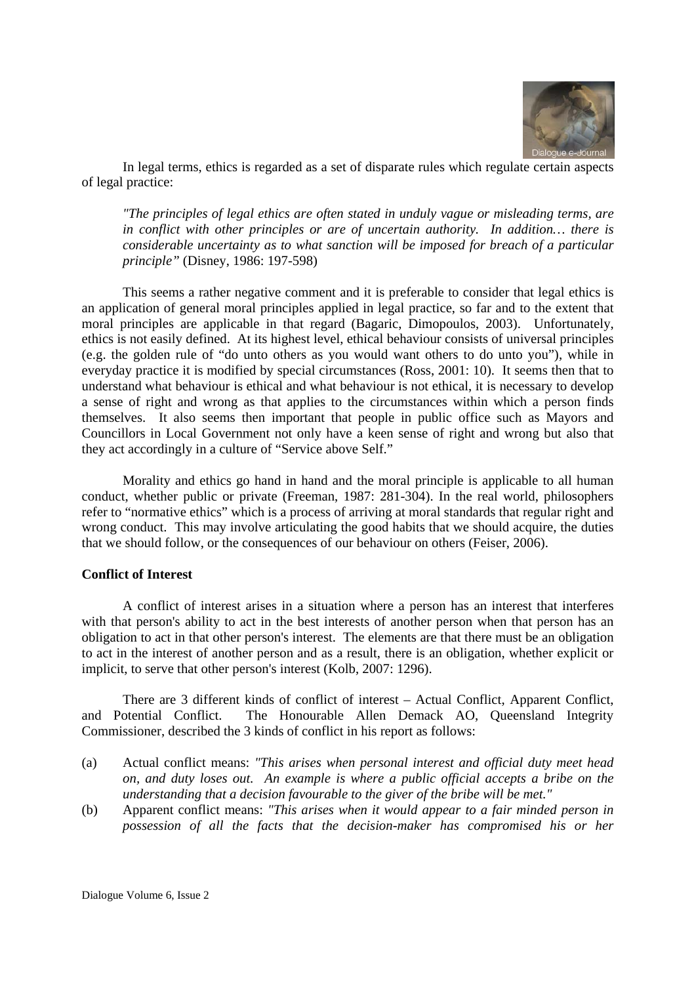

In legal terms, ethics is regarded as a set of disparate rules which regulate certain aspects of legal practice:

*"The principles of legal ethics are often stated in unduly vague or misleading terms, are in conflict with other principles or are of uncertain authority. In addition… there is considerable uncertainty as to what sanction will be imposed for breach of a particular principle"* (Disney, 1986: 197-598)

This seems a rather negative comment and it is preferable to consider that legal ethics is an application of general moral principles applied in legal practice, so far and to the extent that moral principles are applicable in that regard (Bagaric, Dimopoulos, 2003). Unfortunately, ethics is not easily defined. At its highest level, ethical behaviour consists of universal principles (e.g. the golden rule of "do unto others as you would want others to do unto you"), while in everyday practice it is modified by special circumstances (Ross, 2001: 10). It seems then that to understand what behaviour is ethical and what behaviour is not ethical, it is necessary to develop a sense of right and wrong as that applies to the circumstances within which a person finds themselves. It also seems then important that people in public office such as Mayors and Councillors in Local Government not only have a keen sense of right and wrong but also that they act accordingly in a culture of "Service above Self."

Morality and ethics go hand in hand and the moral principle is applicable to all human conduct, whether public or private (Freeman, 1987: 281-304). In the real world, philosophers refer to "normative ethics" which is a process of arriving at moral standards that regular right and wrong conduct. This may involve articulating the good habits that we should acquire, the duties that we should follow, or the consequences of our behaviour on others (Feiser, 2006).

#### **Conflict of Interest**

A conflict of interest arises in a situation where a person has an interest that interferes with that person's ability to act in the best interests of another person when that person has an obligation to act in that other person's interest. The elements are that there must be an obligation to act in the interest of another person and as a result, there is an obligation, whether explicit or implicit, to serve that other person's interest (Kolb, 2007: 1296).

There are 3 different kinds of conflict of interest – Actual Conflict, Apparent Conflict, and Potential Conflict. The Honourable Allen Demack AO, Queensland Integrity Commissioner, described the 3 kinds of conflict in his report as follows:

- (a) Actual conflict means: *"This arises when personal interest and official duty meet head on, and duty loses out. An example is where a public official accepts a bribe on the understanding that a decision favourable to the giver of the bribe will be met."*
- (b) Apparent conflict means: *"This arises when it would appear to a fair minded person in possession of all the facts that the decision-maker has compromised his or her*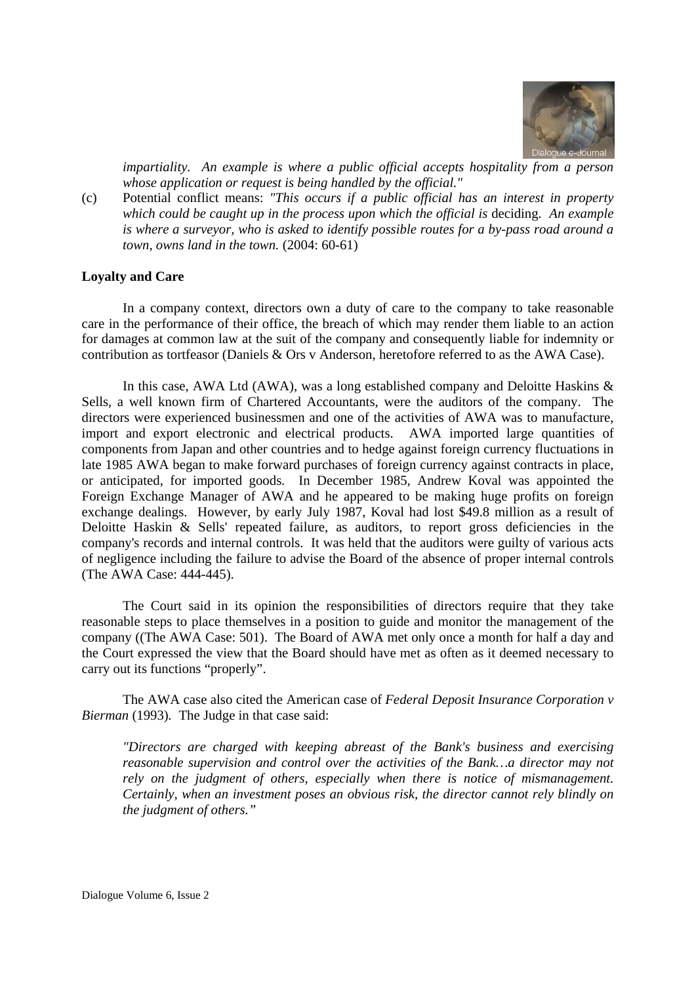

*impartiality. An example is where a public official accepts hospitality from a person whose application or request is being handled by the official."* 

(c) Potential conflict means: *"This occurs if a public official has an interest in property which could be caught up in the process upon which the official is* deciding*. An example is where a surveyor, who is asked to identify possible routes for a by-pass road around a town, owns land in the town.* (2004: 60-61)

#### **Loyalty and Care**

In a company context, directors own a duty of care to the company to take reasonable care in the performance of their office, the breach of which may render them liable to an action for damages at common law at the suit of the company and consequently liable for indemnity or contribution as tortfeasor (Daniels & Ors v Anderson, heretofore referred to as the AWA Case).

In this case, AWA Ltd (AWA), was a long established company and Deloitte Haskins & Sells, a well known firm of Chartered Accountants, were the auditors of the company. The directors were experienced businessmen and one of the activities of AWA was to manufacture, import and export electronic and electrical products. AWA imported large quantities of components from Japan and other countries and to hedge against foreign currency fluctuations in late 1985 AWA began to make forward purchases of foreign currency against contracts in place, or anticipated, for imported goods. In December 1985, Andrew Koval was appointed the Foreign Exchange Manager of AWA and he appeared to be making huge profits on foreign exchange dealings. However, by early July 1987, Koval had lost \$49.8 million as a result of Deloitte Haskin & Sells' repeated failure, as auditors, to report gross deficiencies in the company's records and internal controls. It was held that the auditors were guilty of various acts of negligence including the failure to advise the Board of the absence of proper internal controls (The AWA Case: 444-445).

The Court said in its opinion the responsibilities of directors require that they take reasonable steps to place themselves in a position to guide and monitor the management of the company ((The AWA Case: 501). The Board of AWA met only once a month for half a day and the Court expressed the view that the Board should have met as often as it deemed necessary to carry out its functions "properly".

The AWA case also cited the American case of *Federal Deposit Insurance Corporation v Bierman* (1993)*.* The Judge in that case said:

*"Directors are charged with keeping abreast of the Bank's business and exercising reasonable supervision and control over the activities of the Bank…a director may not rely on the judgment of others, especially when there is notice of mismanagement. Certainly, when an investment poses an obvious risk, the director cannot rely blindly on the judgment of others."*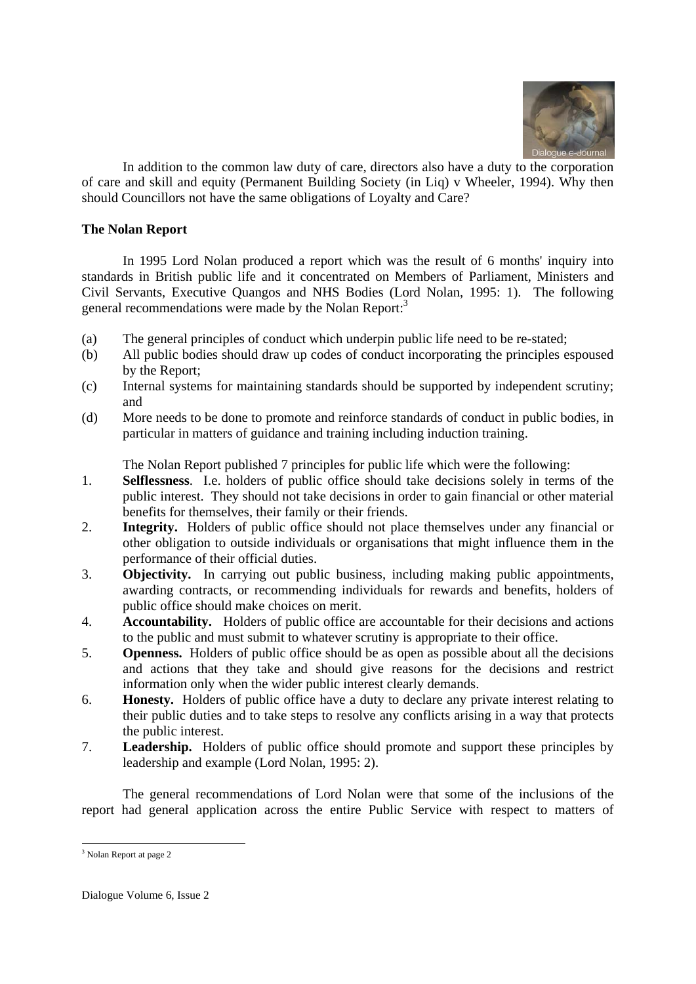

In addition to the common law duty of care, directors also have a duty to the corporation of care and skill and equity (Permanent Building Society (in Liq) v Wheeler, 1994). Why then should Councillors not have the same obligations of Loyalty and Care?

# **The Nolan Report**

In 1995 Lord Nolan produced a report which was the result of 6 months' inquiry into standards in British public life and it concentrated on Members of Parliament, Ministers and Civil Servants, Executive Quangos and NHS Bodies (Lord Nolan, 1995: 1). The following general recommendations were made by the Nolan Report:<sup>3</sup>

- (a) The general principles of conduct which underpin public life need to be re-stated;
- (b) All public bodies should draw up codes of conduct incorporating the principles espoused by the Report;
- (c) Internal systems for maintaining standards should be supported by independent scrutiny; and
- (d) More needs to be done to promote and reinforce standards of conduct in public bodies, in particular in matters of guidance and training including induction training.

The Nolan Report published 7 principles for public life which were the following:

- 1. **Selflessness**. I.e. holders of public office should take decisions solely in terms of the public interest. They should not take decisions in order to gain financial or other material benefits for themselves, their family or their friends.
- 2. **Integrity.** Holders of public office should not place themselves under any financial or other obligation to outside individuals or organisations that might influence them in the performance of their official duties.
- 3. **Objectivity.** In carrying out public business, including making public appointments, awarding contracts, or recommending individuals for rewards and benefits, holders of public office should make choices on merit.
- 4. **Accountability.** Holders of public office are accountable for their decisions and actions to the public and must submit to whatever scrutiny is appropriate to their office.
- 5. **Openness.** Holders of public office should be as open as possible about all the decisions and actions that they take and should give reasons for the decisions and restrict information only when the wider public interest clearly demands.
- 6. **Honesty.** Holders of public office have a duty to declare any private interest relating to their public duties and to take steps to resolve any conflicts arising in a way that protects the public interest.
- 7. **Leadership.** Holders of public office should promote and support these principles by leadership and example (Lord Nolan, 1995: 2).

 The general recommendations of Lord Nolan were that some of the inclusions of the report had general application across the entire Public Service with respect to matters of

<sup>-</sup><sup>3</sup> Nolan Report at page 2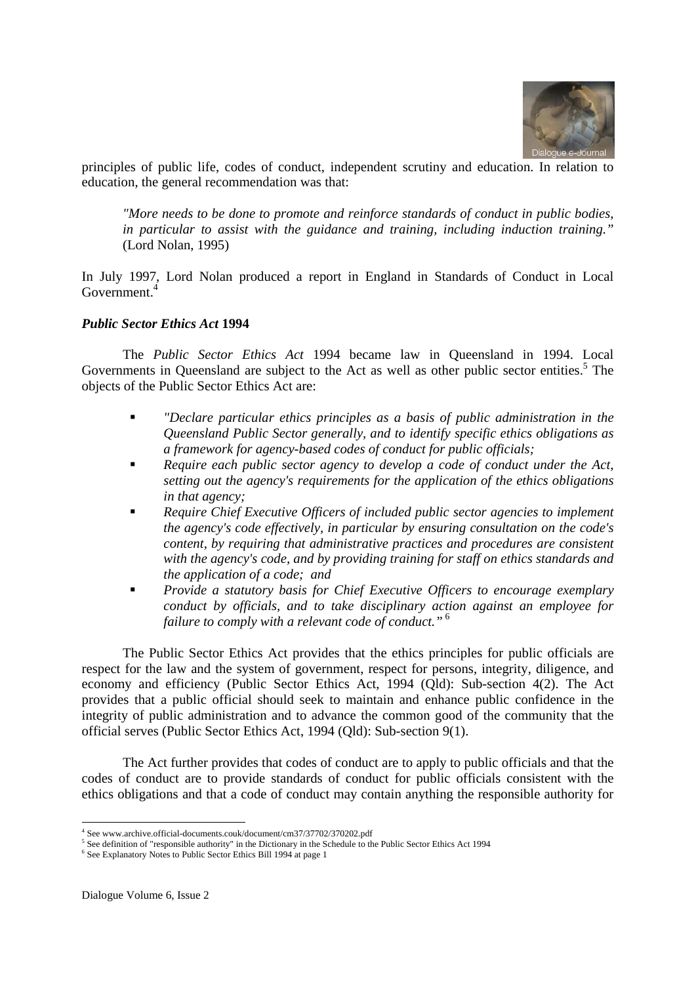

principles of public life, codes of conduct, independent scrutiny and education. In relation to education, the general recommendation was that:

*"More needs to be done to promote and reinforce standards of conduct in public bodies, in particular to assist with the guidance and training, including induction training."* (Lord Nolan, 1995)

In July 1997, Lord Nolan produced a report in England in Standards of Conduct in Local Government.4

#### *Public Sector Ethics Act* **1994**

 The *Public Sector Ethics Act* 1994 became law in Queensland in 1994. Local Governments in Queensland are subject to the Act as well as other public sector entities.<sup>5</sup> The objects of the Public Sector Ethics Act are:

- *"Declare particular ethics principles as a basis of public administration in the Queensland Public Sector generally, and to identify specific ethics obligations as a framework for agency-based codes of conduct for public officials;*
- *Require each public sector agency to develop a code of conduct under the Act, setting out the agency's requirements for the application of the ethics obligations in that agency;*
- *Require Chief Executive Officers of included public sector agencies to implement the agency's code effectively, in particular by ensuring consultation on the code's content, by requiring that administrative practices and procedures are consistent with the agency's code, and by providing training for staff on ethics standards and the application of a code; and*
- *Provide a statutory basis for Chief Executive Officers to encourage exemplary conduct by officials, and to take disciplinary action against an employee for failure to comply with a relevant code of conduct."*<sup>6</sup>

 The Public Sector Ethics Act provides that the ethics principles for public officials are respect for the law and the system of government, respect for persons, integrity, diligence, and economy and efficiency (Public Sector Ethics Act, 1994 (Qld): Sub-section 4(2). The Act provides that a public official should seek to maintain and enhance public confidence in the integrity of public administration and to advance the common good of the community that the official serves (Public Sector Ethics Act, 1994 (Qld): Sub-section 9(1).

 The Act further provides that codes of conduct are to apply to public officials and that the codes of conduct are to provide standards of conduct for public officials consistent with the ethics obligations and that a code of conduct may contain anything the responsible authority for

-

<sup>4</sup> See www.archive.official-documents.couk/document/cm37/37702/370202.pdf

<sup>&</sup>lt;sup>5</sup> See definition of "responsible authority" in the Dictionary in the Schedule to the Public Sector Ethics Act 1994

<sup>&</sup>lt;sup>6</sup> See Explanatory Notes to Public Sector Ethics Bill 1994 at page 1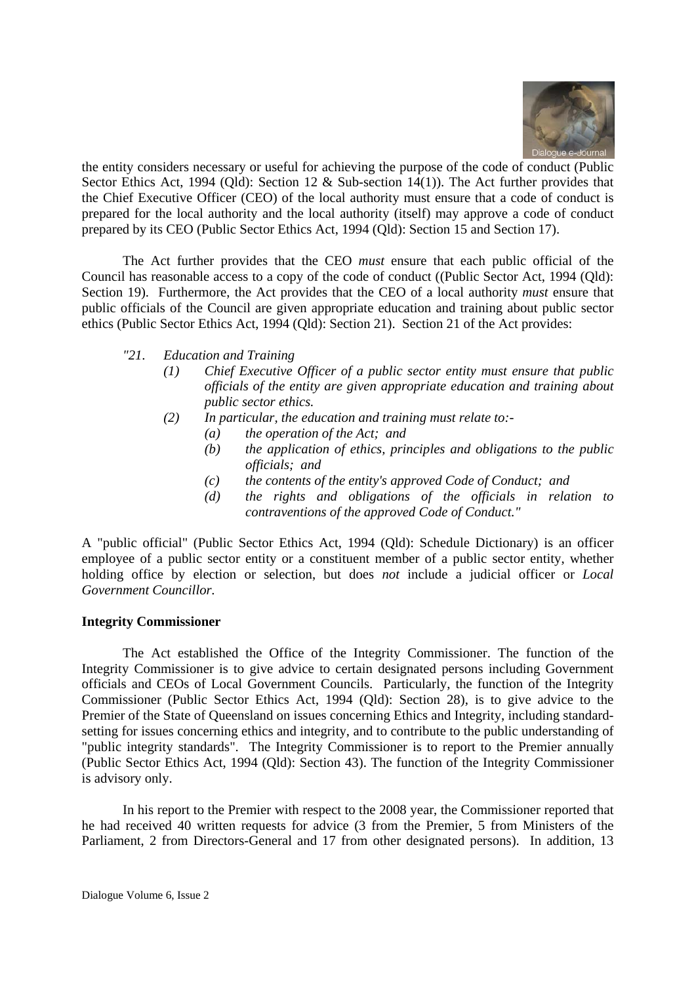

the entity considers necessary or useful for achieving the purpose of the code of conduct (Public Sector Ethics Act, 1994 (Qld): Section 12 & Sub-section 14(1)). The Act further provides that the Chief Executive Officer (CEO) of the local authority must ensure that a code of conduct is prepared for the local authority and the local authority (itself) may approve a code of conduct prepared by its CEO (Public Sector Ethics Act, 1994 (Qld): Section 15 and Section 17).

 The Act further provides that the CEO *must* ensure that each public official of the Council has reasonable access to a copy of the code of conduct ((Public Sector Act, 1994 (Qld): Section 19). Furthermore, the Act provides that the CEO of a local authority *must* ensure that public officials of the Council are given appropriate education and training about public sector ethics (Public Sector Ethics Act, 1994 (Qld): Section 21). Section 21 of the Act provides:

- *"21. Education and Training* 
	- *(1) Chief Executive Officer of a public sector entity must ensure that public officials of the entity are given appropriate education and training about public sector ethics.*
	- *(2) In particular, the education and training must relate to:-* 
		- *(a) the operation of the Act; and*
		- *(b) the application of ethics, principles and obligations to the public officials; and*
		- *(c) the contents of the entity's approved Code of Conduct; and*
		- *(d) the rights and obligations of the officials in relation to contraventions of the approved Code of Conduct."*

A "public official" (Public Sector Ethics Act, 1994 (Qld): Schedule Dictionary) is an officer employee of a public sector entity or a constituent member of a public sector entity, whether holding office by election or selection, but does *not* include a judicial officer or *Local Government Councillor.* 

#### **Integrity Commissioner**

 The Act established the Office of the Integrity Commissioner. The function of the Integrity Commissioner is to give advice to certain designated persons including Government officials and CEOs of Local Government Councils. Particularly, the function of the Integrity Commissioner (Public Sector Ethics Act, 1994 (Qld): Section 28), is to give advice to the Premier of the State of Queensland on issues concerning Ethics and Integrity, including standardsetting for issues concerning ethics and integrity, and to contribute to the public understanding of "public integrity standards". The Integrity Commissioner is to report to the Premier annually (Public Sector Ethics Act, 1994 (Qld): Section 43). The function of the Integrity Commissioner is advisory only.

 In his report to the Premier with respect to the 2008 year, the Commissioner reported that he had received 40 written requests for advice (3 from the Premier, 5 from Ministers of the Parliament, 2 from Directors-General and 17 from other designated persons). In addition, 13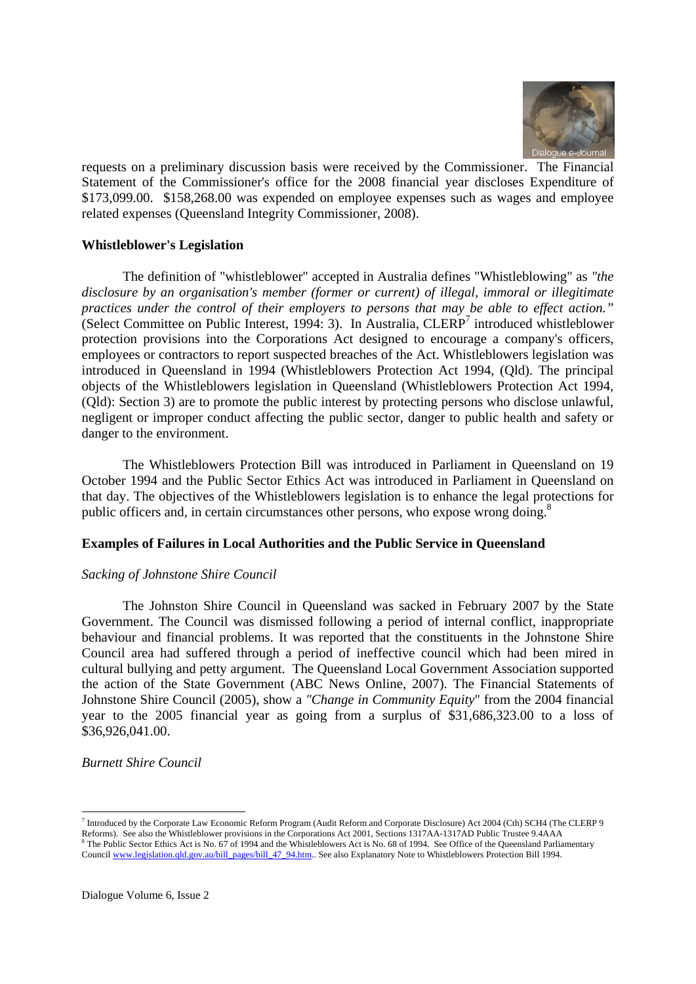

requests on a preliminary discussion basis were received by the Commissioner. The Financial Statement of the Commissioner's office for the 2008 financial year discloses Expenditure of \$173,099.00. \$158,268.00 was expended on employee expenses such as wages and employee related expenses (Queensland Integrity Commissioner, 2008).

# **Whistleblower's Legislation**

The definition of "whistleblower" accepted in Australia defines "Whistleblowing" as *"the disclosure by an organisation's member (former or current) of illegal, immoral or illegitimate practices under the control of their employers to persons that may be able to effect action."*  (Select Committee on Public Interest, 1994: 3). In Australia, CLERP<sup>7</sup> introduced whistleblower protection provisions into the Corporations Act designed to encourage a company's officers, employees or contractors to report suspected breaches of the Act. Whistleblowers legislation was introduced in Queensland in 1994 (Whistleblowers Protection Act 1994, (Qld). The principal objects of the Whistleblowers legislation in Queensland (Whistleblowers Protection Act 1994, (Qld): Section 3) are to promote the public interest by protecting persons who disclose unlawful, negligent or improper conduct affecting the public sector, danger to public health and safety or danger to the environment.

The Whistleblowers Protection Bill was introduced in Parliament in Queensland on 19 October 1994 and the Public Sector Ethics Act was introduced in Parliament in Queensland on that day. The objectives of the Whistleblowers legislation is to enhance the legal protections for public officers and, in certain circumstances other persons, who expose wrong doing.8

#### **Examples of Failures in Local Authorities and the Public Service in Queensland**

#### *Sacking of Johnstone Shire Council*

The Johnston Shire Council in Queensland was sacked in February 2007 by the State Government. The Council was dismissed following a period of internal conflict, inappropriate behaviour and financial problems. It was reported that the constituents in the Johnstone Shire Council area had suffered through a period of ineffective council which had been mired in cultural bullying and petty argument. The Queensland Local Government Association supported the action of the State Government (ABC News Online, 2007). The Financial Statements of Johnstone Shire Council (2005), show a *"Change in Community Equity*" from the 2004 financial year to the 2005 financial year as going from a surplus of \$31,686,323.00 to a loss of \$36,926,041.00.

# *Burnett Shire Council*

-

<sup>7</sup> Introduced by the Corporate Law Economic Reform Program (Audit Reform and Corporate Disclosure) Act 2004 (Cth) SCH4 (The CLERP 9 Reforms). See also the Whistleblower provisions in the Corporations Act 2001, Sections 1317AA-1317AD Public Trustee 9.4AAA <sup>8</sup> The Public Sector Ethics Act is No. 67 of 1994 and the Whistleblowers Act is No. 68 of 1994. See Office of the Queensland Parliamentary Council www.legislation.qld.gov.au/bill\_pages/bill\_47\_94.htm.. See also Explanatory Note to Whistleblowers Protection Bill 1994.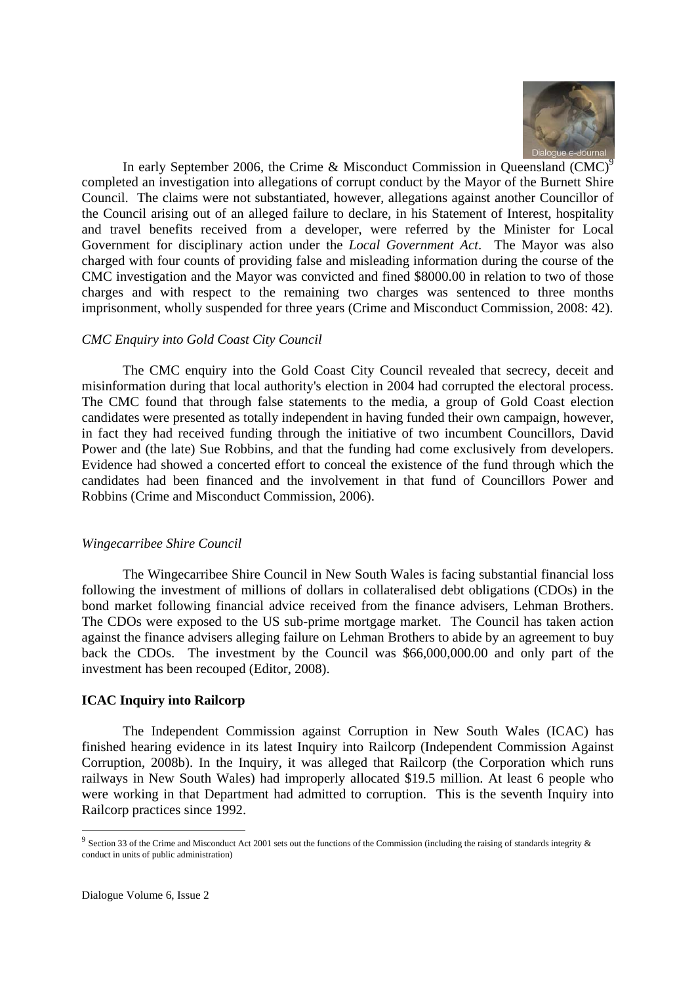

In early September 2006, the Crime & Misconduct Commission in Queensland (CMC)<sup>9</sup> completed an investigation into allegations of corrupt conduct by the Mayor of the Burnett Shire Council. The claims were not substantiated, however, allegations against another Councillor of the Council arising out of an alleged failure to declare, in his Statement of Interest, hospitality and travel benefits received from a developer, were referred by the Minister for Local Government for disciplinary action under the *Local Government Act*. The Mayor was also charged with four counts of providing false and misleading information during the course of the CMC investigation and the Mayor was convicted and fined \$8000.00 in relation to two of those charges and with respect to the remaining two charges was sentenced to three months imprisonment, wholly suspended for three years (Crime and Misconduct Commission, 2008: 42).

#### *CMC Enquiry into Gold Coast City Council*

The CMC enquiry into the Gold Coast City Council revealed that secrecy, deceit and misinformation during that local authority's election in 2004 had corrupted the electoral process. The CMC found that through false statements to the media, a group of Gold Coast election candidates were presented as totally independent in having funded their own campaign, however, in fact they had received funding through the initiative of two incumbent Councillors, David Power and (the late) Sue Robbins, and that the funding had come exclusively from developers. Evidence had showed a concerted effort to conceal the existence of the fund through which the candidates had been financed and the involvement in that fund of Councillors Power and Robbins (Crime and Misconduct Commission, 2006).

#### *Wingecarribee Shire Council*

The Wingecarribee Shire Council in New South Wales is facing substantial financial loss following the investment of millions of dollars in collateralised debt obligations (CDOs) in the bond market following financial advice received from the finance advisers, Lehman Brothers. The CDOs were exposed to the US sub-prime mortgage market. The Council has taken action against the finance advisers alleging failure on Lehman Brothers to abide by an agreement to buy back the CDOs. The investment by the Council was \$66,000,000.00 and only part of the investment has been recouped (Editor, 2008).

#### **ICAC Inquiry into Railcorp**

 The Independent Commission against Corruption in New South Wales (ICAC) has finished hearing evidence in its latest Inquiry into Railcorp (Independent Commission Against Corruption, 2008b). In the Inquiry, it was alleged that Railcorp (the Corporation which runs railways in New South Wales) had improperly allocated \$19.5 million. At least 6 people who were working in that Department had admitted to corruption. This is the seventh Inquiry into Railcorp practices since 1992.

-

 $9$  Section 33 of the Crime and Misconduct Act 2001 sets out the functions of the Commission (including the raising of standards integrity  $\&$ conduct in units of public administration)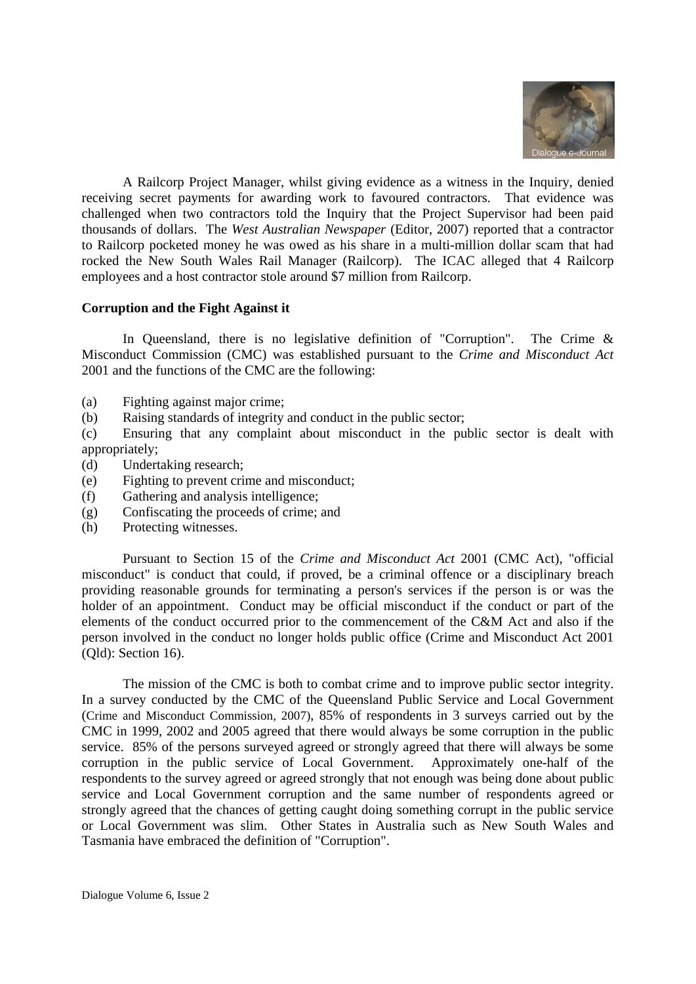

 A Railcorp Project Manager, whilst giving evidence as a witness in the Inquiry, denied receiving secret payments for awarding work to favoured contractors. That evidence was challenged when two contractors told the Inquiry that the Project Supervisor had been paid thousands of dollars. The *West Australian Newspaper* (Editor, 2007) reported that a contractor to Railcorp pocketed money he was owed as his share in a multi-million dollar scam that had rocked the New South Wales Rail Manager (Railcorp). The ICAC alleged that 4 Railcorp employees and a host contractor stole around \$7 million from Railcorp.

# **Corruption and the Fight Against it**

In Queensland, there is no legislative definition of "Corruption". The Crime  $\&$ Misconduct Commission (CMC) was established pursuant to the *Crime and Misconduct Act*  2001 and the functions of the CMC are the following:

- (a) Fighting against major crime;
- (b) Raising standards of integrity and conduct in the public sector;

(c) Ensuring that any complaint about misconduct in the public sector is dealt with appropriately;

- (d) Undertaking research;
- (e) Fighting to prevent crime and misconduct;
- (f) Gathering and analysis intelligence;
- (g) Confiscating the proceeds of crime; and
- (h) Protecting witnesses.

 Pursuant to Section 15 of the *Crime and Misconduct Act* 2001 (CMC Act), "official misconduct" is conduct that could, if proved, be a criminal offence or a disciplinary breach providing reasonable grounds for terminating a person's services if the person is or was the holder of an appointment. Conduct may be official misconduct if the conduct or part of the elements of the conduct occurred prior to the commencement of the C&M Act and also if the person involved in the conduct no longer holds public office (Crime and Misconduct Act 2001 (Qld): Section 16).

 The mission of the CMC is both to combat crime and to improve public sector integrity. In a survey conducted by the CMC of the Queensland Public Service and Local Government (Crime and Misconduct Commission, 2007), 85% of respondents in 3 surveys carried out by the CMC in 1999, 2002 and 2005 agreed that there would always be some corruption in the public service. 85% of the persons surveyed agreed or strongly agreed that there will always be some corruption in the public service of Local Government. Approximately one-half of the respondents to the survey agreed or agreed strongly that not enough was being done about public service and Local Government corruption and the same number of respondents agreed or strongly agreed that the chances of getting caught doing something corrupt in the public service or Local Government was slim. Other States in Australia such as New South Wales and Tasmania have embraced the definition of "Corruption".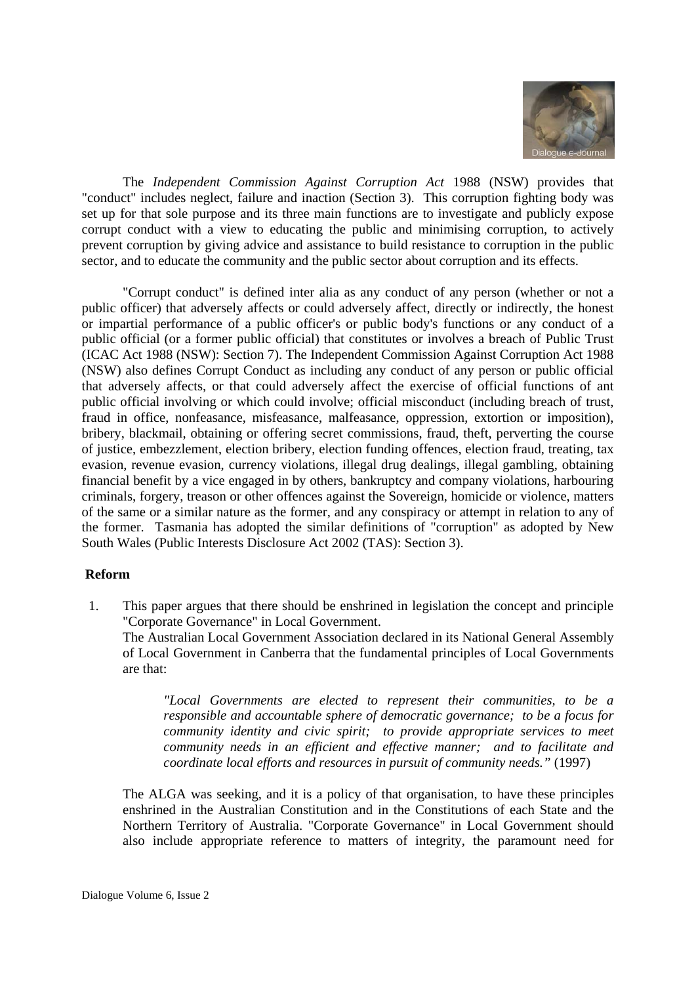

 The *Independent Commission Against Corruption Act* 1988 (NSW) provides that "conduct" includes neglect, failure and inaction (Section 3). This corruption fighting body was set up for that sole purpose and its three main functions are to investigate and publicly expose corrupt conduct with a view to educating the public and minimising corruption, to actively prevent corruption by giving advice and assistance to build resistance to corruption in the public sector, and to educate the community and the public sector about corruption and its effects.

 "Corrupt conduct" is defined inter alia as any conduct of any person (whether or not a public officer) that adversely affects or could adversely affect, directly or indirectly, the honest or impartial performance of a public officer's or public body's functions or any conduct of a public official (or a former public official) that constitutes or involves a breach of Public Trust (ICAC Act 1988 (NSW): Section 7). The Independent Commission Against Corruption Act 1988 (NSW) also defines Corrupt Conduct as including any conduct of any person or public official that adversely affects, or that could adversely affect the exercise of official functions of ant public official involving or which could involve; official misconduct (including breach of trust, fraud in office, nonfeasance, misfeasance, malfeasance, oppression, extortion or imposition), bribery, blackmail, obtaining or offering secret commissions, fraud, theft, perverting the course of justice, embezzlement, election bribery, election funding offences, election fraud, treating, tax evasion, revenue evasion, currency violations, illegal drug dealings, illegal gambling, obtaining financial benefit by a vice engaged in by others, bankruptcy and company violations, harbouring criminals, forgery, treason or other offences against the Sovereign, homicide or violence, matters of the same or a similar nature as the former, and any conspiracy or attempt in relation to any of the former. Tasmania has adopted the similar definitions of "corruption" as adopted by New South Wales (Public Interests Disclosure Act 2002 (TAS): Section 3).

# **Reform**

1. This paper argues that there should be enshrined in legislation the concept and principle "Corporate Governance" in Local Government.

The Australian Local Government Association declared in its National General Assembly of Local Government in Canberra that the fundamental principles of Local Governments are that:

 *"Local Governments are elected to represent their communities, to be a responsible and accountable sphere of democratic governance; to be a focus for community identity and civic spirit; to provide appropriate services to meet community needs in an efficient and effective manner; and to facilitate and coordinate local efforts and resources in pursuit of community needs."* (1997)

 The ALGA was seeking, and it is a policy of that organisation, to have these principles enshrined in the Australian Constitution and in the Constitutions of each State and the Northern Territory of Australia. "Corporate Governance" in Local Government should also include appropriate reference to matters of integrity, the paramount need for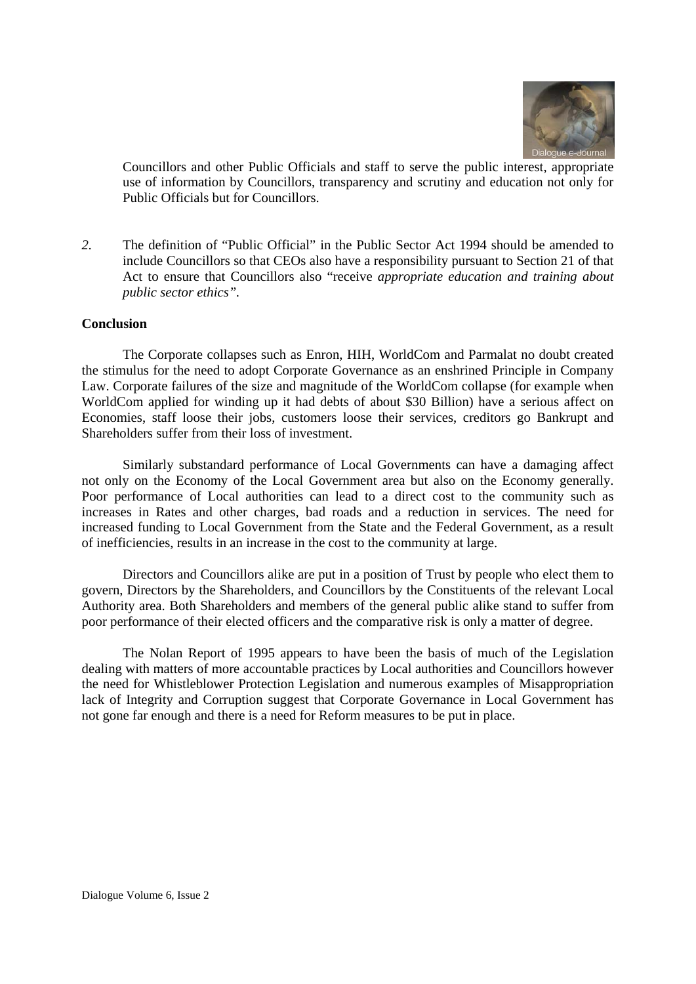

Councillors and other Public Officials and staff to serve the public interest, appropriate use of information by Councillors, transparency and scrutiny and education not only for Public Officials but for Councillors.

*2.* The definition of "Public Official" in the Public Sector Act 1994 should be amended to include Councillors so that CEOs also have a responsibility pursuant to Section 21 of that Act to ensure that Councillors also "receive *appropriate education and training about public sector ethics".* 

#### **Conclusion**

The Corporate collapses such as Enron, HIH, WorldCom and Parmalat no doubt created the stimulus for the need to adopt Corporate Governance as an enshrined Principle in Company Law. Corporate failures of the size and magnitude of the WorldCom collapse (for example when WorldCom applied for winding up it had debts of about \$30 Billion) have a serious affect on Economies, staff loose their jobs, customers loose their services, creditors go Bankrupt and Shareholders suffer from their loss of investment.

Similarly substandard performance of Local Governments can have a damaging affect not only on the Economy of the Local Government area but also on the Economy generally. Poor performance of Local authorities can lead to a direct cost to the community such as increases in Rates and other charges, bad roads and a reduction in services. The need for increased funding to Local Government from the State and the Federal Government, as a result of inefficiencies, results in an increase in the cost to the community at large.

Directors and Councillors alike are put in a position of Trust by people who elect them to govern, Directors by the Shareholders, and Councillors by the Constituents of the relevant Local Authority area. Both Shareholders and members of the general public alike stand to suffer from poor performance of their elected officers and the comparative risk is only a matter of degree.

The Nolan Report of 1995 appears to have been the basis of much of the Legislation dealing with matters of more accountable practices by Local authorities and Councillors however the need for Whistleblower Protection Legislation and numerous examples of Misappropriation lack of Integrity and Corruption suggest that Corporate Governance in Local Government has not gone far enough and there is a need for Reform measures to be put in place.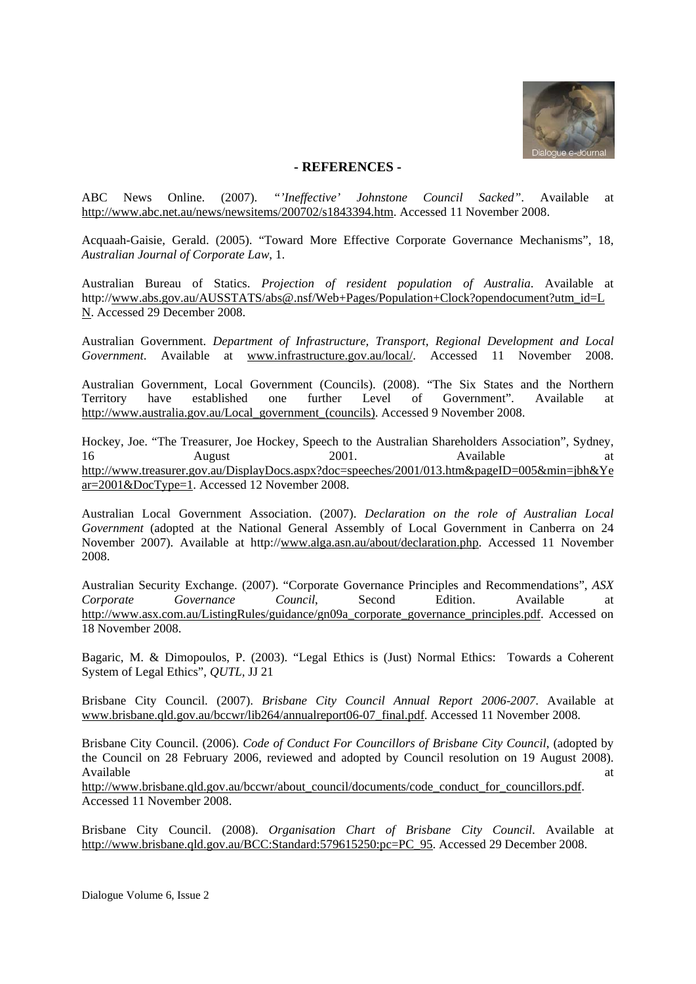

#### **- REFERENCES -**

ABC News Online. (2007). *"'Ineffective' Johnstone Council Sacked"*. Available at http://www.abc.net.au/news/newsitems/200702/s1843394.htm. Accessed 11 November 2008.

Acquaah-Gaisie, Gerald. (2005). "Toward More Effective Corporate Governance Mechanisms", 18, *Australian Journal of Corporate Law*, 1.

Australian Bureau of Statics. *Projection of resident population of Australia*. Available at http://www.abs.gov.au/AUSSTATS/abs@.nsf/Web+Pages/Population+Clock?opendocument?utm\_id=L N. Accessed 29 December 2008.

Australian Government. *Department of Infrastructure, Transport, Regional Development and Local Government*. Available at www.infrastructure.gov.au/local/. Accessed 11 November 2008.

Australian Government, Local Government (Councils). (2008). "The Six States and the Northern Territory have established one further Level of Government". Available at http://www.australia.gov.au/Local\_government\_(councils). Accessed 9 November 2008.

Hockey, Joe. "The Treasurer, Joe Hockey, Speech to the Australian Shareholders Association", Sydney, 16 August 2001. Available at http://www.treasurer.gov.au/DisplayDocs.aspx?doc=speeches/2001/013.htm&pageID=005&min=jbh&Ye ar=2001&DocType=1. Accessed 12 November 2008.

Australian Local Government Association. (2007). *Declaration on the role of Australian Local Government* (adopted at the National General Assembly of Local Government in Canberra on 24 November 2007). Available at http://www.alga.asn.au/about/declaration.php. Accessed 11 November 2008.

Australian Security Exchange. (2007). "Corporate Governance Principles and Recommendations", *ASX Corporate Governance Council*, Second Edition. Available at http://www.asx.com.au/ListingRules/guidance/gn09a\_corporate\_governance\_principles.pdf. Accessed on 18 November 2008.

Bagaric, M. & Dimopoulos, P. (2003). "Legal Ethics is (Just) Normal Ethics: Towards a Coherent System of Legal Ethics", *QUTL,* JJ 21

Brisbane City Council. (2007). *Brisbane City Council Annual Report 2006-2007*. Available at www.brisbane.qld.gov.au/bccwr/lib264/annualreport06-07\_final.pdf. Accessed 11 November 2008.

Brisbane City Council. (2006). *Code of Conduct For Councillors of Brisbane City Council*, (adopted by the Council on 28 February 2006, reviewed and adopted by Council resolution on 19 August 2008). Available at a structure of the structure of the structure of the structure of the structure of the structure of the structure of the structure of the structure of the structure of the structure of the structure of the str

http://www.brisbane.qld.gov.au/bccwr/about\_council/documents/code\_conduct\_for\_councillors.pdf. Accessed 11 November 2008.

Brisbane City Council. (2008). *Organisation Chart of Brisbane City Council*. Available at http://www.brisbane.qld.gov.au/BCC:Standard:579615250:pc=PC\_95. Accessed 29 December 2008.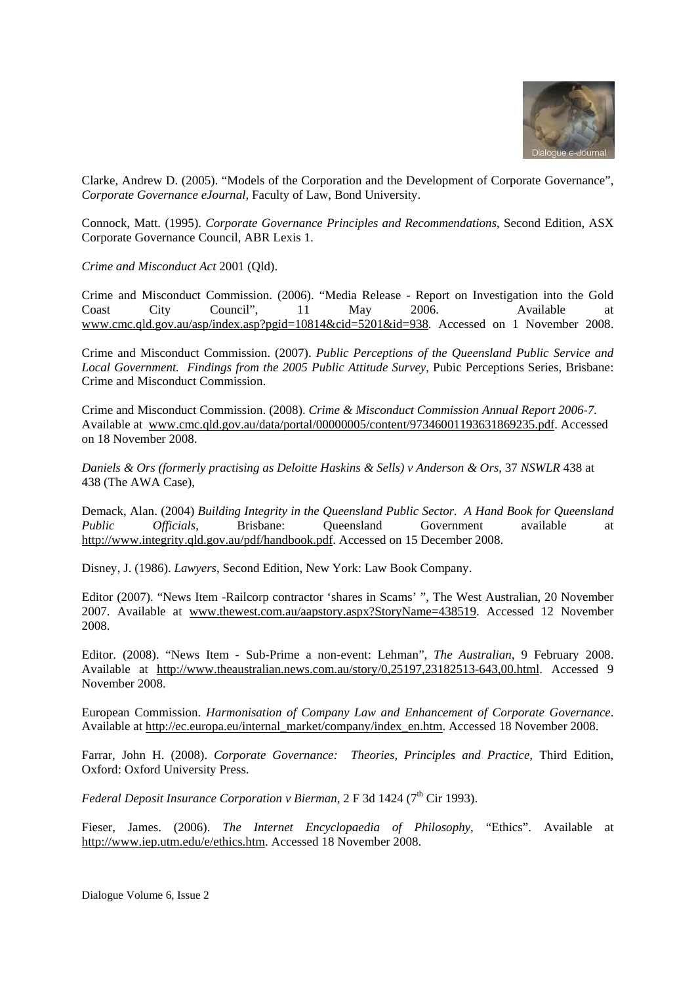

Clarke, Andrew D. (2005). "Models of the Corporation and the Development of Corporate Governance", *Corporate Governance eJournal*, Faculty of Law, Bond University.

Connock, Matt. (1995). *Corporate Governance Principles and Recommendations*, Second Edition, ASX Corporate Governance Council, ABR Lexis 1.

*Crime and Misconduct Act* 2001 (Qld).

Crime and Misconduct Commission. (2006). "Media Release - Report on Investigation into the Gold Coast City Council", 11 May 2006. Available at www.cmc.qld.gov.au/asp/index.asp?pgid=10814&cid=5201&id=938. Accessed on 1 November 2008.

Crime and Misconduct Commission. (2007). *Public Perceptions of the Queensland Public Service and Local Government. Findings from the 2005 Public Attitude Survey*, Pubic Perceptions Series, Brisbane: Crime and Misconduct Commission.

Crime and Misconduct Commission. (2008). *Crime & Misconduct Commission Annual Report 2006-7.*  Available at www.cmc.qld.gov.au/data/portal/00000005/content/97346001193631869235.pdf. Accessed on 18 November 2008.

*Daniels & Ors (formerly practising as Deloitte Haskins & Sells) v Anderson & Ors*, 37 *NSWLR* 438 at 438 (The AWA Case),

Demack, Alan. (2004) *Building Integrity in the Queensland Public Sector. A Hand Book for Queensland Public Officials*, Brisbane: Queensland Government available at http://www.integrity.qld.gov.au/pdf/handbook.pdf. Accessed on 15 December 2008.

Disney, J. (1986). *Lawyers*, Second Edition, New York: Law Book Company.

Editor (2007). "News Item -Railcorp contractor 'shares in Scams' ", The West Australian, 20 November 2007. Available at www.thewest.com.au/aapstory.aspx?StoryName=438519. Accessed 12 November 2008.

Editor. (2008). "News Item - Sub-Prime a non-event: Lehman", *The Australian*, 9 February 2008. Available at http://www.theaustralian.news.com.au/story/0,25197,23182513-643,00.html. Accessed 9 November 2008.

European Commission. *Harmonisation of Company Law and Enhancement of Corporate Governance*. Available at http://ec.europa.eu/internal\_market/company/index\_en.htm. Accessed 18 November 2008.

Farrar, John H. (2008). *Corporate Governance: Theories, Principles and Practice,* Third Edition, Oxford: Oxford University Press.

*Federal Deposit Insurance Corporation v Bierman*, 2 F 3d 1424 (7<sup>th</sup> Cir 1993).

Fieser, James. (2006). *The Internet Encyclopaedia of Philosophy*, "Ethics". Available at http://www.iep.utm.edu/e/ethics.htm. Accessed 18 November 2008.

Dialogue Volume 6, Issue 2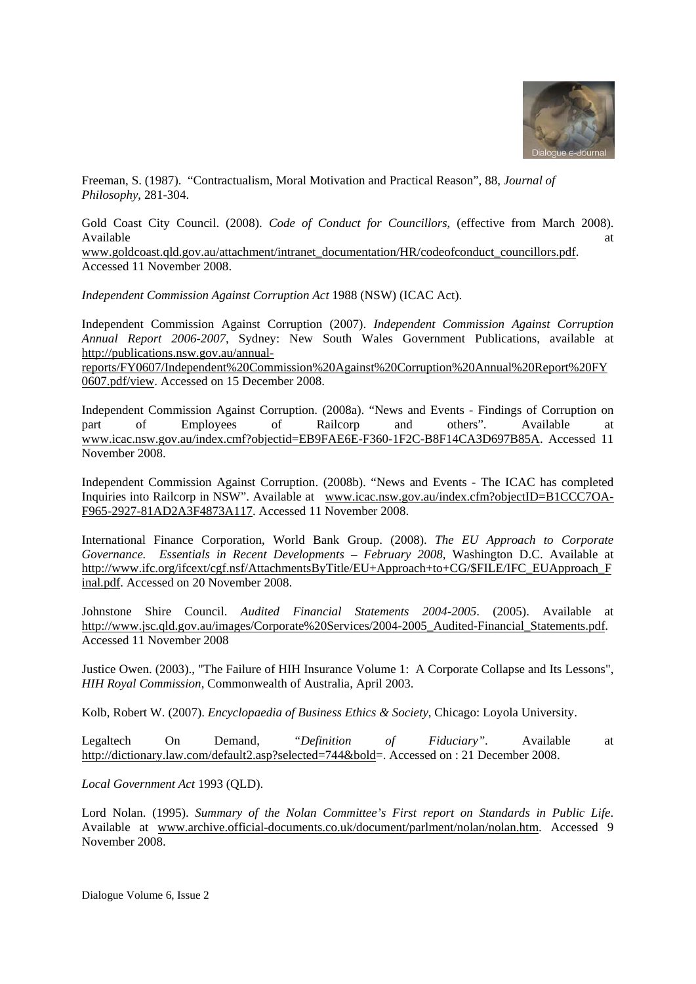

Freeman, S. (1987). "Contractualism, Moral Motivation and Practical Reason", 88, *Journal of Philosophy*, 281-304.

Gold Coast City Council. (2008). *Code of Conduct for Councillors*, (effective from March 2008). Available at the contract of the contract of the contract of the contract of the contract of the contract of the contract of the contract of the contract of the contract of the contract of the contract of the contract of t

www.goldcoast.qld.gov.au/attachment/intranet\_documentation/HR/codeofconduct\_councillors.pdf. Accessed 11 November 2008.

*Independent Commission Against Corruption Act* 1988 (NSW) (ICAC Act).

Independent Commission Against Corruption (2007). *Independent Commission Against Corruption Annual Report 2006-2007*, Sydney: New South Wales Government Publications, available at http://publications.nsw.gov.au/annual-

reports/FY0607/Independent%20Commission%20Against%20Corruption%20Annual%20Report%20FY 0607.pdf/view. Accessed on 15 December 2008.

Independent Commission Against Corruption. (2008a). "News and Events - Findings of Corruption on part of Employees of Railcorp and others". Available at www.icac.nsw.gov.au/index.cmf?objectid=EB9FAE6E-F360-1F2C-B8F14CA3D697B85A. Accessed 11 November 2008.

Independent Commission Against Corruption. (2008b). "News and Events - The ICAC has completed Inquiries into Railcorp in NSW". Available at www.icac.nsw.gov.au/index.cfm?objectID=B1CCC7OA-F965-2927-81AD2A3F4873A117. Accessed 11 November 2008.

International Finance Corporation, World Bank Group. (2008). *The EU Approach to Corporate Governance. Essentials in Recent Developments – February 2008*, Washington D.C. Available at http://www.ifc.org/ifcext/cgf.nsf/AttachmentsByTitle/EU+Approach+to+CG/\$FILE/IFC\_EUApproach\_F inal.pdf. Accessed on 20 November 2008.

Johnstone Shire Council. *Audited Financial Statements 2004-2005*. (2005). Available at http://www.jsc.qld.gov.au/images/Corporate%20Services/2004-2005\_Audited-Financial\_Statements.pdf. Accessed 11 November 2008

Justice Owen. (2003)., "The Failure of HIH Insurance Volume 1: A Corporate Collapse and Its Lessons", *HIH Royal Commission*, Commonwealth of Australia, April 2003.

Kolb, Robert W. (2007). *Encyclopaedia of Business Ethics & Society*, Chicago: Loyola University.

Legaltech On Demand, *"Definition of Fiduciary".* Available at http://dictionary.law.com/default2.asp?selected=744&bold=. Accessed on : 21 December 2008.

*Local Government Act* 1993 (QLD).

Lord Nolan. (1995). *Summary of the Nolan Committee's First report on Standards in Public Life*. Available at www.archive.official-documents.co.uk/document/parlment/nolan/nolan.htm. Accessed 9 November 2008.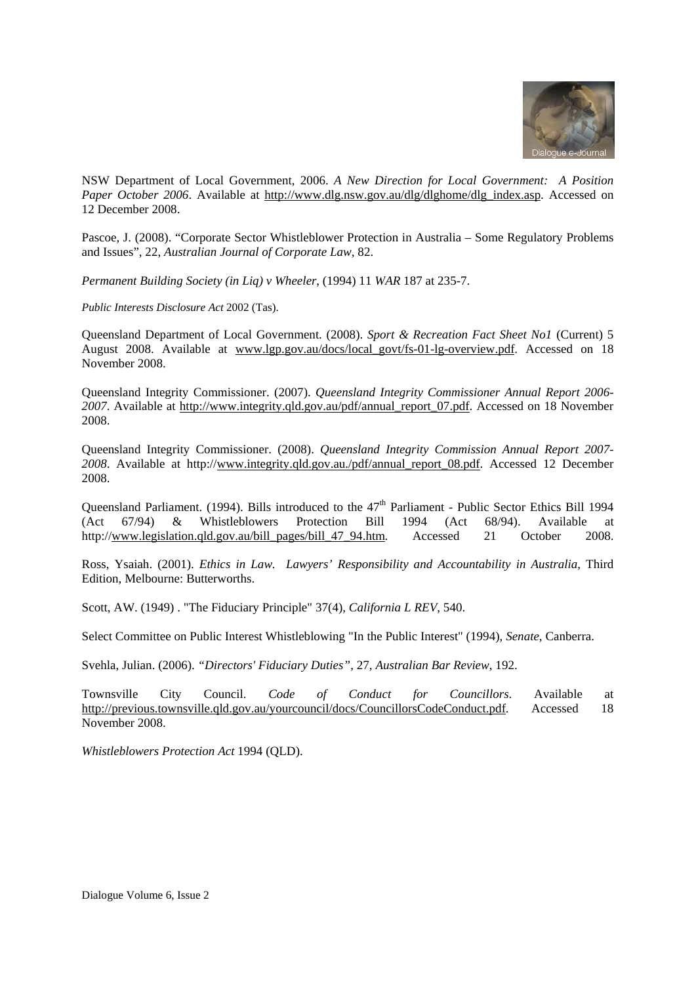

NSW Department of Local Government, 2006. *A New Direction for Local Government: A Position Paper October 2006*. Available at http://www.dlg.nsw.gov.au/dlg/dlghome/dlg\_index.asp. Accessed on 12 December 2008.

Pascoe, J. (2008). "Corporate Sector Whistleblower Protection in Australia – Some Regulatory Problems and Issues", 22, *Australian Journal of Corporate Law*, 82.

*Permanent Building Society (in Liq) v Wheeler*, (1994) 11 *WAR* 187 at 235-7.

*Public Interests Disclosure Act* 2002 (Tas).

Queensland Department of Local Government. (2008). *Sport & Recreation Fact Sheet No1* (Current) 5 August 2008. Available at www.lgp.gov.au/docs/local\_govt/fs-01-lg-overview.pdf. Accessed on 18 November 2008.

Queensland Integrity Commissioner. (2007). *Queensland Integrity Commissioner Annual Report 2006- 2007*. Available at http://www.integrity.qld.gov.au/pdf/annual\_report\_07.pdf. Accessed on 18 November 2008.

Queensland Integrity Commissioner. (2008). *Queensland Integrity Commission Annual Report 2007- 2008*. Available at http://www.integrity.qld.gov.au./pdf/annual\_report\_08.pdf. Accessed 12 December 2008.

Queensland Parliament. (1994). Bills introduced to the  $47<sup>th</sup>$  Parliament - Public Sector Ethics Bill 1994 (Act 67/94) & Whistleblowers Protection Bill 1994 (Act 68/94). Available at http://www.legislation.qld.gov.au/bill\_pages/bill\_47\_94.htm. Accessed 21 October 2008.

Ross, Ysaiah. (2001). *Ethics in Law. Lawyers' Responsibility and Accountability in Australia,* Third Edition, Melbourne: Butterworths.

Scott, AW. (1949) . "The Fiduciary Principle" 37(4), *California L REV*, 540.

Select Committee on Public Interest Whistleblowing "In the Public Interest" (1994), *Senate*, Canberra.

Svehla, Julian. (2006). *"Directors' Fiduciary Duties",* 27, *Australian Bar Review*, 192.

Townsville City Council. *Code of Conduct for Councillors*. Available at http://previous.townsville.qld.gov.au/yourcouncil/docs/CouncillorsCodeConduct.pdf. Accessed 18 November 2008.

*Whistleblowers Protection Act* 1994 (QLD).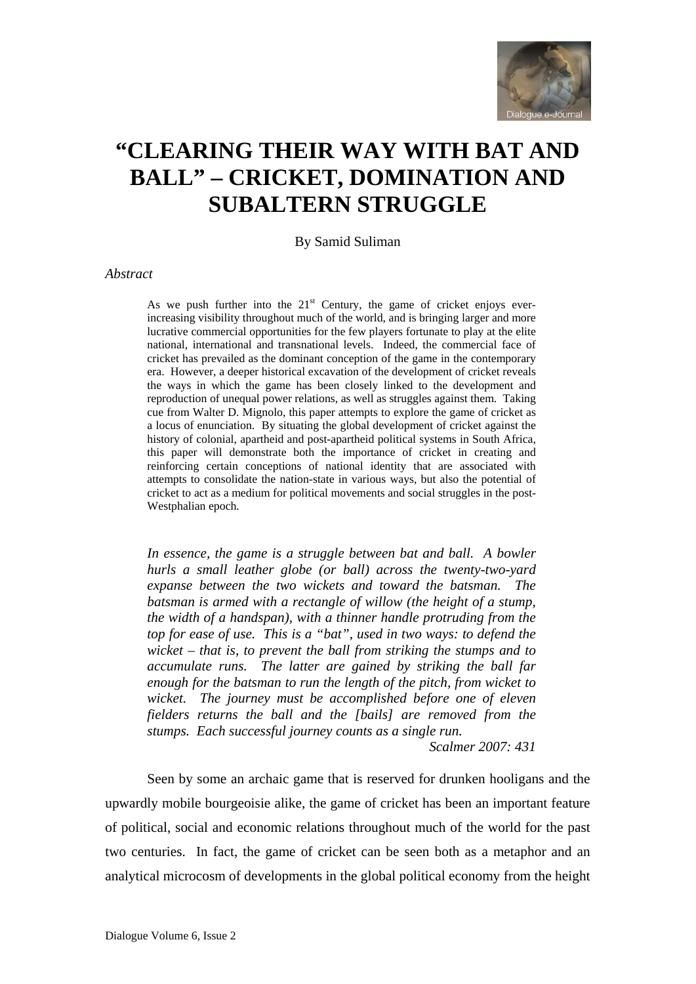

# **"CLEARING THEIR WAY WITH BAT AND BALL" – CRICKET, DOMINATION AND SUBALTERN STRUGGLE**

By Samid Suliman

#### *Abstract*

As we push further into the  $21<sup>st</sup>$  Century, the game of cricket enjoys everincreasing visibility throughout much of the world, and is bringing larger and more lucrative commercial opportunities for the few players fortunate to play at the elite national, international and transnational levels. Indeed, the commercial face of cricket has prevailed as the dominant conception of the game in the contemporary era. However, a deeper historical excavation of the development of cricket reveals the ways in which the game has been closely linked to the development and reproduction of unequal power relations, as well as struggles against them. Taking cue from Walter D. Mignolo, this paper attempts to explore the game of cricket as a locus of enunciation. By situating the global development of cricket against the history of colonial, apartheid and post-apartheid political systems in South Africa, this paper will demonstrate both the importance of cricket in creating and reinforcing certain conceptions of national identity that are associated with attempts to consolidate the nation-state in various ways, but also the potential of cricket to act as a medium for political movements and social struggles in the post-Westphalian epoch*.* 

*In essence, the game is a struggle between bat and ball. A bowler hurls a small leather globe (or ball) across the twenty-two-yard expanse between the two wickets and toward the batsman. The batsman is armed with a rectangle of willow (the height of a stump, the width of a handspan), with a thinner handle protruding from the top for ease of use. This is a "bat", used in two ways: to defend the wicket – that is, to prevent the ball from striking the stumps and to accumulate runs. The latter are gained by striking the ball far enough for the batsman to run the length of the pitch, from wicket to wicket. The journey must be accomplished before one of eleven fielders returns the ball and the [bails] are removed from the stumps. Each successful journey counts as a single run.* 

*Scalmer 2007: 431* 

Seen by some an archaic game that is reserved for drunken hooligans and the upwardly mobile bourgeoisie alike, the game of cricket has been an important feature of political, social and economic relations throughout much of the world for the past two centuries. In fact, the game of cricket can be seen both as a metaphor and an analytical microcosm of developments in the global political economy from the height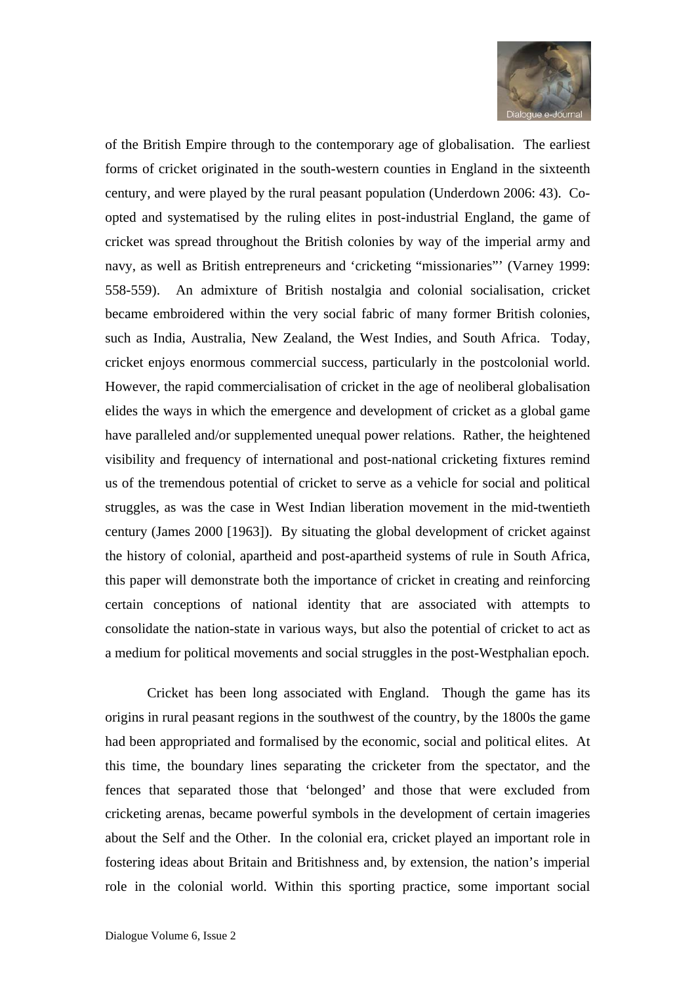

of the British Empire through to the contemporary age of globalisation. The earliest forms of cricket originated in the south-western counties in England in the sixteenth century, and were played by the rural peasant population (Underdown 2006: 43). Coopted and systematised by the ruling elites in post-industrial England, the game of cricket was spread throughout the British colonies by way of the imperial army and navy, as well as British entrepreneurs and 'cricketing "missionaries"' (Varney 1999: 558-559). An admixture of British nostalgia and colonial socialisation, cricket became embroidered within the very social fabric of many former British colonies, such as India, Australia, New Zealand, the West Indies, and South Africa. Today, cricket enjoys enormous commercial success, particularly in the postcolonial world. However, the rapid commercialisation of cricket in the age of neoliberal globalisation elides the ways in which the emergence and development of cricket as a global game have paralleled and/or supplemented unequal power relations. Rather, the heightened visibility and frequency of international and post-national cricketing fixtures remind us of the tremendous potential of cricket to serve as a vehicle for social and political struggles, as was the case in West Indian liberation movement in the mid-twentieth century (James 2000 [1963]). By situating the global development of cricket against the history of colonial, apartheid and post-apartheid systems of rule in South Africa, this paper will demonstrate both the importance of cricket in creating and reinforcing certain conceptions of national identity that are associated with attempts to consolidate the nation-state in various ways, but also the potential of cricket to act as a medium for political movements and social struggles in the post-Westphalian epoch.

Cricket has been long associated with England. Though the game has its origins in rural peasant regions in the southwest of the country, by the 1800s the game had been appropriated and formalised by the economic, social and political elites. At this time, the boundary lines separating the cricketer from the spectator, and the fences that separated those that 'belonged' and those that were excluded from cricketing arenas, became powerful symbols in the development of certain imageries about the Self and the Other. In the colonial era, cricket played an important role in fostering ideas about Britain and Britishness and, by extension, the nation's imperial role in the colonial world. Within this sporting practice, some important social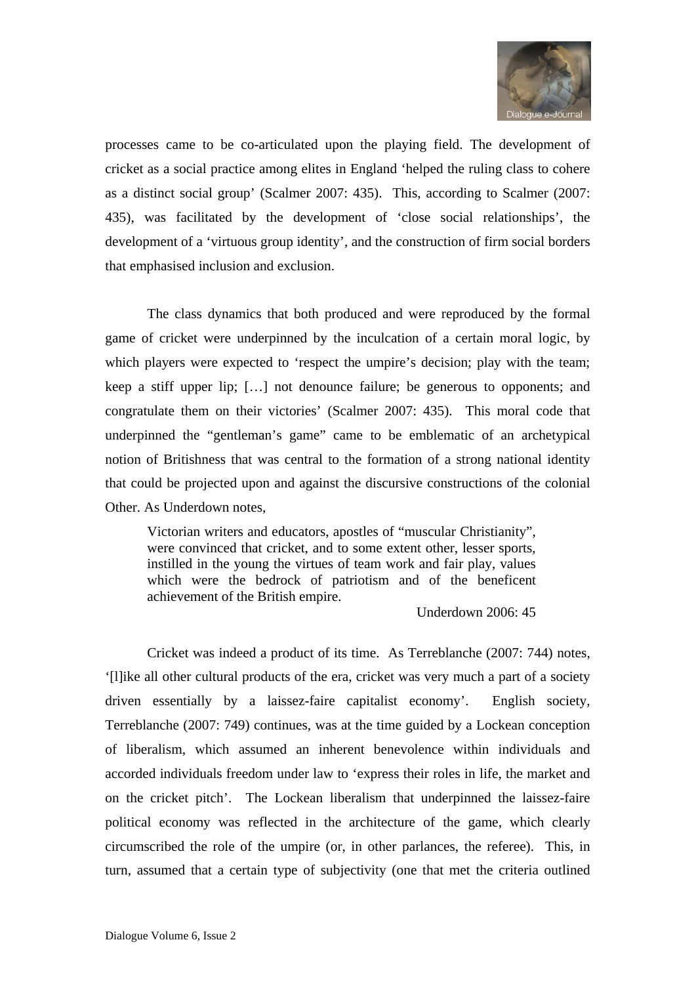

processes came to be co-articulated upon the playing field. The development of cricket as a social practice among elites in England 'helped the ruling class to cohere as a distinct social group' (Scalmer 2007: 435). This, according to Scalmer (2007: 435), was facilitated by the development of 'close social relationships', the development of a 'virtuous group identity', and the construction of firm social borders that emphasised inclusion and exclusion.

The class dynamics that both produced and were reproduced by the formal game of cricket were underpinned by the inculcation of a certain moral logic, by which players were expected to 'respect the umpire's decision; play with the team; keep a stiff upper lip; […] not denounce failure; be generous to opponents; and congratulate them on their victories' (Scalmer 2007: 435). This moral code that underpinned the "gentleman's game" came to be emblematic of an archetypical notion of Britishness that was central to the formation of a strong national identity that could be projected upon and against the discursive constructions of the colonial Other. As Underdown notes,

Victorian writers and educators, apostles of "muscular Christianity", were convinced that cricket, and to some extent other, lesser sports, instilled in the young the virtues of team work and fair play, values which were the bedrock of patriotism and of the beneficent achievement of the British empire.

#### Underdown 2006: 45

Cricket was indeed a product of its time. As Terreblanche (2007: 744) notes, '[l]ike all other cultural products of the era, cricket was very much a part of a society driven essentially by a laissez-faire capitalist economy'. English society, Terreblanche (2007: 749) continues, was at the time guided by a Lockean conception of liberalism, which assumed an inherent benevolence within individuals and accorded individuals freedom under law to 'express their roles in life, the market and on the cricket pitch'. The Lockean liberalism that underpinned the laissez-faire political economy was reflected in the architecture of the game, which clearly circumscribed the role of the umpire (or, in other parlances, the referee). This, in turn, assumed that a certain type of subjectivity (one that met the criteria outlined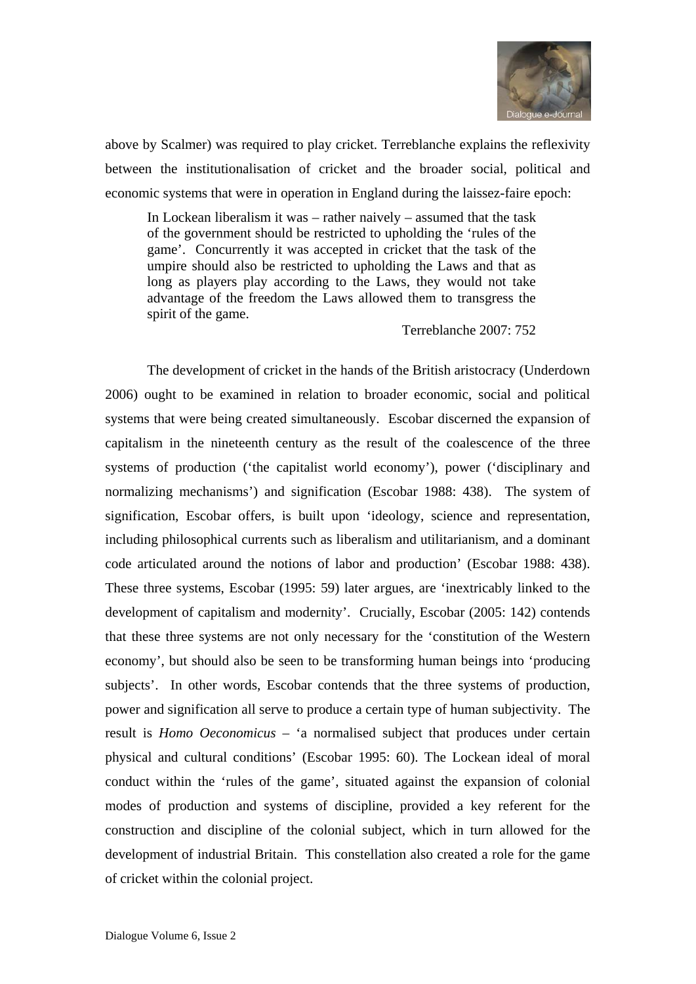

above by Scalmer) was required to play cricket. Terreblanche explains the reflexivity between the institutionalisation of cricket and the broader social, political and economic systems that were in operation in England during the laissez-faire epoch:

In Lockean liberalism it was – rather naively – assumed that the task of the government should be restricted to upholding the 'rules of the game'. Concurrently it was accepted in cricket that the task of the umpire should also be restricted to upholding the Laws and that as long as players play according to the Laws, they would not take advantage of the freedom the Laws allowed them to transgress the spirit of the game.

#### Terreblanche 2007: 752

The development of cricket in the hands of the British aristocracy (Underdown 2006) ought to be examined in relation to broader economic, social and political systems that were being created simultaneously. Escobar discerned the expansion of capitalism in the nineteenth century as the result of the coalescence of the three systems of production ('the capitalist world economy'), power ('disciplinary and normalizing mechanisms') and signification (Escobar 1988: 438). The system of signification, Escobar offers, is built upon 'ideology, science and representation, including philosophical currents such as liberalism and utilitarianism, and a dominant code articulated around the notions of labor and production' (Escobar 1988: 438). These three systems, Escobar (1995: 59) later argues, are 'inextricably linked to the development of capitalism and modernity'. Crucially, Escobar (2005: 142) contends that these three systems are not only necessary for the 'constitution of the Western economy', but should also be seen to be transforming human beings into 'producing subjects'. In other words, Escobar contends that the three systems of production, power and signification all serve to produce a certain type of human subjectivity. The result is *Homo Oeconomicus* – 'a normalised subject that produces under certain physical and cultural conditions' (Escobar 1995: 60). The Lockean ideal of moral conduct within the 'rules of the game', situated against the expansion of colonial modes of production and systems of discipline, provided a key referent for the construction and discipline of the colonial subject, which in turn allowed for the development of industrial Britain. This constellation also created a role for the game of cricket within the colonial project.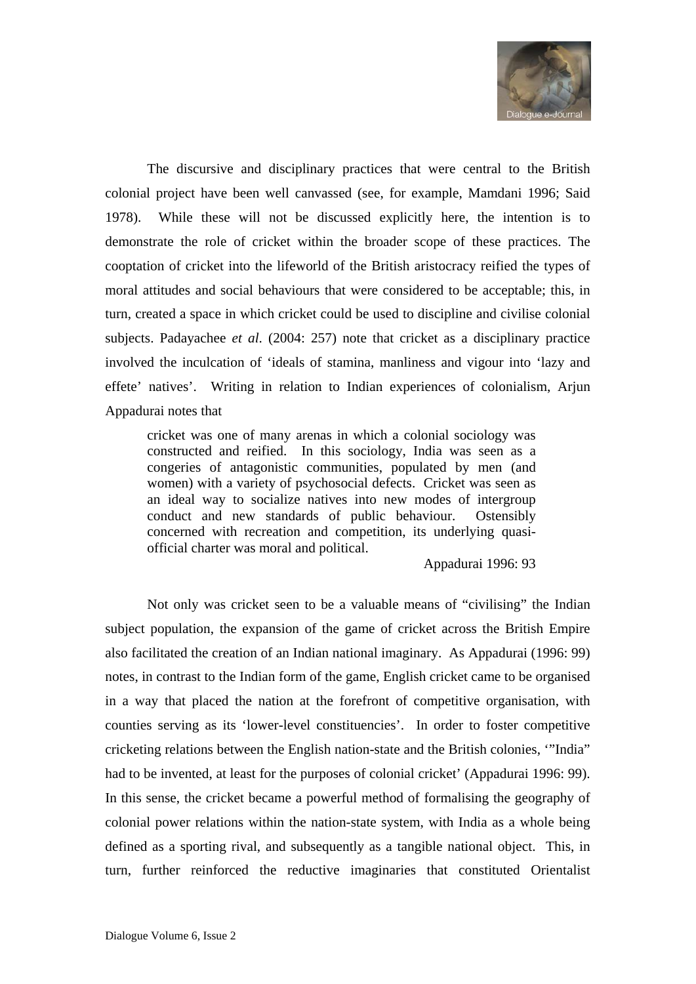

The discursive and disciplinary practices that were central to the British colonial project have been well canvassed (see, for example, Mamdani 1996; Said 1978). While these will not be discussed explicitly here, the intention is to demonstrate the role of cricket within the broader scope of these practices. The cooptation of cricket into the lifeworld of the British aristocracy reified the types of moral attitudes and social behaviours that were considered to be acceptable; this, in turn, created a space in which cricket could be used to discipline and civilise colonial subjects. Padayachee *et al*. (2004: 257) note that cricket as a disciplinary practice involved the inculcation of 'ideals of stamina, manliness and vigour into 'lazy and effete' natives'. Writing in relation to Indian experiences of colonialism, Arjun Appadurai notes that

cricket was one of many arenas in which a colonial sociology was constructed and reified. In this sociology, India was seen as a congeries of antagonistic communities, populated by men (and women) with a variety of psychosocial defects. Cricket was seen as an ideal way to socialize natives into new modes of intergroup conduct and new standards of public behaviour. Ostensibly concerned with recreation and competition, its underlying quasiofficial charter was moral and political.

Appadurai 1996: 93

Not only was cricket seen to be a valuable means of "civilising" the Indian subject population, the expansion of the game of cricket across the British Empire also facilitated the creation of an Indian national imaginary. As Appadurai (1996: 99) notes, in contrast to the Indian form of the game, English cricket came to be organised in a way that placed the nation at the forefront of competitive organisation, with counties serving as its 'lower-level constituencies'. In order to foster competitive cricketing relations between the English nation-state and the British colonies, '"India" had to be invented, at least for the purposes of colonial cricket' (Appadurai 1996: 99). In this sense, the cricket became a powerful method of formalising the geography of colonial power relations within the nation-state system, with India as a whole being defined as a sporting rival, and subsequently as a tangible national object. This, in turn, further reinforced the reductive imaginaries that constituted Orientalist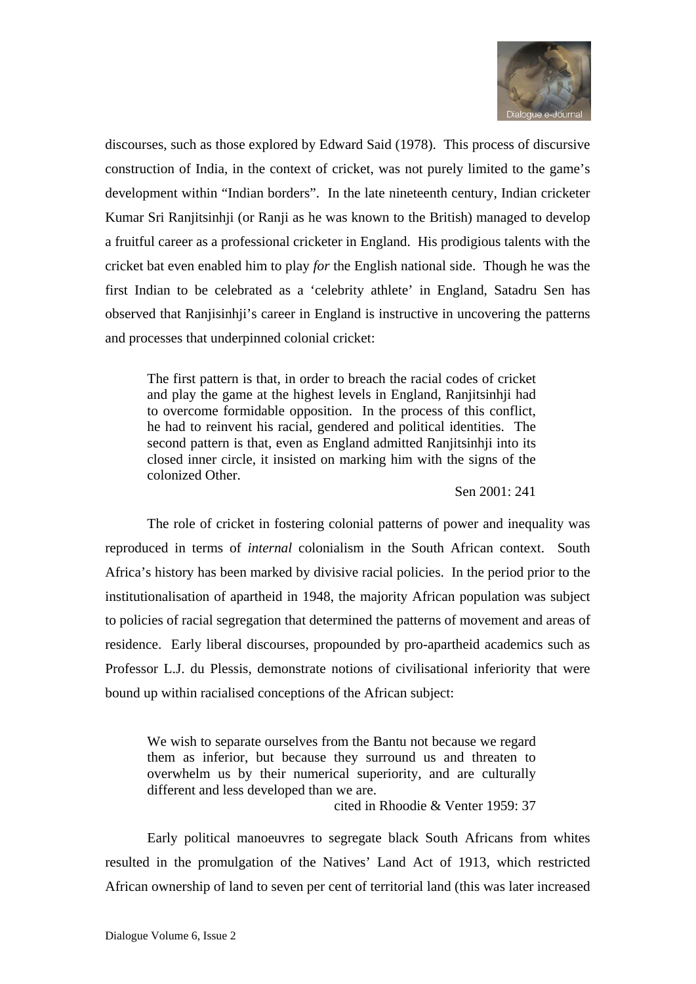

discourses, such as those explored by Edward Said (1978). This process of discursive construction of India, in the context of cricket, was not purely limited to the game's development within "Indian borders". In the late nineteenth century, Indian cricketer Kumar Sri Ranjitsinhji (or Ranji as he was known to the British) managed to develop a fruitful career as a professional cricketer in England. His prodigious talents with the cricket bat even enabled him to play *for* the English national side. Though he was the first Indian to be celebrated as a 'celebrity athlete' in England, Satadru Sen has observed that Ranjisinhji's career in England is instructive in uncovering the patterns and processes that underpinned colonial cricket:

The first pattern is that, in order to breach the racial codes of cricket and play the game at the highest levels in England, Ranjitsinhji had to overcome formidable opposition. In the process of this conflict, he had to reinvent his racial, gendered and political identities. The second pattern is that, even as England admitted Ranjitsinhji into its closed inner circle, it insisted on marking him with the signs of the colonized Other.

#### Sen 2001: 241

The role of cricket in fostering colonial patterns of power and inequality was reproduced in terms of *internal* colonialism in the South African context. South Africa's history has been marked by divisive racial policies. In the period prior to the institutionalisation of apartheid in 1948, the majority African population was subject to policies of racial segregation that determined the patterns of movement and areas of residence. Early liberal discourses, propounded by pro-apartheid academics such as Professor L.J. du Plessis, demonstrate notions of civilisational inferiority that were bound up within racialised conceptions of the African subject:

We wish to separate ourselves from the Bantu not because we regard them as inferior, but because they surround us and threaten to overwhelm us by their numerical superiority, and are culturally different and less developed than we are.

cited in Rhoodie & Venter 1959: 37

Early political manoeuvres to segregate black South Africans from whites resulted in the promulgation of the Natives' Land Act of 1913, which restricted African ownership of land to seven per cent of territorial land (this was later increased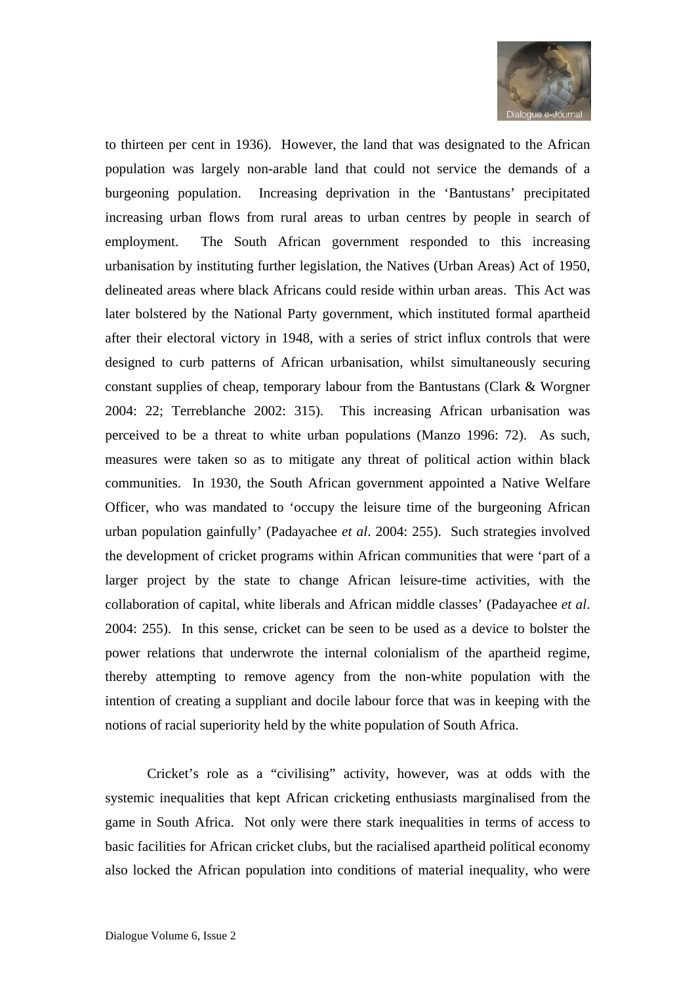

to thirteen per cent in 1936). However, the land that was designated to the African population was largely non-arable land that could not service the demands of a burgeoning population. Increasing deprivation in the 'Bantustans' precipitated increasing urban flows from rural areas to urban centres by people in search of employment. The South African government responded to this increasing urbanisation by instituting further legislation, the Natives (Urban Areas) Act of 1950, delineated areas where black Africans could reside within urban areas. This Act was later bolstered by the National Party government, which instituted formal apartheid after their electoral victory in 1948, with a series of strict influx controls that were designed to curb patterns of African urbanisation, whilst simultaneously securing constant supplies of cheap, temporary labour from the Bantustans (Clark & Worgner 2004: 22; Terreblanche 2002: 315). This increasing African urbanisation was perceived to be a threat to white urban populations (Manzo 1996: 72). As such, measures were taken so as to mitigate any threat of political action within black communities. In 1930, the South African government appointed a Native Welfare Officer, who was mandated to 'occupy the leisure time of the burgeoning African urban population gainfully' (Padayachee *et al*. 2004: 255). Such strategies involved the development of cricket programs within African communities that were 'part of a larger project by the state to change African leisure-time activities, with the collaboration of capital, white liberals and African middle classes' (Padayachee *et al*. 2004: 255). In this sense, cricket can be seen to be used as a device to bolster the power relations that underwrote the internal colonialism of the apartheid regime, thereby attempting to remove agency from the non-white population with the intention of creating a suppliant and docile labour force that was in keeping with the notions of racial superiority held by the white population of South Africa.

Cricket's role as a "civilising" activity, however, was at odds with the systemic inequalities that kept African cricketing enthusiasts marginalised from the game in South Africa. Not only were there stark inequalities in terms of access to basic facilities for African cricket clubs, but the racialised apartheid political economy also locked the African population into conditions of material inequality, who were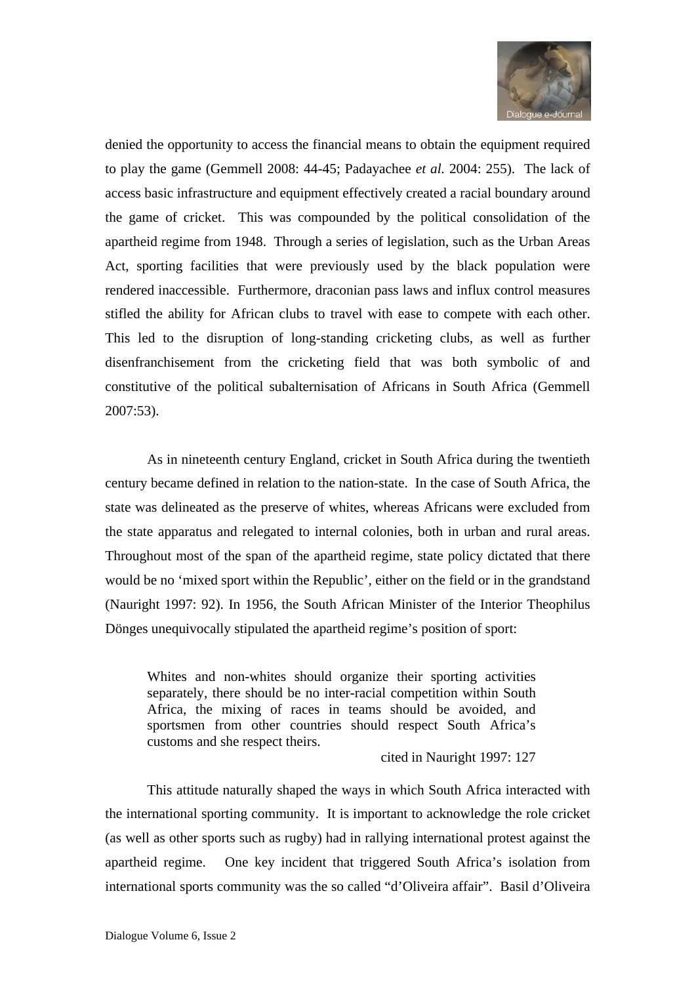

denied the opportunity to access the financial means to obtain the equipment required to play the game (Gemmell 2008: 44-45; Padayachee *et al.* 2004: 255). The lack of access basic infrastructure and equipment effectively created a racial boundary around the game of cricket. This was compounded by the political consolidation of the apartheid regime from 1948. Through a series of legislation, such as the Urban Areas Act, sporting facilities that were previously used by the black population were rendered inaccessible. Furthermore, draconian pass laws and influx control measures stifled the ability for African clubs to travel with ease to compete with each other. This led to the disruption of long-standing cricketing clubs, as well as further disenfranchisement from the cricketing field that was both symbolic of and constitutive of the political subalternisation of Africans in South Africa (Gemmell 2007:53).

As in nineteenth century England, cricket in South Africa during the twentieth century became defined in relation to the nation-state. In the case of South Africa, the state was delineated as the preserve of whites, whereas Africans were excluded from the state apparatus and relegated to internal colonies, both in urban and rural areas. Throughout most of the span of the apartheid regime, state policy dictated that there would be no 'mixed sport within the Republic', either on the field or in the grandstand (Nauright 1997: 92). In 1956, the South African Minister of the Interior Theophilus Dönges unequivocally stipulated the apartheid regime's position of sport:

Whites and non-whites should organize their sporting activities separately, there should be no inter-racial competition within South Africa, the mixing of races in teams should be avoided, and sportsmen from other countries should respect South Africa's customs and she respect theirs.

#### cited in Nauright 1997: 127

This attitude naturally shaped the ways in which South Africa interacted with the international sporting community. It is important to acknowledge the role cricket (as well as other sports such as rugby) had in rallying international protest against the apartheid regime. One key incident that triggered South Africa's isolation from international sports community was the so called "d'Oliveira affair". Basil d'Oliveira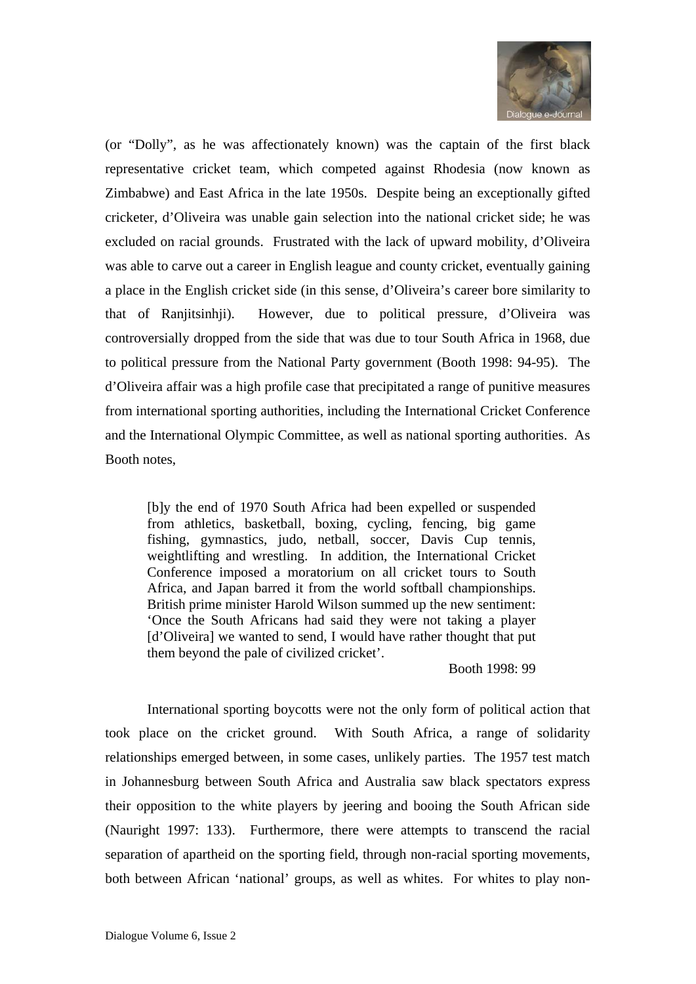

(or "Dolly", as he was affectionately known) was the captain of the first black representative cricket team, which competed against Rhodesia (now known as Zimbabwe) and East Africa in the late 1950s. Despite being an exceptionally gifted cricketer, d'Oliveira was unable gain selection into the national cricket side; he was excluded on racial grounds. Frustrated with the lack of upward mobility, d'Oliveira was able to carve out a career in English league and county cricket, eventually gaining a place in the English cricket side (in this sense, d'Oliveira's career bore similarity to that of Ranjitsinhji). However, due to political pressure, d'Oliveira was controversially dropped from the side that was due to tour South Africa in 1968, due to political pressure from the National Party government (Booth 1998: 94-95). The d'Oliveira affair was a high profile case that precipitated a range of punitive measures from international sporting authorities, including the International Cricket Conference and the International Olympic Committee, as well as national sporting authorities. As Booth notes,

[b]y the end of 1970 South Africa had been expelled or suspended from athletics, basketball, boxing, cycling, fencing, big game fishing, gymnastics, judo, netball, soccer, Davis Cup tennis, weightlifting and wrestling. In addition, the International Cricket Conference imposed a moratorium on all cricket tours to South Africa, and Japan barred it from the world softball championships. British prime minister Harold Wilson summed up the new sentiment: 'Once the South Africans had said they were not taking a player [d'Oliveira] we wanted to send, I would have rather thought that put them beyond the pale of civilized cricket'.

#### Booth 1998: 99

International sporting boycotts were not the only form of political action that took place on the cricket ground. With South Africa, a range of solidarity relationships emerged between, in some cases, unlikely parties. The 1957 test match in Johannesburg between South Africa and Australia saw black spectators express their opposition to the white players by jeering and booing the South African side (Nauright 1997: 133). Furthermore, there were attempts to transcend the racial separation of apartheid on the sporting field, through non-racial sporting movements, both between African 'national' groups, as well as whites. For whites to play non-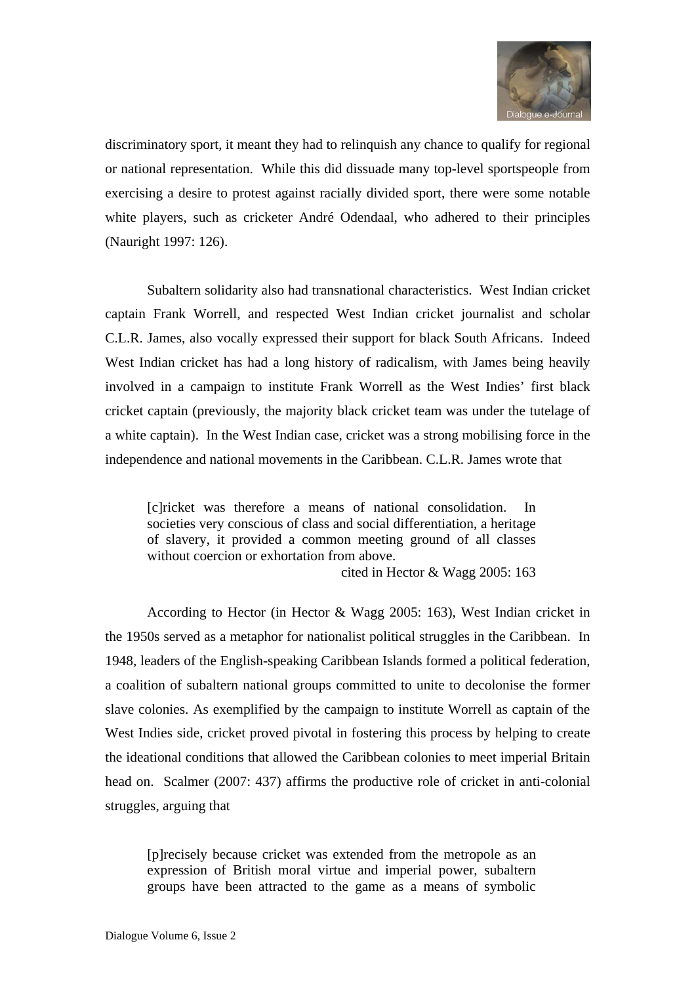

discriminatory sport, it meant they had to relinquish any chance to qualify for regional or national representation. While this did dissuade many top-level sportspeople from exercising a desire to protest against racially divided sport, there were some notable white players, such as cricketer André Odendaal, who adhered to their principles (Nauright 1997: 126).

Subaltern solidarity also had transnational characteristics. West Indian cricket captain Frank Worrell, and respected West Indian cricket journalist and scholar C.L.R. James, also vocally expressed their support for black South Africans. Indeed West Indian cricket has had a long history of radicalism, with James being heavily involved in a campaign to institute Frank Worrell as the West Indies' first black cricket captain (previously, the majority black cricket team was under the tutelage of a white captain). In the West Indian case, cricket was a strong mobilising force in the independence and national movements in the Caribbean. C.L.R. James wrote that

[c]ricket was therefore a means of national consolidation. In societies very conscious of class and social differentiation, a heritage of slavery, it provided a common meeting ground of all classes without coercion or exhortation from above.

cited in Hector & Wagg 2005: 163

According to Hector (in Hector & Wagg 2005: 163), West Indian cricket in the 1950s served as a metaphor for nationalist political struggles in the Caribbean. In 1948, leaders of the English-speaking Caribbean Islands formed a political federation, a coalition of subaltern national groups committed to unite to decolonise the former slave colonies. As exemplified by the campaign to institute Worrell as captain of the West Indies side, cricket proved pivotal in fostering this process by helping to create the ideational conditions that allowed the Caribbean colonies to meet imperial Britain head on. Scalmer (2007: 437) affirms the productive role of cricket in anti-colonial struggles, arguing that

[p]recisely because cricket was extended from the metropole as an expression of British moral virtue and imperial power, subaltern groups have been attracted to the game as a means of symbolic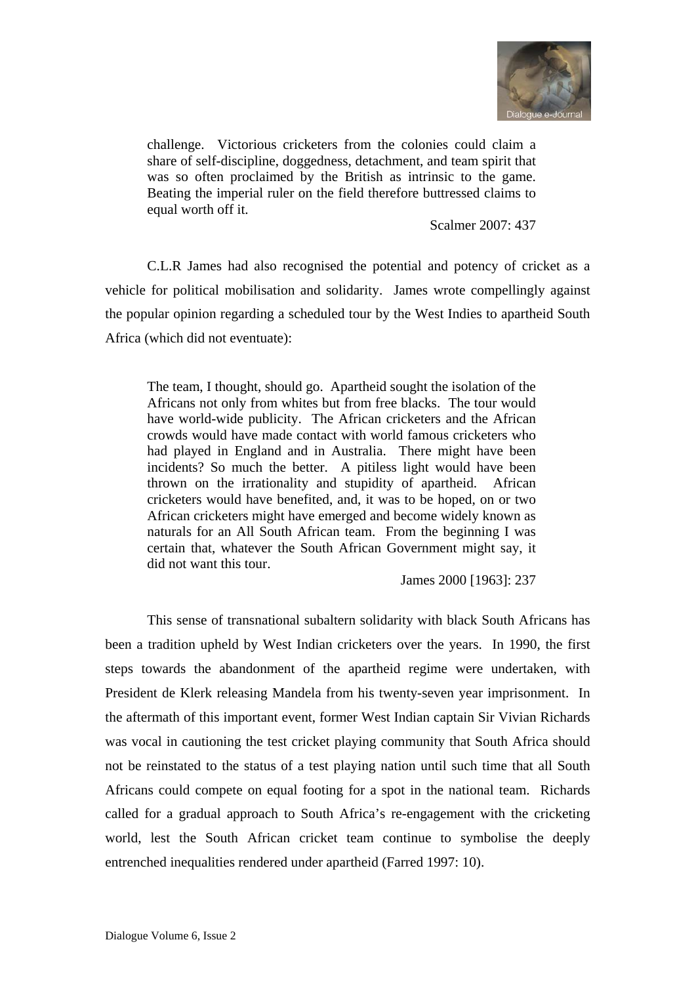

challenge. Victorious cricketers from the colonies could claim a share of self-discipline, doggedness, detachment, and team spirit that was so often proclaimed by the British as intrinsic to the game. Beating the imperial ruler on the field therefore buttressed claims to equal worth off it.

Scalmer 2007: 437

C.L.R James had also recognised the potential and potency of cricket as a vehicle for political mobilisation and solidarity. James wrote compellingly against the popular opinion regarding a scheduled tour by the West Indies to apartheid South Africa (which did not eventuate):

The team, I thought, should go. Apartheid sought the isolation of the Africans not only from whites but from free blacks. The tour would have world-wide publicity. The African cricketers and the African crowds would have made contact with world famous cricketers who had played in England and in Australia. There might have been incidents? So much the better. A pitiless light would have been thrown on the irrationality and stupidity of apartheid. African cricketers would have benefited, and, it was to be hoped, on or two African cricketers might have emerged and become widely known as naturals for an All South African team. From the beginning I was certain that, whatever the South African Government might say, it did not want this tour.

James 2000 [1963]: 237

This sense of transnational subaltern solidarity with black South Africans has been a tradition upheld by West Indian cricketers over the years. In 1990, the first steps towards the abandonment of the apartheid regime were undertaken, with President de Klerk releasing Mandela from his twenty-seven year imprisonment. In the aftermath of this important event, former West Indian captain Sir Vivian Richards was vocal in cautioning the test cricket playing community that South Africa should not be reinstated to the status of a test playing nation until such time that all South Africans could compete on equal footing for a spot in the national team. Richards called for a gradual approach to South Africa's re-engagement with the cricketing world, lest the South African cricket team continue to symbolise the deeply entrenched inequalities rendered under apartheid (Farred 1997: 10).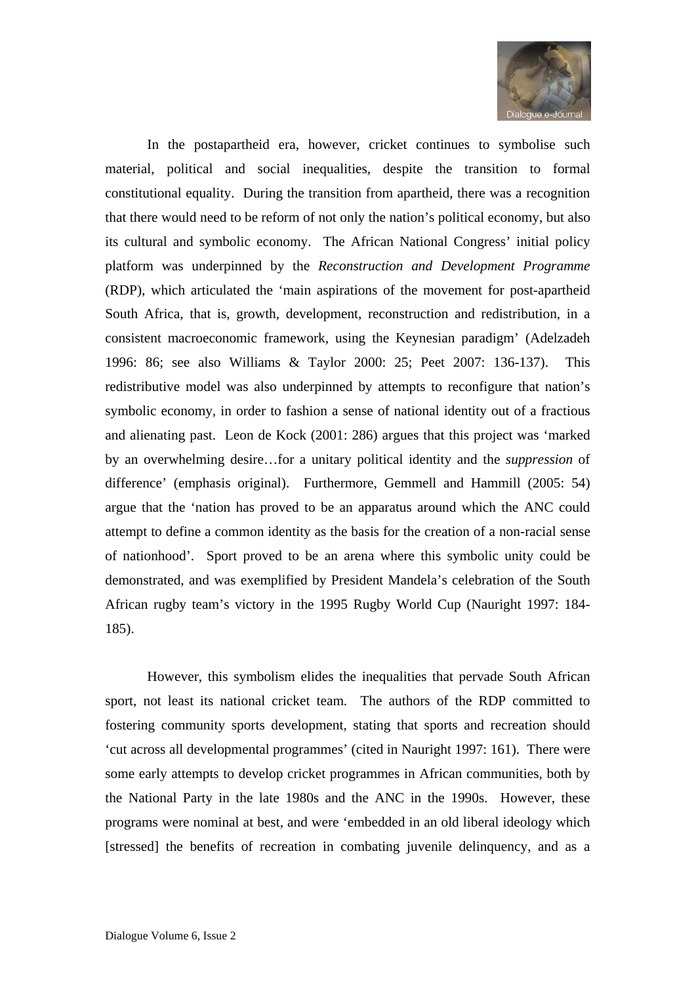

In the postapartheid era, however, cricket continues to symbolise such material, political and social inequalities, despite the transition to formal constitutional equality. During the transition from apartheid, there was a recognition that there would need to be reform of not only the nation's political economy, but also its cultural and symbolic economy. The African National Congress' initial policy platform was underpinned by the *Reconstruction and Development Programme* (RDP), which articulated the 'main aspirations of the movement for post-apartheid South Africa, that is, growth, development, reconstruction and redistribution, in a consistent macroeconomic framework, using the Keynesian paradigm' (Adelzadeh 1996: 86; see also Williams & Taylor 2000: 25; Peet 2007: 136-137). This redistributive model was also underpinned by attempts to reconfigure that nation's symbolic economy, in order to fashion a sense of national identity out of a fractious and alienating past. Leon de Kock (2001: 286) argues that this project was 'marked by an overwhelming desire…for a unitary political identity and the *suppression* of difference' (emphasis original). Furthermore, Gemmell and Hammill (2005: 54) argue that the 'nation has proved to be an apparatus around which the ANC could attempt to define a common identity as the basis for the creation of a non-racial sense of nationhood'. Sport proved to be an arena where this symbolic unity could be demonstrated, and was exemplified by President Mandela's celebration of the South African rugby team's victory in the 1995 Rugby World Cup (Nauright 1997: 184- 185).

However, this symbolism elides the inequalities that pervade South African sport, not least its national cricket team. The authors of the RDP committed to fostering community sports development, stating that sports and recreation should 'cut across all developmental programmes' (cited in Nauright 1997: 161). There were some early attempts to develop cricket programmes in African communities, both by the National Party in the late 1980s and the ANC in the 1990s. However, these programs were nominal at best, and were 'embedded in an old liberal ideology which [stressed] the benefits of recreation in combating juvenile delinquency, and as a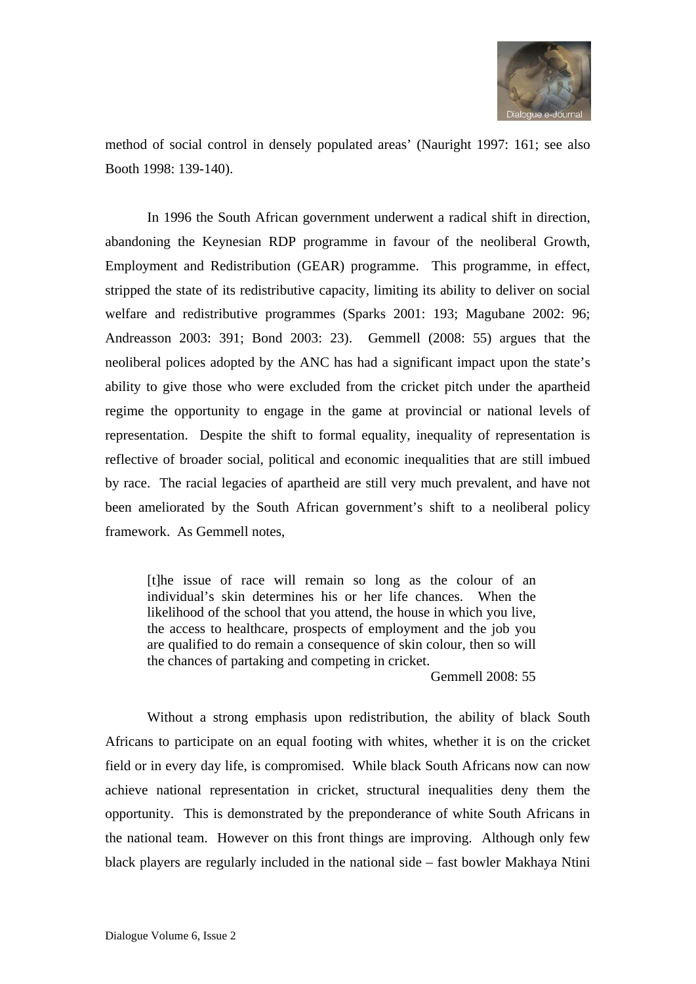

method of social control in densely populated areas' (Nauright 1997: 161; see also Booth 1998: 139-140).

In 1996 the South African government underwent a radical shift in direction, abandoning the Keynesian RDP programme in favour of the neoliberal Growth, Employment and Redistribution (GEAR) programme. This programme, in effect, stripped the state of its redistributive capacity, limiting its ability to deliver on social welfare and redistributive programmes (Sparks 2001: 193; Magubane 2002: 96; Andreasson 2003: 391; Bond 2003: 23). Gemmell (2008: 55) argues that the neoliberal polices adopted by the ANC has had a significant impact upon the state's ability to give those who were excluded from the cricket pitch under the apartheid regime the opportunity to engage in the game at provincial or national levels of representation. Despite the shift to formal equality, inequality of representation is reflective of broader social, political and economic inequalities that are still imbued by race. The racial legacies of apartheid are still very much prevalent, and have not been ameliorated by the South African government's shift to a neoliberal policy framework. As Gemmell notes,

[t]he issue of race will remain so long as the colour of an individual's skin determines his or her life chances. When the likelihood of the school that you attend, the house in which you live, the access to healthcare, prospects of employment and the job you are qualified to do remain a consequence of skin colour, then so will the chances of partaking and competing in cricket.

Gemmell 2008: 55

Without a strong emphasis upon redistribution, the ability of black South Africans to participate on an equal footing with whites, whether it is on the cricket field or in every day life, is compromised. While black South Africans now can now achieve national representation in cricket, structural inequalities deny them the opportunity. This is demonstrated by the preponderance of white South Africans in the national team. However on this front things are improving. Although only few black players are regularly included in the national side – fast bowler Makhaya Ntini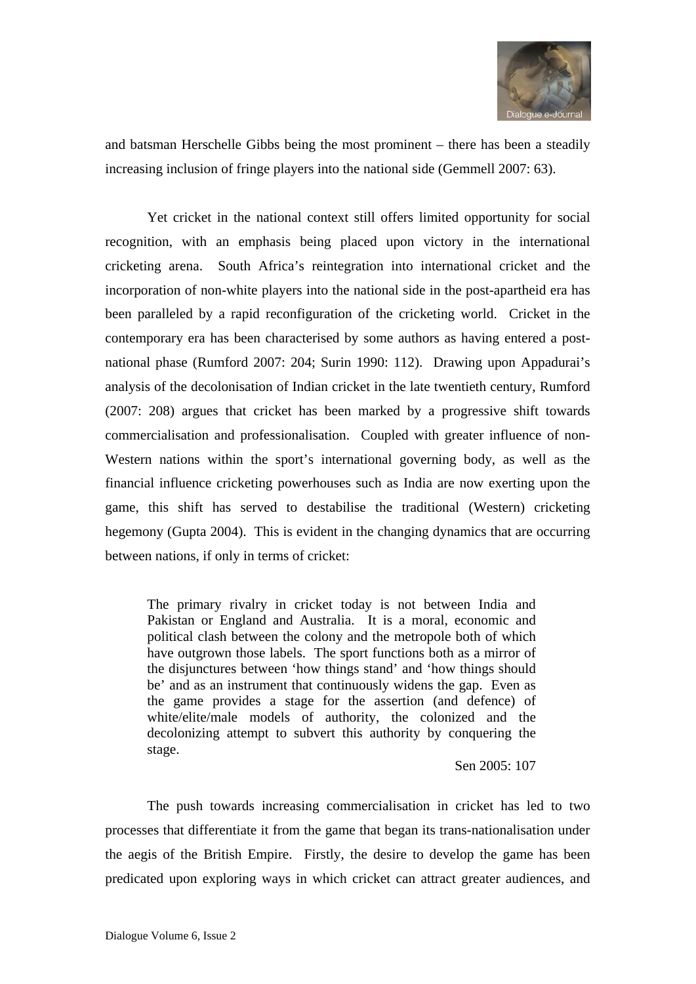

and batsman Herschelle Gibbs being the most prominent – there has been a steadily increasing inclusion of fringe players into the national side (Gemmell 2007: 63).

Yet cricket in the national context still offers limited opportunity for social recognition, with an emphasis being placed upon victory in the international cricketing arena. South Africa's reintegration into international cricket and the incorporation of non-white players into the national side in the post-apartheid era has been paralleled by a rapid reconfiguration of the cricketing world. Cricket in the contemporary era has been characterised by some authors as having entered a postnational phase (Rumford 2007: 204; Surin 1990: 112). Drawing upon Appadurai's analysis of the decolonisation of Indian cricket in the late twentieth century, Rumford (2007: 208) argues that cricket has been marked by a progressive shift towards commercialisation and professionalisation. Coupled with greater influence of non-Western nations within the sport's international governing body, as well as the financial influence cricketing powerhouses such as India are now exerting upon the game, this shift has served to destabilise the traditional (Western) cricketing hegemony (Gupta 2004). This is evident in the changing dynamics that are occurring between nations, if only in terms of cricket:

The primary rivalry in cricket today is not between India and Pakistan or England and Australia. It is a moral, economic and political clash between the colony and the metropole both of which have outgrown those labels. The sport functions both as a mirror of the disjunctures between 'how things stand' and 'how things should be' and as an instrument that continuously widens the gap. Even as the game provides a stage for the assertion (and defence) of white/elite/male models of authority, the colonized and the decolonizing attempt to subvert this authority by conquering the stage.

Sen 2005: 107

The push towards increasing commercialisation in cricket has led to two processes that differentiate it from the game that began its trans-nationalisation under the aegis of the British Empire. Firstly, the desire to develop the game has been predicated upon exploring ways in which cricket can attract greater audiences, and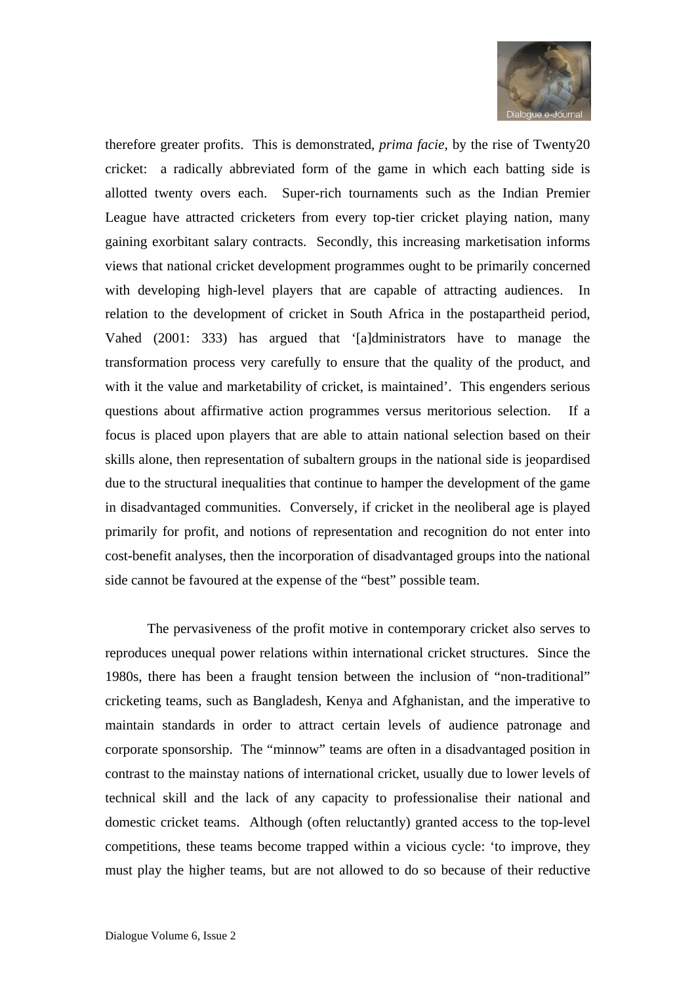

therefore greater profits. This is demonstrated, *prima facie*, by the rise of Twenty20 cricket: a radically abbreviated form of the game in which each batting side is allotted twenty overs each. Super-rich tournaments such as the Indian Premier League have attracted cricketers from every top-tier cricket playing nation, many gaining exorbitant salary contracts. Secondly, this increasing marketisation informs views that national cricket development programmes ought to be primarily concerned with developing high-level players that are capable of attracting audiences. In relation to the development of cricket in South Africa in the postapartheid period, Vahed (2001: 333) has argued that '[a]dministrators have to manage the transformation process very carefully to ensure that the quality of the product, and with it the value and marketability of cricket, is maintained'. This engenders serious questions about affirmative action programmes versus meritorious selection. If a focus is placed upon players that are able to attain national selection based on their skills alone, then representation of subaltern groups in the national side is jeopardised due to the structural inequalities that continue to hamper the development of the game in disadvantaged communities. Conversely, if cricket in the neoliberal age is played primarily for profit, and notions of representation and recognition do not enter into cost-benefit analyses, then the incorporation of disadvantaged groups into the national side cannot be favoured at the expense of the "best" possible team.

The pervasiveness of the profit motive in contemporary cricket also serves to reproduces unequal power relations within international cricket structures. Since the 1980s, there has been a fraught tension between the inclusion of "non-traditional" cricketing teams, such as Bangladesh, Kenya and Afghanistan, and the imperative to maintain standards in order to attract certain levels of audience patronage and corporate sponsorship. The "minnow" teams are often in a disadvantaged position in contrast to the mainstay nations of international cricket, usually due to lower levels of technical skill and the lack of any capacity to professionalise their national and domestic cricket teams. Although (often reluctantly) granted access to the top-level competitions, these teams become trapped within a vicious cycle: 'to improve, they must play the higher teams, but are not allowed to do so because of their reductive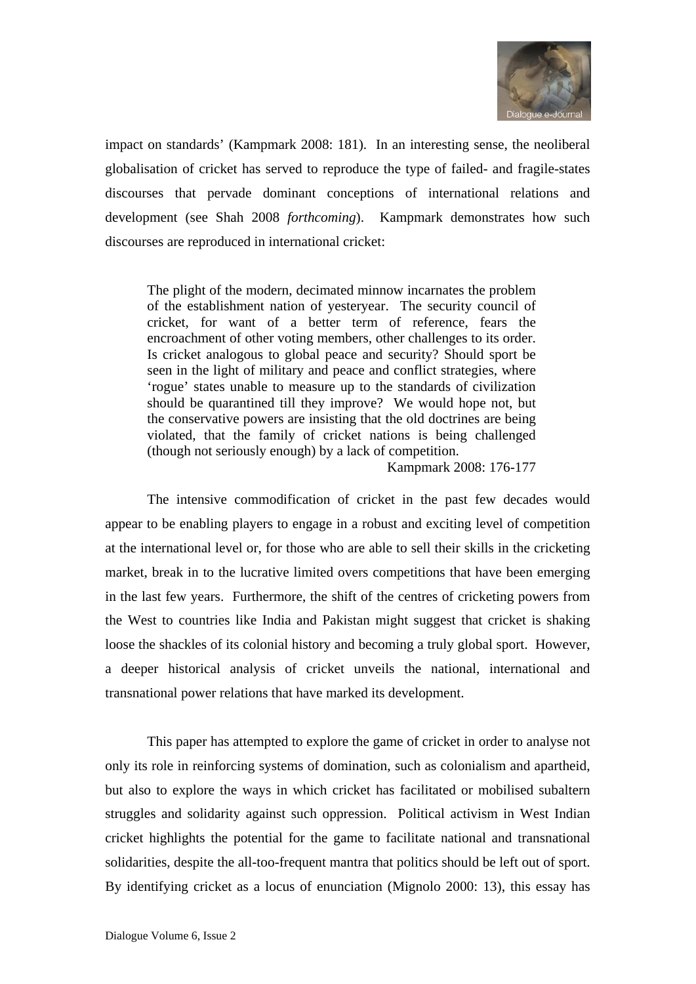

impact on standards' (Kampmark 2008: 181). In an interesting sense, the neoliberal globalisation of cricket has served to reproduce the type of failed- and fragile-states discourses that pervade dominant conceptions of international relations and development (see Shah 2008 *forthcoming*). Kampmark demonstrates how such discourses are reproduced in international cricket:

The plight of the modern, decimated minnow incarnates the problem of the establishment nation of yesteryear. The security council of cricket, for want of a better term of reference, fears the encroachment of other voting members, other challenges to its order. Is cricket analogous to global peace and security? Should sport be seen in the light of military and peace and conflict strategies, where 'rogue' states unable to measure up to the standards of civilization should be quarantined till they improve? We would hope not, but the conservative powers are insisting that the old doctrines are being violated, that the family of cricket nations is being challenged (though not seriously enough) by a lack of competition.

Kampmark 2008: 176-177

The intensive commodification of cricket in the past few decades would appear to be enabling players to engage in a robust and exciting level of competition at the international level or, for those who are able to sell their skills in the cricketing market, break in to the lucrative limited overs competitions that have been emerging in the last few years. Furthermore, the shift of the centres of cricketing powers from the West to countries like India and Pakistan might suggest that cricket is shaking loose the shackles of its colonial history and becoming a truly global sport. However, a deeper historical analysis of cricket unveils the national, international and transnational power relations that have marked its development.

This paper has attempted to explore the game of cricket in order to analyse not only its role in reinforcing systems of domination, such as colonialism and apartheid, but also to explore the ways in which cricket has facilitated or mobilised subaltern struggles and solidarity against such oppression. Political activism in West Indian cricket highlights the potential for the game to facilitate national and transnational solidarities, despite the all-too-frequent mantra that politics should be left out of sport. By identifying cricket as a locus of enunciation (Mignolo 2000: 13), this essay has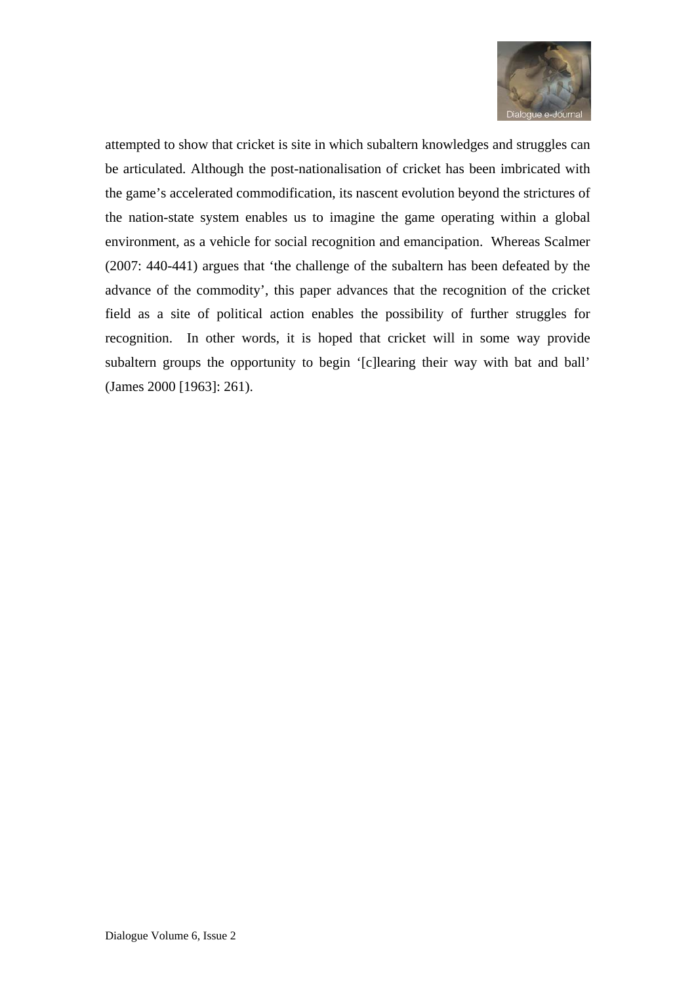

attempted to show that cricket is site in which subaltern knowledges and struggles can be articulated. Although the post-nationalisation of cricket has been imbricated with the game's accelerated commodification, its nascent evolution beyond the strictures of the nation-state system enables us to imagine the game operating within a global environment, as a vehicle for social recognition and emancipation. Whereas Scalmer (2007: 440-441) argues that 'the challenge of the subaltern has been defeated by the advance of the commodity', this paper advances that the recognition of the cricket field as a site of political action enables the possibility of further struggles for recognition. In other words, it is hoped that cricket will in some way provide subaltern groups the opportunity to begin '[c]learing their way with bat and ball' (James 2000 [1963]: 261).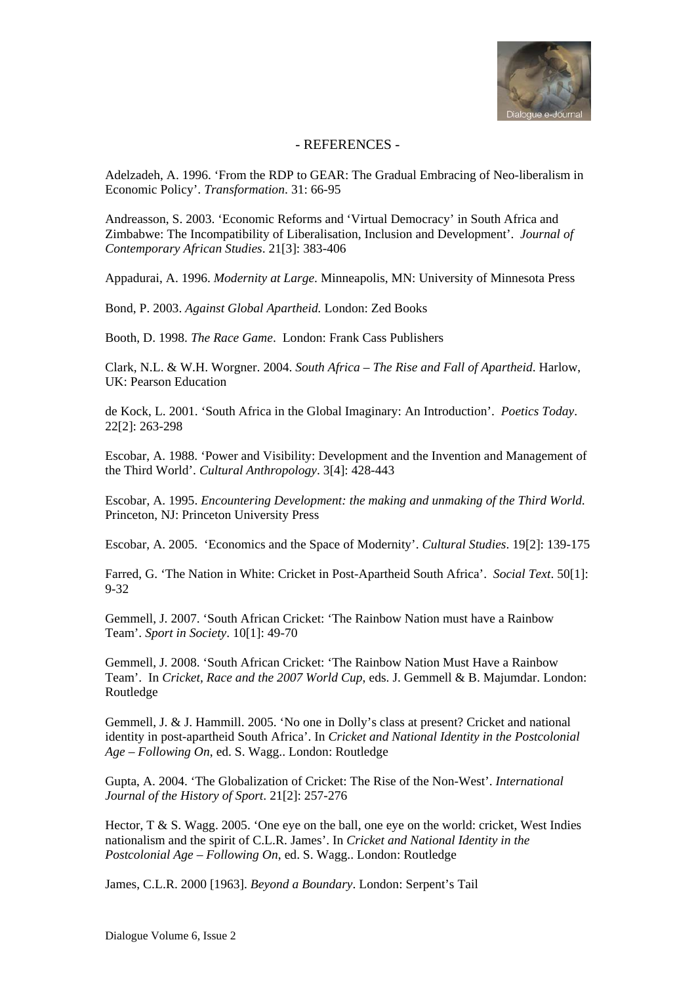

## - REFERENCES -

Adelzadeh, A. 1996. 'From the RDP to GEAR: The Gradual Embracing of Neo-liberalism in Economic Policy'. *Transformation*. 31: 66-95

Andreasson, S. 2003. 'Economic Reforms and 'Virtual Democracy' in South Africa and Zimbabwe: The Incompatibility of Liberalisation, Inclusion and Development'. *Journal of Contemporary African Studies*. 21[3]: 383-406

Appadurai, A. 1996. *Modernity at Large*. Minneapolis, MN: University of Minnesota Press

Bond, P. 2003. *Against Global Apartheid.* London: Zed Books

Booth, D. 1998. *The Race Game*. London: Frank Cass Publishers

Clark, N.L. & W.H. Worgner. 2004. *South Africa – The Rise and Fall of Apartheid*. Harlow, UK: Pearson Education

de Kock, L. 2001. 'South Africa in the Global Imaginary: An Introduction'. *Poetics Today*. 22[2]: 263-298

Escobar, A. 1988. 'Power and Visibility: Development and the Invention and Management of the Third World'. *Cultural Anthropology*. 3[4]: 428-443

Escobar, A. 1995. *Encountering Development: the making and unmaking of the Third World*. Princeton, NJ: Princeton University Press

Escobar, A. 2005. 'Economics and the Space of Modernity'. *Cultural Studies*. 19[2]: 139-175

Farred, G. 'The Nation in White: Cricket in Post-Apartheid South Africa'. *Social Text*. 50[1]: 9-32

Gemmell, J. 2007. 'South African Cricket: 'The Rainbow Nation must have a Rainbow Team'. *Sport in Society*. 10[1]: 49-70

Gemmell, J. 2008. 'South African Cricket: 'The Rainbow Nation Must Have a Rainbow Team'. In *Cricket, Race and the 2007 World Cup*, eds. J. Gemmell & B. Majumdar. London: Routledge

Gemmell, J. & J. Hammill. 2005. 'No one in Dolly's class at present? Cricket and national identity in post-apartheid South Africa'. In *Cricket and National Identity in the Postcolonial Age – Following On*, ed. S. Wagg.. London: Routledge

Gupta, A. 2004. 'The Globalization of Cricket: The Rise of the Non-West'. *International Journal of the History of Sport*. 21[2]: 257-276

Hector,  $T \& S$ . Wagg. 2005. 'One eye on the ball, one eye on the world: cricket, West Indies nationalism and the spirit of C.L.R. James'. In *Cricket and National Identity in the Postcolonial Age – Following On*, ed. S. Wagg.. London: Routledge

James, C.L.R. 2000 [1963]. *Beyond a Boundary*. London: Serpent's Tail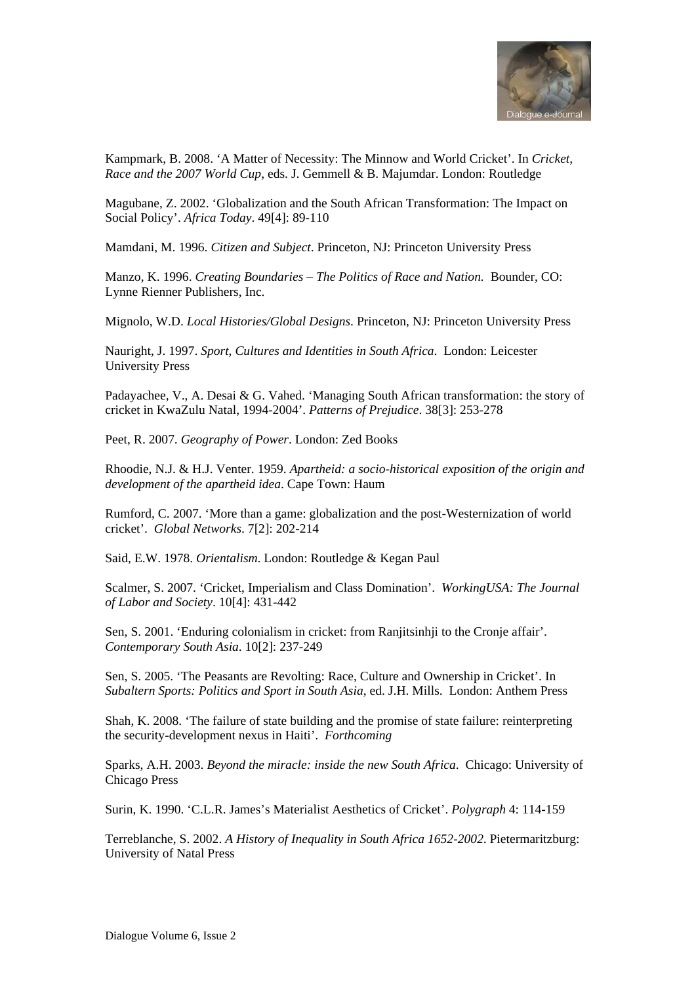

Kampmark, B. 2008. 'A Matter of Necessity: The Minnow and World Cricket'. In *Cricket, Race and the 2007 World Cup*, eds. J. Gemmell & B. Majumdar. London: Routledge

Magubane, Z. 2002. 'Globalization and the South African Transformation: The Impact on Social Policy'. *Africa Today*. 49[4]: 89-110

Mamdani, M. 1996. *Citizen and Subject*. Princeton, NJ: Princeton University Press

Manzo, K. 1996. *Creating Boundaries – The Politics of Race and Nation.* Bounder, CO: Lynne Rienner Publishers, Inc.

Mignolo, W.D. *Local Histories/Global Designs*. Princeton, NJ: Princeton University Press

Nauright, J. 1997. *Sport, Cultures and Identities in South Africa*. London: Leicester University Press

Padayachee, V., A. Desai & G. Vahed. 'Managing South African transformation: the story of cricket in KwaZulu Natal, 1994-2004'. *Patterns of Prejudice*. 38[3]: 253-278

Peet, R. 2007. *Geography of Power*. London: Zed Books

Rhoodie, N.J. & H.J. Venter. 1959. *Apartheid: a socio-historical exposition of the origin and development of the apartheid idea*. Cape Town: Haum

Rumford, C. 2007. 'More than a game: globalization and the post-Westernization of world cricket'. *Global Networks*. 7[2]: 202-214

Said, E.W. 1978. *Orientalism*. London: Routledge & Kegan Paul

Scalmer, S. 2007. 'Cricket, Imperialism and Class Domination'. *WorkingUSA: The Journal of Labor and Society*. 10[4]: 431-442

Sen, S. 2001. 'Enduring colonialism in cricket: from Ranjitsinhji to the Cronje affair'. *Contemporary South Asia*. 10[2]: 237-249

Sen, S. 2005. 'The Peasants are Revolting: Race, Culture and Ownership in Cricket'. In *Subaltern Sports: Politics and Sport in South Asia*, ed. J.H. Mills. London: Anthem Press

Shah, K. 2008. 'The failure of state building and the promise of state failure: reinterpreting the security-development nexus in Haiti'. *Forthcoming*

Sparks, A.H. 2003. *Beyond the miracle: inside the new South Africa*. Chicago: University of Chicago Press

Surin, K. 1990. 'C.L.R. James's Materialist Aesthetics of Cricket'. *Polygraph* 4: 114-159

Terreblanche, S. 2002. *A History of Inequality in South Africa 1652-2002*. Pietermaritzburg: University of Natal Press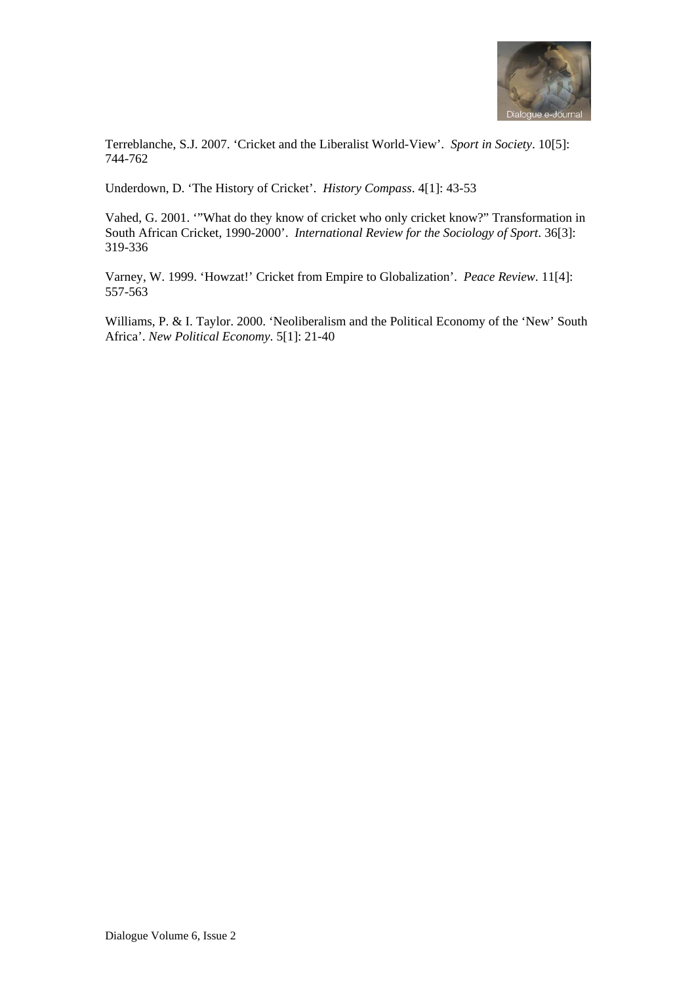

Terreblanche, S.J. 2007. 'Cricket and the Liberalist World-View'. *Sport in Society*. 10[5]: 744-762

Underdown, D. 'The History of Cricket'. *History Compass*. 4[1]: 43-53

Vahed, G. 2001. '"What do they know of cricket who only cricket know?" Transformation in South African Cricket, 1990-2000'. *International Review for the Sociology of Sport*. 36[3]: 319-336

Varney, W. 1999. 'Howzat!' Cricket from Empire to Globalization'. *Peace Review*. 11[4]: 557-563

Williams, P. & I. Taylor. 2000. 'Neoliberalism and the Political Economy of the 'New' South Africa'. *New Political Economy*. 5[1]: 21-40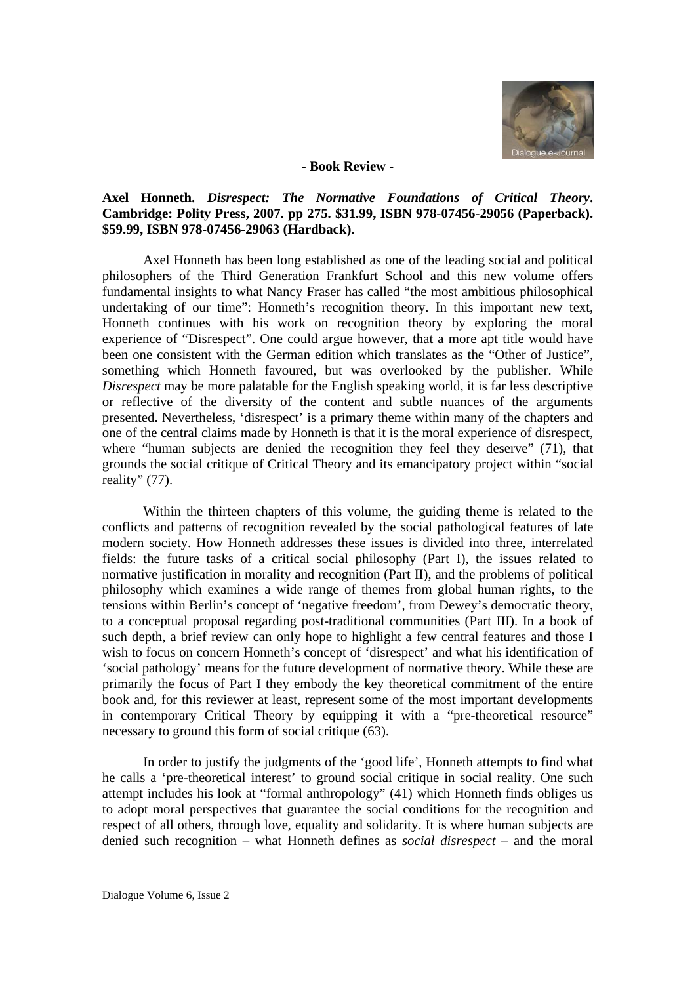

#### **- Book Review -**

## **Axel Honneth.** *Disrespect: The Normative Foundations of Critical Theory***. Cambridge: Polity Press, 2007. pp 275. \$31.99, ISBN 978-07456-29056 (Paperback). \$59.99, ISBN 978-07456-29063 (Hardback).**

Axel Honneth has been long established as one of the leading social and political philosophers of the Third Generation Frankfurt School and this new volume offers fundamental insights to what Nancy Fraser has called "the most ambitious philosophical undertaking of our time": Honneth's recognition theory. In this important new text, Honneth continues with his work on recognition theory by exploring the moral experience of "Disrespect". One could argue however, that a more apt title would have been one consistent with the German edition which translates as the "Other of Justice", something which Honneth favoured, but was overlooked by the publisher. While *Disrespect* may be more palatable for the English speaking world, it is far less descriptive or reflective of the diversity of the content and subtle nuances of the arguments presented. Nevertheless, 'disrespect' is a primary theme within many of the chapters and one of the central claims made by Honneth is that it is the moral experience of disrespect, where "human subjects are denied the recognition they feel they deserve" (71), that grounds the social critique of Critical Theory and its emancipatory project within "social reality" (77).

Within the thirteen chapters of this volume, the guiding theme is related to the conflicts and patterns of recognition revealed by the social pathological features of late modern society. How Honneth addresses these issues is divided into three, interrelated fields: the future tasks of a critical social philosophy (Part I), the issues related to normative justification in morality and recognition (Part II), and the problems of political philosophy which examines a wide range of themes from global human rights, to the tensions within Berlin's concept of 'negative freedom', from Dewey's democratic theory, to a conceptual proposal regarding post-traditional communities (Part III). In a book of such depth, a brief review can only hope to highlight a few central features and those I wish to focus on concern Honneth's concept of 'disrespect' and what his identification of 'social pathology' means for the future development of normative theory. While these are primarily the focus of Part I they embody the key theoretical commitment of the entire book and, for this reviewer at least, represent some of the most important developments in contemporary Critical Theory by equipping it with a "pre-theoretical resource" necessary to ground this form of social critique (63).

In order to justify the judgments of the 'good life', Honneth attempts to find what he calls a 'pre-theoretical interest' to ground social critique in social reality. One such attempt includes his look at "formal anthropology" (41) which Honneth finds obliges us to adopt moral perspectives that guarantee the social conditions for the recognition and respect of all others, through love, equality and solidarity. It is where human subjects are denied such recognition – what Honneth defines as *social disrespect* – and the moral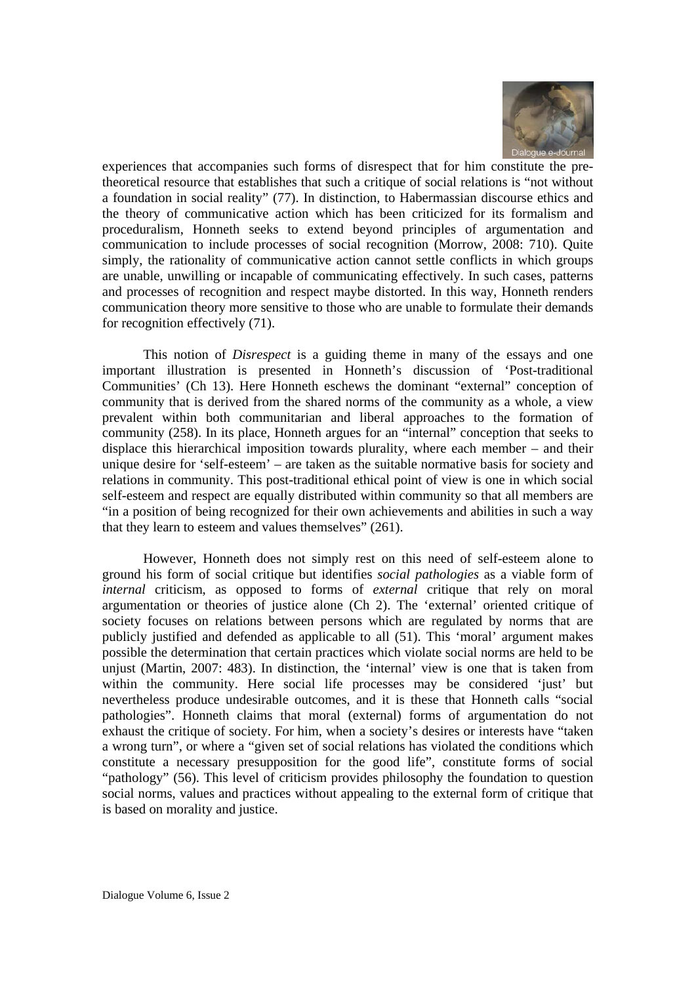

experiences that accompanies such forms of disrespect that for him constitute the pretheoretical resource that establishes that such a critique of social relations is "not without a foundation in social reality" (77). In distinction, to Habermassian discourse ethics and the theory of communicative action which has been criticized for its formalism and proceduralism, Honneth seeks to extend beyond principles of argumentation and communication to include processes of social recognition (Morrow, 2008: 710). Quite simply, the rationality of communicative action cannot settle conflicts in which groups are unable, unwilling or incapable of communicating effectively. In such cases, patterns and processes of recognition and respect maybe distorted. In this way, Honneth renders communication theory more sensitive to those who are unable to formulate their demands for recognition effectively (71).

This notion of *Disrespect* is a guiding theme in many of the essays and one important illustration is presented in Honneth's discussion of 'Post-traditional Communities' (Ch 13). Here Honneth eschews the dominant "external" conception of community that is derived from the shared norms of the community as a whole, a view prevalent within both communitarian and liberal approaches to the formation of community (258). In its place, Honneth argues for an "internal" conception that seeks to displace this hierarchical imposition towards plurality, where each member – and their unique desire for 'self-esteem' – are taken as the suitable normative basis for society and relations in community. This post-traditional ethical point of view is one in which social self-esteem and respect are equally distributed within community so that all members are "in a position of being recognized for their own achievements and abilities in such a way that they learn to esteem and values themselves" (261).

However, Honneth does not simply rest on this need of self-esteem alone to ground his form of social critique but identifies *social pathologies* as a viable form of *internal* criticism, as opposed to forms of *external* critique that rely on moral argumentation or theories of justice alone (Ch 2). The 'external' oriented critique of society focuses on relations between persons which are regulated by norms that are publicly justified and defended as applicable to all (51). This 'moral' argument makes possible the determination that certain practices which violate social norms are held to be unjust (Martin, 2007: 483). In distinction, the 'internal' view is one that is taken from within the community. Here social life processes may be considered 'just' but nevertheless produce undesirable outcomes, and it is these that Honneth calls "social pathologies". Honneth claims that moral (external) forms of argumentation do not exhaust the critique of society. For him, when a society's desires or interests have "taken a wrong turn", or where a "given set of social relations has violated the conditions which constitute a necessary presupposition for the good life", constitute forms of social "pathology" (56). This level of criticism provides philosophy the foundation to question social norms, values and practices without appealing to the external form of critique that is based on morality and justice.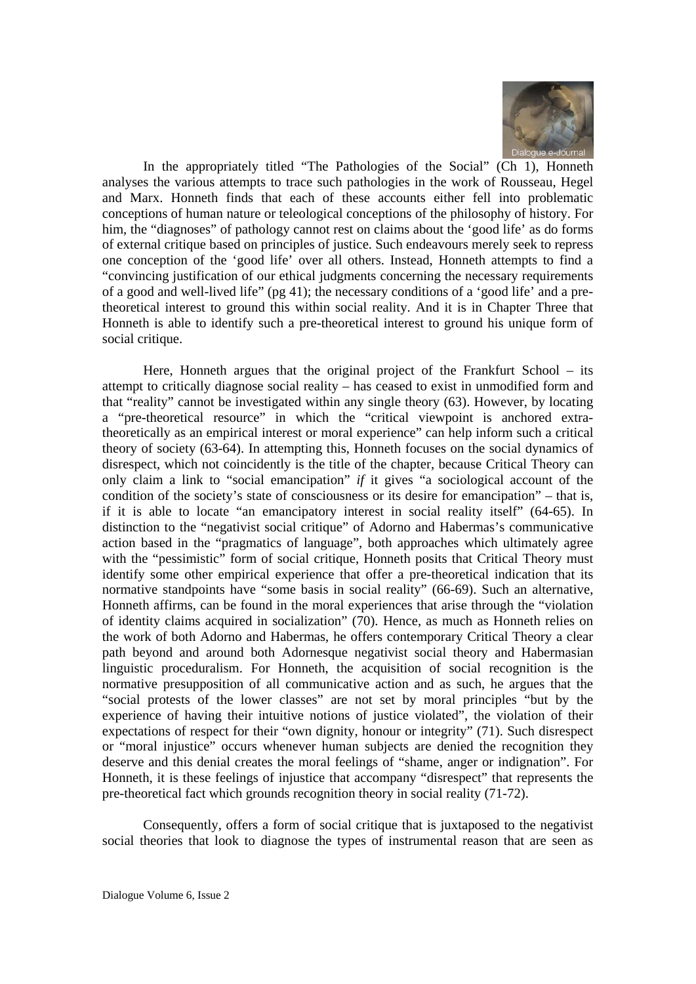

In the appropriately titled "The Pathologies of the Social" (Ch 1), Honneth analyses the various attempts to trace such pathologies in the work of Rousseau, Hegel and Marx. Honneth finds that each of these accounts either fell into problematic conceptions of human nature or teleological conceptions of the philosophy of history. For him, the "diagnoses" of pathology cannot rest on claims about the 'good life' as do forms of external critique based on principles of justice. Such endeavours merely seek to repress one conception of the 'good life' over all others. Instead, Honneth attempts to find a "convincing justification of our ethical judgments concerning the necessary requirements of a good and well-lived life" (pg 41); the necessary conditions of a 'good life' and a pretheoretical interest to ground this within social reality. And it is in Chapter Three that Honneth is able to identify such a pre-theoretical interest to ground his unique form of social critique.

Here, Honneth argues that the original project of the Frankfurt School – its attempt to critically diagnose social reality – has ceased to exist in unmodified form and that "reality" cannot be investigated within any single theory (63). However, by locating a "pre-theoretical resource" in which the "critical viewpoint is anchored extratheoretically as an empirical interest or moral experience" can help inform such a critical theory of society (63-64). In attempting this, Honneth focuses on the social dynamics of disrespect, which not coincidently is the title of the chapter, because Critical Theory can only claim a link to "social emancipation" *if* it gives "a sociological account of the condition of the society's state of consciousness or its desire for emancipation" – that is, if it is able to locate "an emancipatory interest in social reality itself" (64-65). In distinction to the "negativist social critique" of Adorno and Habermas's communicative action based in the "pragmatics of language", both approaches which ultimately agree with the "pessimistic" form of social critique, Honneth posits that Critical Theory must identify some other empirical experience that offer a pre-theoretical indication that its normative standpoints have "some basis in social reality" (66-69). Such an alternative, Honneth affirms, can be found in the moral experiences that arise through the "violation of identity claims acquired in socialization" (70). Hence, as much as Honneth relies on the work of both Adorno and Habermas, he offers contemporary Critical Theory a clear path beyond and around both Adornesque negativist social theory and Habermasian linguistic proceduralism. For Honneth, the acquisition of social recognition is the normative presupposition of all communicative action and as such, he argues that the "social protests of the lower classes" are not set by moral principles "but by the experience of having their intuitive notions of justice violated", the violation of their expectations of respect for their "own dignity, honour or integrity" (71). Such disrespect or "moral injustice" occurs whenever human subjects are denied the recognition they deserve and this denial creates the moral feelings of "shame, anger or indignation". For Honneth, it is these feelings of injustice that accompany "disrespect" that represents the pre-theoretical fact which grounds recognition theory in social reality (71-72).

Consequently, offers a form of social critique that is juxtaposed to the negativist social theories that look to diagnose the types of instrumental reason that are seen as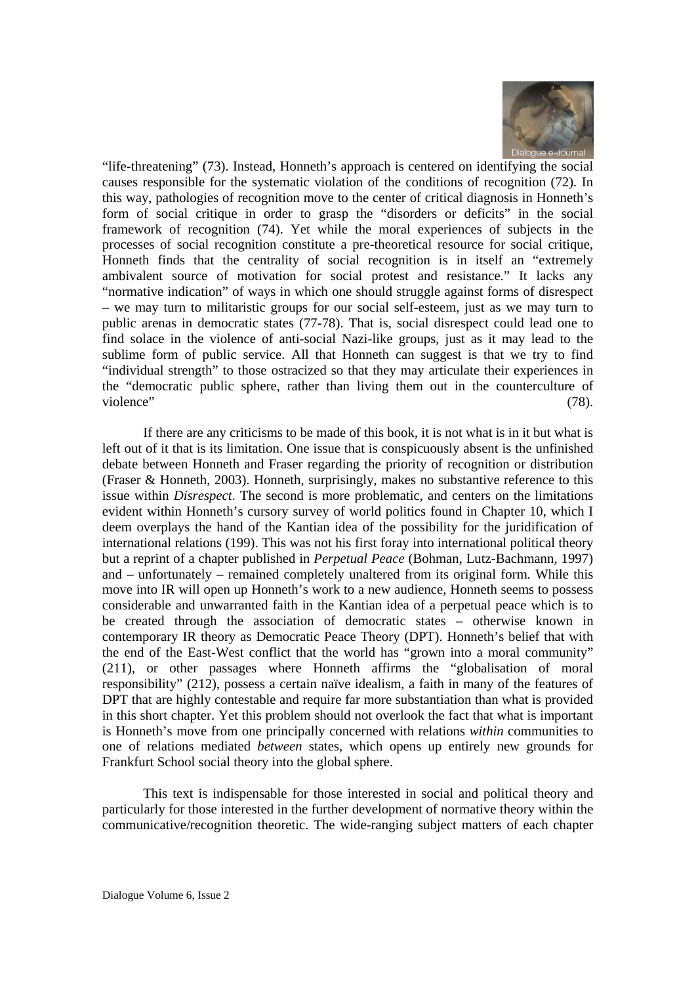

"life-threatening" (73). Instead, Honneth's approach is centered on identifying the social causes responsible for the systematic violation of the conditions of recognition (72). In this way, pathologies of recognition move to the center of critical diagnosis in Honneth's form of social critique in order to grasp the "disorders or deficits" in the social framework of recognition (74). Yet while the moral experiences of subjects in the processes of social recognition constitute a pre-theoretical resource for social critique, Honneth finds that the centrality of social recognition is in itself an "extremely ambivalent source of motivation for social protest and resistance." It lacks any "normative indication" of ways in which one should struggle against forms of disrespect – we may turn to militaristic groups for our social self-esteem, just as we may turn to public arenas in democratic states (77-78). That is, social disrespect could lead one to find solace in the violence of anti-social Nazi-like groups, just as it may lead to the sublime form of public service. All that Honneth can suggest is that we try to find "individual strength" to those ostracized so that they may articulate their experiences in the "democratic public sphere, rather than living them out in the counterculture of violence" (78).

If there are any criticisms to be made of this book, it is not what is in it but what is left out of it that is its limitation. One issue that is conspicuously absent is the unfinished debate between Honneth and Fraser regarding the priority of recognition or distribution (Fraser & Honneth, 2003). Honneth, surprisingly, makes no substantive reference to this issue within *Disrespect*. The second is more problematic, and centers on the limitations evident within Honneth's cursory survey of world politics found in Chapter 10, which I deem overplays the hand of the Kantian idea of the possibility for the juridification of international relations (199). This was not his first foray into international political theory but a reprint of a chapter published in *Perpetual Peace* (Bohman, Lutz-Bachmann, 1997) and – unfortunately – remained completely unaltered from its original form. While this move into IR will open up Honneth's work to a new audience, Honneth seems to possess considerable and unwarranted faith in the Kantian idea of a perpetual peace which is to be created through the association of democratic states – otherwise known in contemporary IR theory as Democratic Peace Theory (DPT). Honneth's belief that with the end of the East-West conflict that the world has "grown into a moral community" (211), or other passages where Honneth affirms the "globalisation of moral responsibility" (212), possess a certain naïve idealism, a faith in many of the features of DPT that are highly contestable and require far more substantiation than what is provided in this short chapter. Yet this problem should not overlook the fact that what is important is Honneth's move from one principally concerned with relations *within* communities to one of relations mediated *between* states, which opens up entirely new grounds for Frankfurt School social theory into the global sphere.

This text is indispensable for those interested in social and political theory and particularly for those interested in the further development of normative theory within the communicative/recognition theoretic. The wide-ranging subject matters of each chapter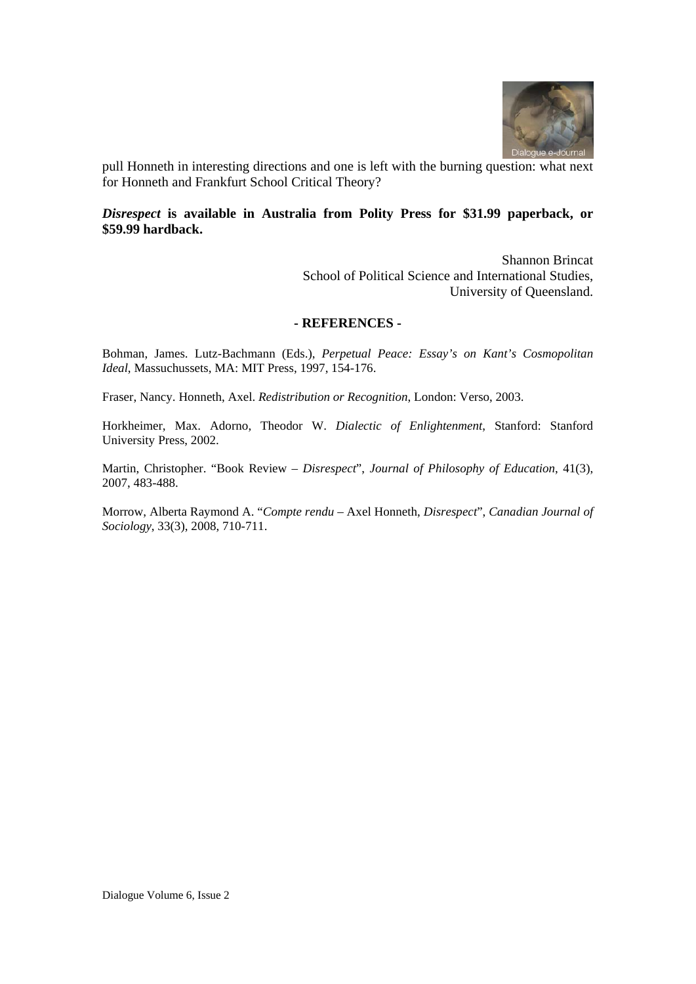

pull Honneth in interesting directions and one is left with the burning question: what next for Honneth and Frankfurt School Critical Theory?

## *Disrespect* **is available in Australia from Polity Press for \$31.99 paperback, or \$59.99 hardback.**

Shannon Brincat School of Political Science and International Studies, University of Queensland.

#### **- REFERENCES -**

Bohman, James. Lutz-Bachmann (Eds.), *Perpetual Peace: Essay's on Kant's Cosmopolitan Ideal*, Massuchussets, MA: MIT Press, 1997, 154-176.

Fraser, Nancy. Honneth, Axel. *Redistribution or Recognition*, London: Verso, 2003.

Horkheimer, Max. Adorno, Theodor W. *Dialectic of Enlightenment*, Stanford: Stanford University Press, 2002.

Martin, Christopher. "Book Review – *Disrespect*", *Journal of Philosophy of Education*, 41(3), 2007, 483-488.

Morrow, Alberta Raymond A. "*Compte rendu* – Axel Honneth, *Disrespect*", *Canadian Journal of Sociology*, 33(3), 2008, 710-711.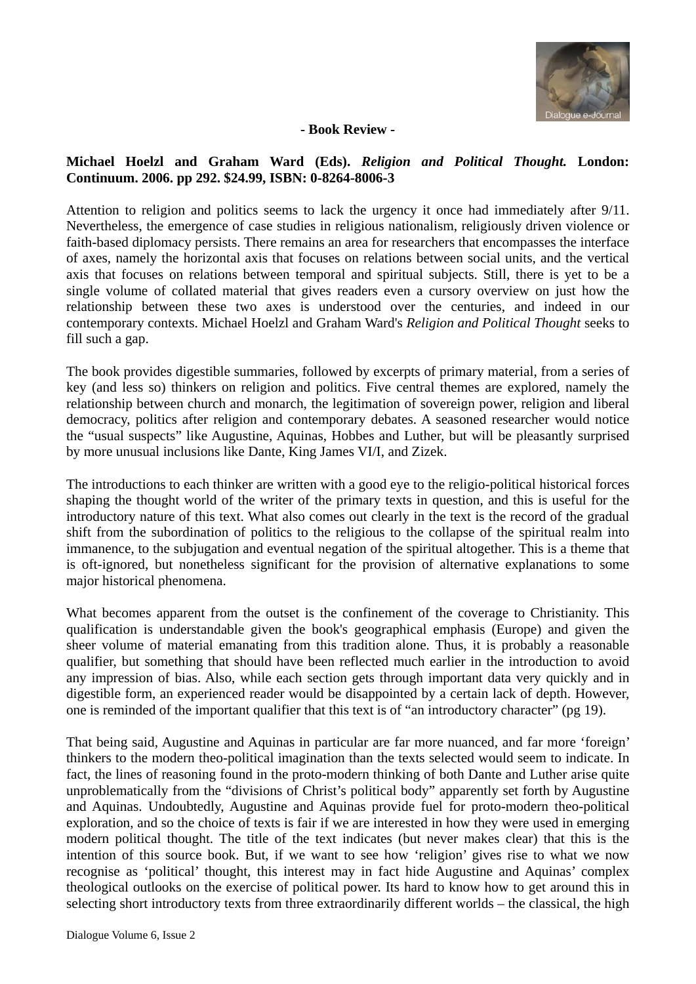

# **- Book Review -**

# **Michael Hoelzl and Graham Ward (Eds).** *Religion and Political Thought.* **London: Continuum. 2006. pp 292. \$24.99, ISBN: 0-8264-8006-3**

Attention to religion and politics seems to lack the urgency it once had immediately after 9/11. Nevertheless, the emergence of case studies in religious nationalism, religiously driven violence or faith-based diplomacy persists. There remains an area for researchers that encompasses the interface of axes, namely the horizontal axis that focuses on relations between social units, and the vertical axis that focuses on relations between temporal and spiritual subjects. Still, there is yet to be a single volume of collated material that gives readers even a cursory overview on just how the relationship between these two axes is understood over the centuries, and indeed in our contemporary contexts. Michael Hoelzl and Graham Ward's *Religion and Political Thought* seeks to fill such a gap.

The book provides digestible summaries, followed by excerpts of primary material, from a series of key (and less so) thinkers on religion and politics. Five central themes are explored, namely the relationship between church and monarch, the legitimation of sovereign power, religion and liberal democracy, politics after religion and contemporary debates. A seasoned researcher would notice the "usual suspects" like Augustine, Aquinas, Hobbes and Luther, but will be pleasantly surprised by more unusual inclusions like Dante, King James VI/I, and Zizek.

The introductions to each thinker are written with a good eye to the religio-political historical forces shaping the thought world of the writer of the primary texts in question, and this is useful for the introductory nature of this text. What also comes out clearly in the text is the record of the gradual shift from the subordination of politics to the religious to the collapse of the spiritual realm into immanence, to the subjugation and eventual negation of the spiritual altogether. This is a theme that is oft-ignored, but nonetheless significant for the provision of alternative explanations to some major historical phenomena.

What becomes apparent from the outset is the confinement of the coverage to Christianity. This qualification is understandable given the book's geographical emphasis (Europe) and given the sheer volume of material emanating from this tradition alone. Thus, it is probably a reasonable qualifier, but something that should have been reflected much earlier in the introduction to avoid any impression of bias. Also, while each section gets through important data very quickly and in digestible form, an experienced reader would be disappointed by a certain lack of depth. However, one is reminded of the important qualifier that this text is of "an introductory character" (pg 19).

That being said, Augustine and Aquinas in particular are far more nuanced, and far more 'foreign' thinkers to the modern theo-political imagination than the texts selected would seem to indicate. In fact, the lines of reasoning found in the proto-modern thinking of both Dante and Luther arise quite unproblematically from the "divisions of Christ's political body" apparently set forth by Augustine and Aquinas. Undoubtedly, Augustine and Aquinas provide fuel for proto-modern theo-political exploration, and so the choice of texts is fair if we are interested in how they were used in emerging modern political thought. The title of the text indicates (but never makes clear) that this is the intention of this source book. But, if we want to see how 'religion' gives rise to what we now recognise as 'political' thought, this interest may in fact hide Augustine and Aquinas' complex theological outlooks on the exercise of political power. Its hard to know how to get around this in selecting short introductory texts from three extraordinarily different worlds – the classical, the high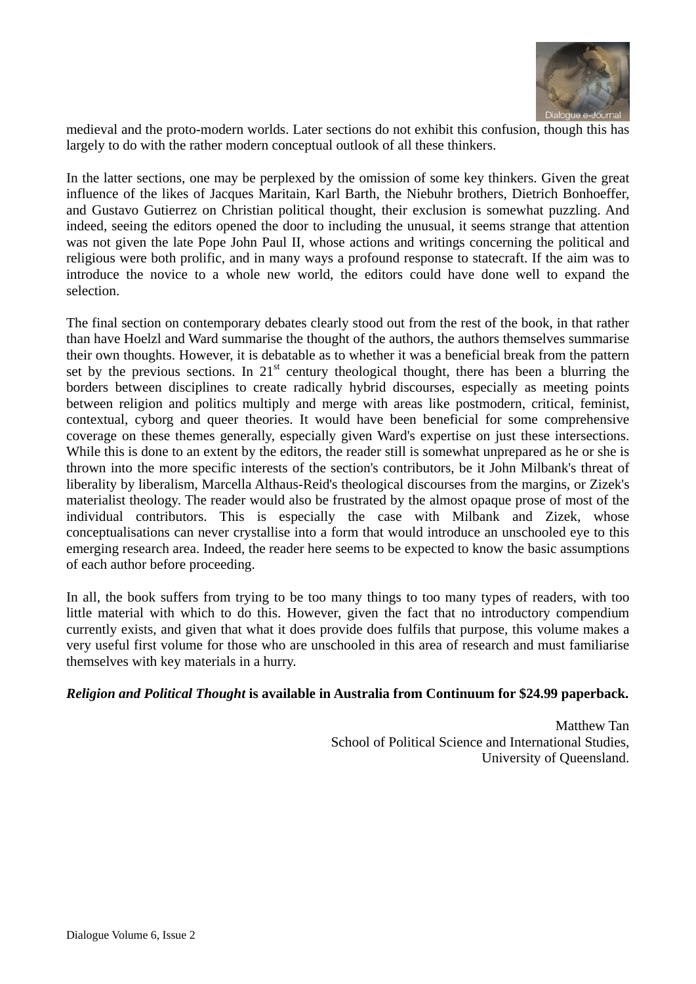

medieval and the proto-modern worlds. Later sections do not exhibit this confusion, though this has largely to do with the rather modern conceptual outlook of all these thinkers.

In the latter sections, one may be perplexed by the omission of some key thinkers. Given the great influence of the likes of Jacques Maritain, Karl Barth, the Niebuhr brothers, Dietrich Bonhoeffer, and Gustavo Gutierrez on Christian political thought, their exclusion is somewhat puzzling. And indeed, seeing the editors opened the door to including the unusual, it seems strange that attention was not given the late Pope John Paul II, whose actions and writings concerning the political and religious were both prolific, and in many ways a profound response to statecraft. If the aim was to introduce the novice to a whole new world, the editors could have done well to expand the selection.

The final section on contemporary debates clearly stood out from the rest of the book, in that rather than have Hoelzl and Ward summarise the thought of the authors, the authors themselves summarise their own thoughts. However, it is debatable as to whether it was a beneficial break from the pattern set by the previous sections. In  $21<sup>st</sup>$  century theological thought, there has been a blurring the borders between disciplines to create radically hybrid discourses, especially as meeting points between religion and politics multiply and merge with areas like postmodern, critical, feminist, contextual, cyborg and queer theories. It would have been beneficial for some comprehensive coverage on these themes generally, especially given Ward's expertise on just these intersections. While this is done to an extent by the editors, the reader still is somewhat unprepared as he or she is thrown into the more specific interests of the section's contributors, be it John Milbank's threat of liberality by liberalism, Marcella Althaus-Reid's theological discourses from the margins, or Zizek's materialist theology. The reader would also be frustrated by the almost opaque prose of most of the individual contributors. This is especially the case with Milbank and Zizek, whose conceptualisations can never crystallise into a form that would introduce an unschooled eye to this emerging research area. Indeed, the reader here seems to be expected to know the basic assumptions of each author before proceeding.

In all, the book suffers from trying to be too many things to too many types of readers, with too little material with which to do this. However, given the fact that no introductory compendium currently exists, and given that what it does provide does fulfils that purpose, this volume makes a very useful first volume for those who are unschooled in this area of research and must familiarise themselves with key materials in a hurry.

## *Religion and Political Thought* **is available in Australia from Continuum for \$24.99 paperback.**

Matthew Tan School of Political Science and International Studies, University of Queensland.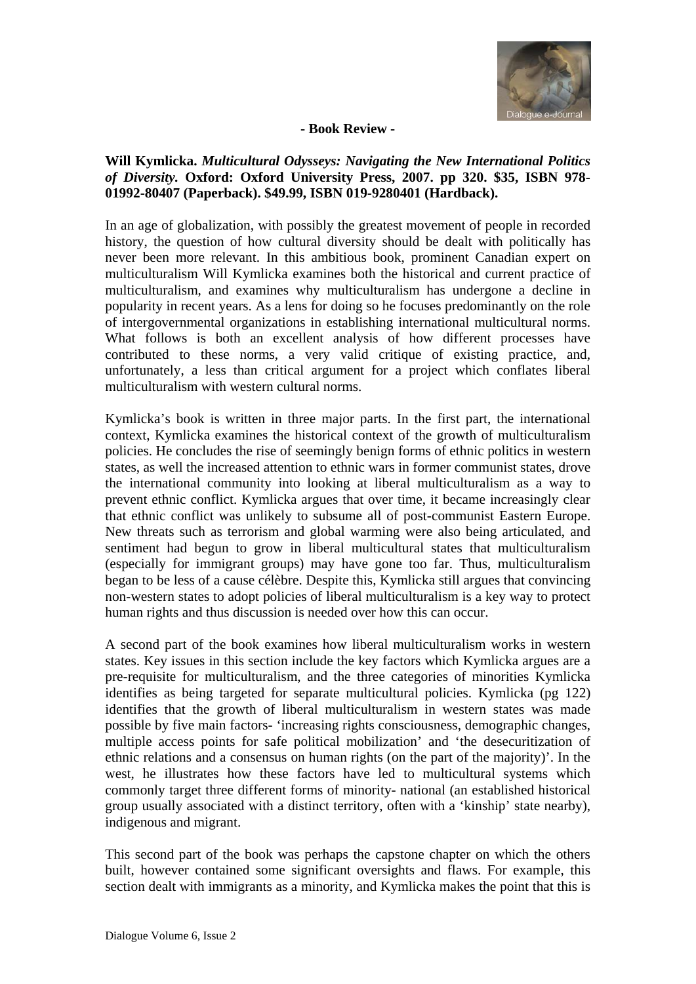

#### **- Book Review -**

# **Will Kymlicka.** *Multicultural Odysseys: Navigating the New International Politics of Diversity.* **Oxford: Oxford University Press, 2007. pp 320. \$35, ISBN 978- 01992-80407 (Paperback). \$49.99, ISBN 019-9280401 (Hardback).**

In an age of globalization, with possibly the greatest movement of people in recorded history, the question of how cultural diversity should be dealt with politically has never been more relevant. In this ambitious book, prominent Canadian expert on multiculturalism Will Kymlicka examines both the historical and current practice of multiculturalism, and examines why multiculturalism has undergone a decline in popularity in recent years. As a lens for doing so he focuses predominantly on the role of intergovernmental organizations in establishing international multicultural norms. What follows is both an excellent analysis of how different processes have contributed to these norms, a very valid critique of existing practice, and, unfortunately, a less than critical argument for a project which conflates liberal multiculturalism with western cultural norms.

Kymlicka's book is written in three major parts. In the first part, the international context, Kymlicka examines the historical context of the growth of multiculturalism policies. He concludes the rise of seemingly benign forms of ethnic politics in western states, as well the increased attention to ethnic wars in former communist states, drove the international community into looking at liberal multiculturalism as a way to prevent ethnic conflict. Kymlicka argues that over time, it became increasingly clear that ethnic conflict was unlikely to subsume all of post-communist Eastern Europe. New threats such as terrorism and global warming were also being articulated, and sentiment had begun to grow in liberal multicultural states that multiculturalism (especially for immigrant groups) may have gone too far. Thus, multiculturalism began to be less of a cause célèbre. Despite this, Kymlicka still argues that convincing non-western states to adopt policies of liberal multiculturalism is a key way to protect human rights and thus discussion is needed over how this can occur.

A second part of the book examines how liberal multiculturalism works in western states. Key issues in this section include the key factors which Kymlicka argues are a pre-requisite for multiculturalism, and the three categories of minorities Kymlicka identifies as being targeted for separate multicultural policies. Kymlicka (pg 122) identifies that the growth of liberal multiculturalism in western states was made possible by five main factors- 'increasing rights consciousness, demographic changes, multiple access points for safe political mobilization' and 'the desecuritization of ethnic relations and a consensus on human rights (on the part of the majority)'. In the west, he illustrates how these factors have led to multicultural systems which commonly target three different forms of minority- national (an established historical group usually associated with a distinct territory, often with a 'kinship' state nearby), indigenous and migrant.

This second part of the book was perhaps the capstone chapter on which the others built, however contained some significant oversights and flaws. For example, this section dealt with immigrants as a minority, and Kymlicka makes the point that this is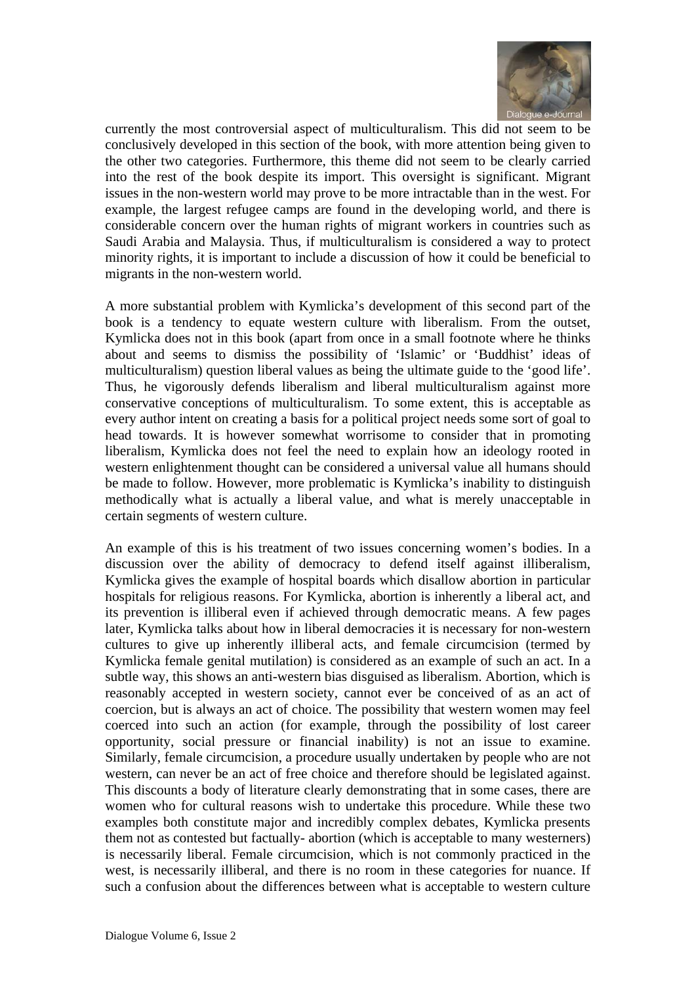

currently the most controversial aspect of multiculturalism. This did not seem to be conclusively developed in this section of the book, with more attention being given to the other two categories. Furthermore, this theme did not seem to be clearly carried into the rest of the book despite its import. This oversight is significant. Migrant issues in the non-western world may prove to be more intractable than in the west. For example, the largest refugee camps are found in the developing world, and there is considerable concern over the human rights of migrant workers in countries such as Saudi Arabia and Malaysia. Thus, if multiculturalism is considered a way to protect minority rights, it is important to include a discussion of how it could be beneficial to migrants in the non-western world.

A more substantial problem with Kymlicka's development of this second part of the book is a tendency to equate western culture with liberalism. From the outset, Kymlicka does not in this book (apart from once in a small footnote where he thinks about and seems to dismiss the possibility of 'Islamic' or 'Buddhist' ideas of multiculturalism) question liberal values as being the ultimate guide to the 'good life'. Thus, he vigorously defends liberalism and liberal multiculturalism against more conservative conceptions of multiculturalism. To some extent, this is acceptable as every author intent on creating a basis for a political project needs some sort of goal to head towards. It is however somewhat worrisome to consider that in promoting liberalism, Kymlicka does not feel the need to explain how an ideology rooted in western enlightenment thought can be considered a universal value all humans should be made to follow. However, more problematic is Kymlicka's inability to distinguish methodically what is actually a liberal value, and what is merely unacceptable in certain segments of western culture.

An example of this is his treatment of two issues concerning women's bodies. In a discussion over the ability of democracy to defend itself against illiberalism, Kymlicka gives the example of hospital boards which disallow abortion in particular hospitals for religious reasons. For Kymlicka, abortion is inherently a liberal act, and its prevention is illiberal even if achieved through democratic means. A few pages later, Kymlicka talks about how in liberal democracies it is necessary for non-western cultures to give up inherently illiberal acts, and female circumcision (termed by Kymlicka female genital mutilation) is considered as an example of such an act. In a subtle way, this shows an anti-western bias disguised as liberalism. Abortion, which is reasonably accepted in western society, cannot ever be conceived of as an act of coercion, but is always an act of choice. The possibility that western women may feel coerced into such an action (for example, through the possibility of lost career opportunity, social pressure or financial inability) is not an issue to examine. Similarly, female circumcision, a procedure usually undertaken by people who are not western, can never be an act of free choice and therefore should be legislated against. This discounts a body of literature clearly demonstrating that in some cases, there are women who for cultural reasons wish to undertake this procedure. While these two examples both constitute major and incredibly complex debates, Kymlicka presents them not as contested but factually- abortion (which is acceptable to many westerners) is necessarily liberal. Female circumcision, which is not commonly practiced in the west, is necessarily illiberal, and there is no room in these categories for nuance. If such a confusion about the differences between what is acceptable to western culture